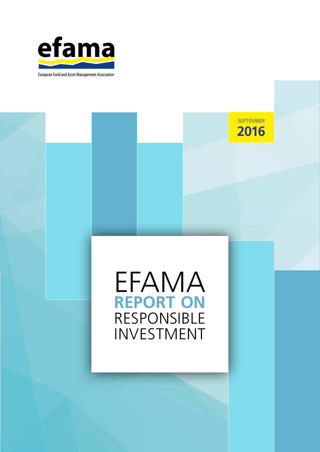

European Fund and Asset Management Association



## EFAMA **REPORT ON**  RESPONSIBLE INVESTMENT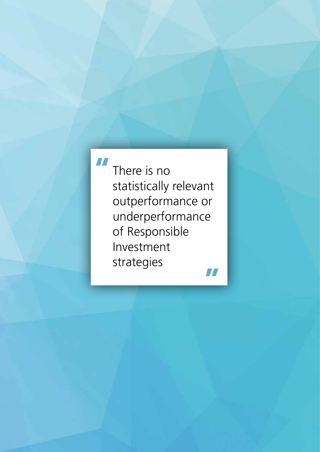# **"**

There is no statistically relevant outperformance or underperformance of Responsible Investment strategies **"**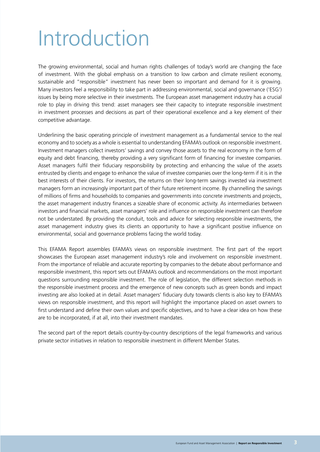# <span id="page-2-0"></span>Introduction

The growing environmental, social and human rights challenges of today's world are changing the face of investment. With the global emphasis on a transition to low carbon and climate resilient economy, sustainable and "responsible" investment has never been so important and demand for it is growing. Many investors feel a responsibility to take part in addressing environmental, social and governance ('ESG') issues by being more selective in their investments. The European asset management industry has a crucial role to play in driving this trend: asset managers see their capacity to integrate responsible investment in investment processes and decisions as part of their operational excellence and a key element of their competitive advantage.

Underlining the basic operating principle of investment management as a fundamental service to the real economy and to society as a whole is essential to understanding EFAMA's outlook on responsible investment. Investment managers collect investors' savings and convey those assets to the real economy in the form of equity and debt financing, thereby providing a very significant form of financing for investee companies. Asset managers fulfil their fiduciary responsibility by protecting and enhancing the value of the assets entrusted by clients and engage to enhance the value of investee companies over the long-term if it is in the best interests of their clients. For investors, the returns on their long-term savings invested via investment managers form an increasingly important part of their future retirement income. By channelling the savings of millions of firms and households to companies and governments into concrete investments and projects, the asset management industry finances a sizeable share of economic activity. As intermediaries between investors and financial markets, asset managers' role and influence on responsible investment can therefore not be understated. By providing the conduit, tools and advice for selecting responsible investments, the asset management industry gives its clients an opportunity to have a significant positive influence on environmental, social and governance problems facing the world today.

This EFAMA Report assembles EFAMA's views on responsible investment. The first part of the report showcases the European asset management industry's role and involvement on responsible investment. From the importance of reliable and accurate reporting by companies to the debate about performance and responsible investment, this report sets out EFAMA's outlook and recommendations on the most important questions surrounding responsible investment. The role of legislation, the different selection methods in the responsible investment process and the emergence of new concepts such as green bonds and impact investing are also looked at in detail. Asset managers' fiduciary duty towards clients is also key to EFAMA's views on responsible investment, and this report will highlight the importance placed on asset owners to first understand and define their own values and specific objectives, and to have a clear idea on how these are to be incorporated, if at all, into their investment mandates.

The second part of the report details country-by-country descriptions of the legal frameworks and various private sector initiatives in relation to responsible investment in different Member States.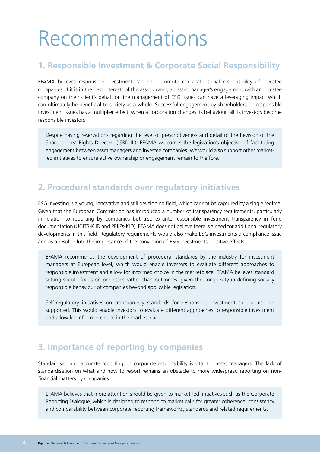## <span id="page-3-0"></span>Recommendations

## **1. Responsible Investment & Corporate Social Responsibility**

EFAMA believes responsible investment can help promote corporate social responsibility of investee companies. If it is in the best interests of the asset owner, an asset manager's engagement with an investee company on their client's behalf on the management of ESG issues can have a leveraging impact which can ultimately be beneficial to society as a whole. Successful engagement by shareholders on responsible investment issues has a multiplier effect: when a corporation changes its behaviour, all its investors become responsible investors.

Despite having reservations regarding the level of prescriptiveness and detail of the Revision of the Shareholders' Rights Directive ('SRD II'), EFAMA welcomes the legislation's objective of facilitating engagement between asset managers and investee companies. We would also support other marketled initiatives to ensure active ownership or engagement remain to the fore.

## **2. Procedural standards over regulatory initiatives**

ESG investing is a young, innovative and still developing field, which cannot be captured by a single regime. Given that the European Commission has introduced a number of transparency requirements, particularly in relation to reporting by companies but also ex-ante responsible investment transparency in fund documentation (UCITS-KIID and PRIIPs-KID), EFAMA does not believe there is a need for additional regulatory developments in this field. Regulatory requirements would also make ESG investments a compliance issue and as a result dilute the importance of the conviction of ESG investments' positive effects.

EFAMA recommends the development of procedural standards by the industry for investment managers at European level, which would enable investors to evaluate different approaches to responsible investment and allow for informed choice in the marketplace. EFAMA believes standard setting should focus on processes rather than outcomes, given the complexity in defining socially responsible behaviour of companies beyond applicable legislation.

Self-regulatory initiatives on transparency standards for responsible investment should also be supported. This would enable investors to evaluate different approaches to responsible investment and allow for informed choice in the market place.

## **3. Importance of reporting by companies**

Standardised and accurate reporting on corporate responsibility is vital for asset managers. The lack of standardisation on what and how to report remains an obstacle to more widespread reporting on nonfinancial matters by companies.

EFAMA believes that more attention should be given to market-led initiatives such as the Corporate Reporting Dialogue, which is designed to respond to market calls for greater coherence, consistency and comparability between corporate reporting frameworks, standards and related requirements.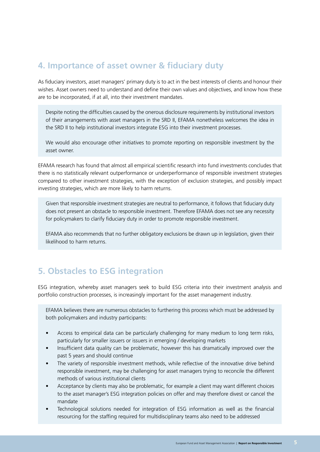## **4. Importance of asset owner & fiduciary duty**

As fiduciary investors, asset managers' primary duty is to act in the best interests of clients and honour their wishes. Asset owners need to understand and define their own values and objectives, and know how these are to be incorporated, if at all, into their investment mandates.

Despite noting the difficulties caused by the onerous disclosure requirements by institutional investors of their arrangements with asset managers in the SRD II, EFAMA nonetheless welcomes the idea in the SRD II to help institutional investors integrate ESG into their investment processes.

We would also encourage other initiatives to promote reporting on responsible investment by the asset owner.

EFAMA research has found that almost all empirical scientific research into fund investments concludes that there is no statistically relevant outperformance or underperformance of responsible investment strategies compared to other investment strategies, with the exception of exclusion strategies, and possibly impact investing strategies, which are more likely to harm returns.

Given that responsible investment strategies are neutral to performance, it follows that fiduciary duty does not present an obstacle to responsible investment. Therefore EFAMA does not see any necessity for policymakers to clarify fiduciary duty in order to promote responsible investment.

EFAMA also recommends that no further obligatory exclusions be drawn up in legislation, given their likelihood to harm returns.

## **5. Obstacles to ESG integration**

ESG integration, whereby asset managers seek to build ESG criteria into their investment analysis and portfolio construction processes, is increasingly important for the asset management industry.

EFAMA believes there are numerous obstacles to furthering this process which must be addressed by both policymakers and industry participants:

- Access to empirical data can be particularly challenging for many medium to long term risks, particularly for smaller issuers or issuers in emerging / developing markets
- Insufficient data quality can be problematic, however this has dramatically improved over the past 5 years and should continue
- The variety of responsible investment methods, while reflective of the innovative drive behind responsible investment, may be challenging for asset managers trying to reconcile the different methods of various institutional clients
- Acceptance by clients may also be problematic, for example a client may want different choices to the asset manager's ESG integration policies on offer and may therefore divest or cancel the mandate
- Technological solutions needed for integration of ESG information as well as the financial resourcing for the staffing required for multidisciplinary teams also need to be addressed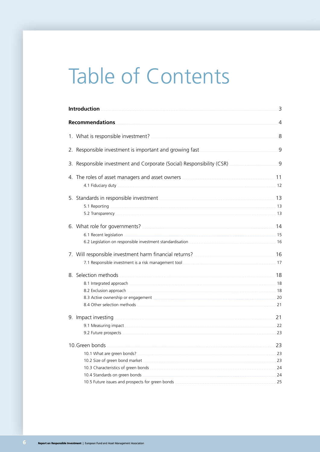# Table of Contents

| <b>Introduction</b>                                                                                                                                                                                                                                                                                                                                                                                                  |                |
|----------------------------------------------------------------------------------------------------------------------------------------------------------------------------------------------------------------------------------------------------------------------------------------------------------------------------------------------------------------------------------------------------------------------|----------------|
| Recommendations 4 and 200 million and 200 million and 200 million and 200 million and 200 million and 200 mill                                                                                                                                                                                                                                                                                                       |                |
|                                                                                                                                                                                                                                                                                                                                                                                                                      |                |
|                                                                                                                                                                                                                                                                                                                                                                                                                      | $\overline{9}$ |
| 3. Responsible investment and Corporate (Social) Responsibility (CSR) [11] Assuming manuscrim 9                                                                                                                                                                                                                                                                                                                      |                |
| 4. The roles of asset managers and asset owners <b>CONFINS AND READ TO A SET A 10</b>                                                                                                                                                                                                                                                                                                                                |                |
|                                                                                                                                                                                                                                                                                                                                                                                                                      |                |
|                                                                                                                                                                                                                                                                                                                                                                                                                      |                |
|                                                                                                                                                                                                                                                                                                                                                                                                                      |                |
| 8. Selection methods 2000 and 2000 and 2000 and 2000 and 2000 and 2000 and 2000 and 2000 and 2000 and 2000 and 2000 and 2000 and 2000 and 2000 and 2000 and 2000 and 2000 and 2000 and 2000 and 2000 and 2000 and 2000 and 200<br>8.1 Integrated approach manufactured and the set of the set of the set of the set of the set of the set of the<br>8.3 Active ownership or engagement <b>Election Constructs</b> 20 |                |
|                                                                                                                                                                                                                                                                                                                                                                                                                      |                |
|                                                                                                                                                                                                                                                                                                                                                                                                                      |                |
|                                                                                                                                                                                                                                                                                                                                                                                                                      |                |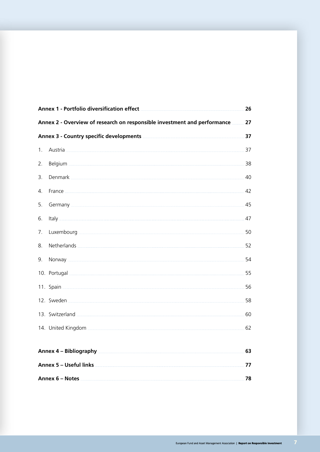|                                                                                                                        |                                                                                                                                                                                                                                     | 26 |
|------------------------------------------------------------------------------------------------------------------------|-------------------------------------------------------------------------------------------------------------------------------------------------------------------------------------------------------------------------------------|----|
|                                                                                                                        | Annex 2 - Overview of research on responsible investment and performance                                                                                                                                                            | 27 |
| Annex 3 - Country specific developments <b>Construct Construct Construct Construct</b> Construction Construction Const |                                                                                                                                                                                                                                     | 37 |
| 1.                                                                                                                     |                                                                                                                                                                                                                                     | 37 |
| 2.                                                                                                                     |                                                                                                                                                                                                                                     | 38 |
| 3.                                                                                                                     |                                                                                                                                                                                                                                     | 40 |
| 4.                                                                                                                     |                                                                                                                                                                                                                                     | 42 |
| 5.                                                                                                                     |                                                                                                                                                                                                                                     | 45 |
| 6.                                                                                                                     |                                                                                                                                                                                                                                     | 47 |
| 7.                                                                                                                     |                                                                                                                                                                                                                                     | 50 |
| 8.                                                                                                                     |                                                                                                                                                                                                                                     | 52 |
| 9.                                                                                                                     |                                                                                                                                                                                                                                     | 54 |
|                                                                                                                        |                                                                                                                                                                                                                                     | 55 |
|                                                                                                                        | 11. Spain <b>Marine Maria Andrea Maria Adam Propose</b> and Talent and Talent and Talent and Talent and Talent and Talent and Talent and Talent and Talent and Talent and Talent and Talent and Talent and Talent and Talent and Ta | 56 |
|                                                                                                                        |                                                                                                                                                                                                                                     | 58 |
|                                                                                                                        |                                                                                                                                                                                                                                     |    |
|                                                                                                                        |                                                                                                                                                                                                                                     | 62 |
|                                                                                                                        |                                                                                                                                                                                                                                     |    |
|                                                                                                                        |                                                                                                                                                                                                                                     | 63 |
|                                                                                                                        |                                                                                                                                                                                                                                     | 77 |
|                                                                                                                        |                                                                                                                                                                                                                                     | 78 |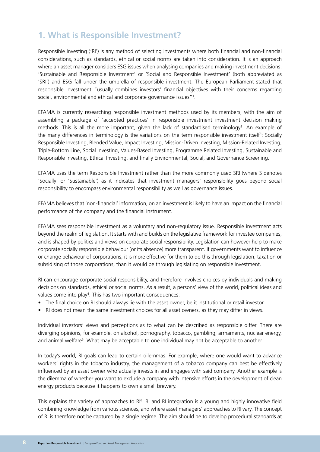## <span id="page-7-0"></span>**1. What is Responsible Investment?**

Responsible Investing ('RI') is any method of selecting investments where both financial and non-financial considerations, such as standards, ethical or social norms are taken into consideration. It is an approach where an asset manager considers ESG issues when analysing companies and making investment decisions. 'Sustainable and Responsible Investment' or 'Social and Responsible Investment' (both abbreviated as 'SRI') and ESG fall under the umbrella of responsible investment. The European Parliament stated that responsible investment "usually combines investors' financial objectives with their concerns regarding social, environmental and ethical and corporate governance issues"1 .

EFAMA is currently researching responsible investment methods used by its members, with the aim of assembling a package of 'accepted practices' in responsible investment investment decision making methods. This is all the more important, given the lack of standardised terminology<sup>2</sup>. An example of the many differences in terminology is the variations on the term responsible investment itself<sup>3</sup>: Socially Responsible Investing, Blended Value, Impact Investing, Mission-Driven Investing, Mission-Related Investing, Triple-Bottom Line, Social Investing, Values-Based Investing, Programme Related Investing, Sustainable and Responsible Investing, Ethical Investing, and finally Environmental, Social, and Governance Screening.

EFAMA uses the term Responsible Investment rather than the more commonly used SRI (where S denotes 'Socially' or 'Sustainable') as it indicates that investment managers' responsibility goes beyond social responsibility to encompass environmental responsibility as well as governance issues.

EFAMA believes that 'non-financial' information, on an investment is likely to have an impact on the financial performance of the company and the financial instrument.

EFAMA sees responsible investment as a voluntary and non-regulatory issue. Responsible investment acts beyond the realm of legislation. It starts with and builds on the legislative framework for investee companies, and is shaped by politics and views on corporate social responsibility. Legislation can however help to make corporate socially responsible behaviour (or its absence) more transparent. If governments want to influence or change behaviour of corporations, it is more effective for them to do this through legislation, taxation or subsidising of those corporations, than it would be through legislating on responsible investment.

RI can encourage corporate social responsibility, and therefore involves choices by individuals and making decisions on standards, ethical or social norms. As a result, a persons' view of the world, political ideas and values come into play<sup>4</sup>. This has two important consequences:

- The final choice on RI should always lie with the asset owner, be it institutional or retail investor.
- RI does not mean the same investment choices for all asset owners, as they may differ in views.

Individual investors' views and perceptions as to what can be described as responsible differ. There are diverging opinions, for example, on alcohol, pornography, tobacco, gambling, armaments, nuclear energy, and animal welfare5 . What may be acceptable to one individual may not be acceptable to another.

In today's world, RI goals can lead to certain dilemmas. For example, where one would want to advance workers' rights in the tobacco industry, the management of a tobacco company can best be effectively influenced by an asset owner who actually invests in and engages with said company. Another example is the dilemma of whether you want to exclude a company with intensive efforts in the development of clean energy products because it happens to own a small brewery.

This explains the variety of approaches to RI<sup>6</sup>. RI and RI integration is a young and highly innovative field combining knowledge from various sciences, and where asset managers' approaches to RI vary. The concept of RI is therefore not be captured by a single regime. The aim should be to develop procedural standards at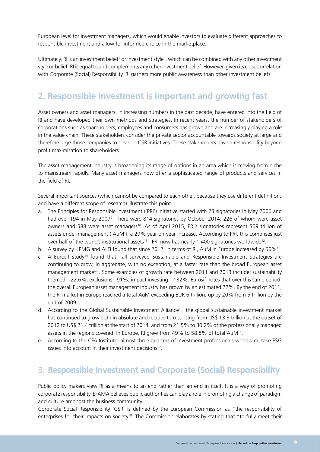<span id="page-8-0"></span>European level for investment managers, which would enable investors to evaluate different approaches to responsible investment and allow for informed choice in the marketplace.

Ultimately, RI is an investment belief<sup>7</sup> or investment style<sup>8</sup>, which can be combined with any other investment style or belief. RI is equal to and complements any other investment belief. However, given its close correlation with Corporate (Social) Responsibility, RI garners more public awareness than other investment beliefs.

## **2. Responsible Investment is important and growing fast**

Asset owners and asset managers, in increasing numbers in the past decade, have entered into the field of RI and have developed their own methods and strategies. In recent years, the number of stakeholders of corporations such as shareholders, employees and consumers has grown and are increasingly playing a role in the value chain. These stakeholders consider the private sector accountable towards society at large and therefore urge those companies to develop CSR initiatives. These stakeholders have a responsibility beyond profit maximisation to shareholders.

The asset management industry is broadening its range of options in an area which is moving from niche to mainstream rapidly. Many asset managers now offer a sophisticated range of products and services in the field of RI.

Several important sources (which cannot be compared to each other, because they use different definitions and have a different scope of research) illustrate this point.

- a. The Principles for Responsible Investment ('PRI') initiative started with 73 signatories in May 2006 and had over 194 in May 2007<sup>9</sup>. There were 814 signatories by October 2014, 226 of whom were asset owners and 588 were asset managers<sup>10</sup>. As of April 2015, PRI's signatories represent \$59 trillion of assets under management ('AuM'), a 29% year-on-year increase. According to PRI, this comprises just over half of the world's institutional assets<sup>11</sup>. PRI now has nearly 1,400 signatories worldwide<sup>12</sup>.
- b. A survey by KPMG and ALFI found that since 2012, in terms of RI, AuM in Europe increased by 56%<sup>13</sup>.
- c. A Eurosif study14 found that "all surveyed Sustainable and Responsible Investment Strategies are continuing to grow, in aggregate, with no exception, at a faster rate than the broad European asset management market". Some examples of growth rate between 2011 and 2013 include: sustainability themed – 22.6%, exclusions - 91%, impact investing – 132%. Eurosif notes that over this same period, the overall European asset management industry has grown by an estimated 22%. By the end of 2011, the RI market in Europe reached a total AuM exceeding EUR 6 trillion, up by 20% from 5 trillion by the end of 2009.
- d. According to the Global Sustainable Investment Alliance<sup>15</sup>, the global sustainable investment market has continued to grow both in absolute and relative terms, rising from US\$ 13.3 trillion at the outset of 2012 to US\$ 21.4 trillion at the start of 2014, and from 21.5% to 30.2% of the professionally managed assets in the regions covered. In Europe, RI grew from 49% to 58.8% of total AuM16.
- e. According to the CFA Institute, almost three quarters of investment professionals worldwide take ESG issues into account in their investment decisions<sup>17</sup>.

## **3. Responsible Investment and Corporate (Social) Responsibility**

Public policy makers view RI as a means to an end rather than an end in itself. It is a way of promoting corporate responsibility. EFAMA believes public authorities can play a role in promoting a change of paradigm and culture amongst the business community.

Corporate Social Responsibility 'CSR' is defined by the European Commission as "the responsibility of enterprises for their impacts on society<sup>18</sup>. The Commission elaborates by stating that "to fully meet their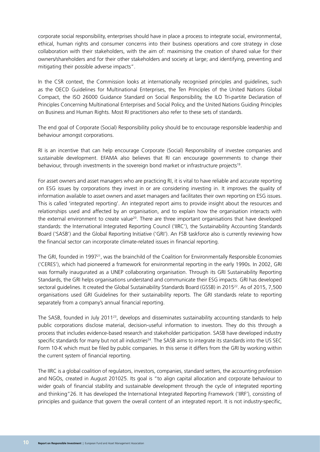corporate social responsibility, enterprises should have in place a process to integrate social, environmental, ethical, human rights and consumer concerns into their business operations and core strategy in close collaboration with their stakeholders, with the aim of: maximising the creation of shared value for their owners/shareholders and for their other stakeholders and society at large; and identifying, preventing and mitigating their possible adverse impacts".

In the CSR context, the Commission looks at internationally recognised principles and guidelines, such as the OECD Guidelines for Multinational Enterprises, the Ten Principles of the United Nations Global Compact, the ISO 26000 Guidance Standard on Social Responsibility, the ILO Tri-partite Declaration of Principles Concerning Multinational Enterprises and Social Policy, and the United Nations Guiding Principles on Business and Human Rights. Most RI practitioners also refer to these sets of standards.

The end goal of Corporate (Social) Responsibility policy should be to encourage responsible leadership and behaviour amongst corporations.

RI is an incentive that can help encourage Corporate (Social) Responsibility of investee companies and sustainable development. EFAMA also believes that RI can encourage governments to change their behaviour, through investments in the sovereign bond market or infrastructure projects<sup>19</sup>.

For asset owners and asset managers who are practicing RI, it is vital to have reliable and accurate reporting on ESG issues by corporations they invest in or are considering investing in. It improves the quality of information available to asset owners and asset managers and facilitates their own reporting on ESG issues. This is called 'integrated reporting'. An integrated report aims to provide insight about the resources and relationships used and affected by an organisation, and to explain how the organisation interacts with the external environment to create value20. There are three important organisations that have developed standards: the International Integrated Reporting Council ('IIRC'), the Sustainability Accounting Standards Board ('SASB') and the Global Reporting Initiative ('GRI'). An FSB taskforce also is currently reviewing how the financial sector can incorporate climate-related issues in financial reporting.

The GRI, founded in 1997<sup>21</sup>, was the brainchild of the Coalition for Environmentally Responsible Economies ('CERES'), which had pioneered a framework for environmental reporting in the early 1990s. In 2002, GRI was formally inaugurated as a UNEP collaborating organisation. Through its GRI Sustainability Reporting Standards, the GRI helps organisations understand and communicate their ESG impacts. GRI has developed sectoral guidelines. It created the Global Sustainability Standards Board (GSSB) in 2015<sup>22</sup>. As of 2015, 7,500 organisations used GRI Guidelines for their sustainability reports. The GRI standards relate to reporting separately from a company's annual financial reporting.

The SASB, founded in July 201123, develops and disseminates sustainability accounting standards to help public corporations disclose material, decision-useful information to investors. They do this through a process that includes evidence-based research and stakeholder participation. SASB have developed industry specific standards for many but not all industries<sup>24</sup>. The SASB aims to integrate its standards into the US SEC Form 10-K which must be filed by public companies. In this sense it differs from the GRI by working within the current system of financial reporting.

The IIRC is a global coalition of regulators, investors, companies, standard setters, the accounting profession and NGOs, created in August 201025. Its goal is "to align capital allocation and corporate behaviour to wider goals of financial stability and sustainable development through the cycle of integrated reporting and thinking"26. It has developed the International Integrated Reporting Framework ('IIRF'), consisting of principles and guidance that govern the overall content of an integrated report. It is not industry-specific,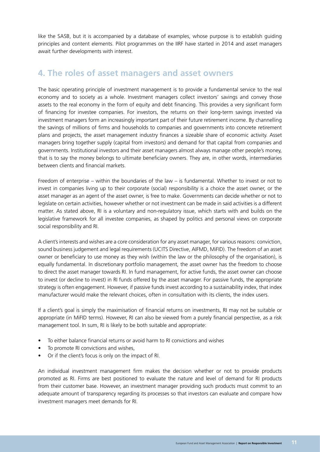<span id="page-10-0"></span>like the SASB, but it is accompanied by a database of examples, whose purpose is to establish guiding principles and content elements. Pilot programmes on the IIRF have started in 2014 and asset managers await further developments with interest.

### **4. The roles of asset managers and asset owners**

The basic operating principle of investment management is to provide a fundamental service to the real economy and to society as a whole. Investment managers collect investors' savings and convey those assets to the real economy in the form of equity and debt financing. This provides a very significant form of financing for investee companies. For investors, the returns on their long-term savings invested via investment managers form an increasingly important part of their future retirement income. By channelling the savings of millions of firms and households to companies and governments into concrete retirement plans and projects, the asset management industry finances a sizeable share of economic activity. Asset managers bring together supply (capital from investors) and demand for that capital from companies and governments. Institutional investors and their asset managers almost always manage other people's money, that is to say the money belongs to ultimate beneficiary owners. They are, in other words, intermediaries between clients and financial markets.

Freedom of enterprise – within the boundaries of the law – is fundamental. Whether to invest or not to invest in companies living up to their corporate (social) responsibility is a choice the asset owner, or the asset manager as an agent of the asset owner, is free to make. Governments can decide whether or not to legislate on certain activities, however whether or not investment can be made in said activities is a different matter. As stated above, RI is a voluntary and non-regulatory issue, which starts with and builds on the legislative framework for all investee companies, as shaped by politics and personal views on corporate social responsibility and RI.

A client's interests and wishes are a core consideration for any asset manager, for various reasons: conviction, sound business judgement and legal requirements (UCITS Directive, AIFMD, MiFID). The freedom of an asset owner or beneficiary to use money as they wish (within the law or the philosophy of the organisation), is equally fundamental. In discretionary portfolio management, the asset owner has the freedom to choose to direct the asset manager towards RI. In fund management, for active funds, the asset owner can choose to invest (or decline to invest) in RI funds offered by the asset manager. For passive funds, the appropriate strategy is often engagement. However, if passive funds invest according to a sustainability index, that index manufacturer would make the relevant choices, often in consultation with its clients, the index users.

If a client's goal is simply the maximisation of financial returns on investments, RI may not be suitable or appropriate (in MiFID terms). However, RI can also be viewed from a purely financial perspective, as a risk management tool. In sum, RI is likely to be both suitable and appropriate:

- To either balance financial returns or avoid harm to RI convictions and wishes
- To promote RI convictions and wishes,
- Or if the client's focus is only on the impact of RI.

An individual investment management firm makes the decision whether or not to provide products promoted as RI. Firms are best positioned to evaluate the nature and level of demand for RI products from their customer base. However, an investment manager providing such products must commit to an adequate amount of transparency regarding its processes so that investors can evaluate and compare how investment managers meet demands for RI.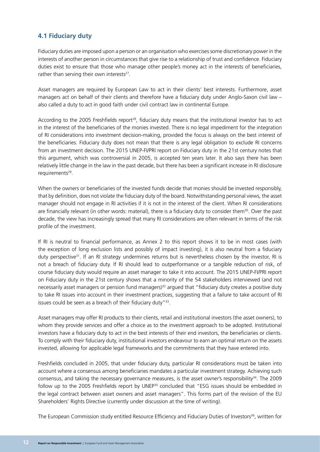### <span id="page-11-0"></span>**4.1 Fiduciary duty**

Fiduciary duties are imposed upon a person or an organisation who exercises some discretionary power in the interests of another person in circumstances that give rise to a relationship of trust and confidence. Fiduciary duties exist to ensure that those who manage other people's money act in the interests of beneficiaries, rather than serving their own interests $27$ .

Asset managers are required by European Law to act in their clients' best interests. Furthermore, asset managers act on behalf of their clients and therefore have a fiduciary duty under Anglo-Saxon civil law – also called a duty to act in good faith under civil contract law in continental Europe.

According to the 2005 Freshfields report<sup>28</sup>, fiduciary duty means that the institutional investor has to act in the interest of the beneficiaries of the monies invested. There is no legal impediment for the integration of RI considerations into investment decision-making, provided the focus is always on the best interest of the beneficiaries. Fiduciary duty does not mean that there is any legal obligation to exclude RI concerns from an investment decision. The 2015 UNEP-FI/PRI report on Fiduciary duty in the 21st century notes that this argument, which was controversial in 2005, is accepted ten years later. It also says there has been relatively little change in the law in the past decade, but there has been a significant increase in RI disclosure requirements<sup>29</sup>.

When the owners or beneficiaries of the invested funds decide that monies should be invested responsibly, that by definition, does not violate the fiduciary duty of the board. Notwithstanding personal views, the asset manager should not engage in RI activities if it is not in the interest of the client. When RI considerations are financially relevant (in other words: material), there is a fiduciary duty to consider them<sup>30</sup>. Over the past decade, the view has increasingly spread that many RI considerations are often relevant in terms of the risk profile of the investment.

If RI is neutral to financial performance, as Annex 2 to this report shows it to be in most cases (with the exception of long exclusion lists and possibly of impact investing), it is also neutral from a fiduciary duty perspective31. If an RI strategy undermines returns but is nevertheless chosen by the investor, RI is not a breach of fiduciary duty. If RI should lead to outperformance or a tangible reduction of risk, of course fiduciary duty would require an asset manager to take it into account. The 2015 UNEP-FI/PRI report on Fiduciary duty in the 21st century shows that a minority of the 54 stakeholders interviewed (and not necessarily asset managers or pension fund managers) $32$  argued that "fiduciary duty creates a positive duty to take RI issues into account in their investment practices, suggesting that a failure to take account of RI issues could be seen as a breach of their fiduciary duty"33.

Asset managers may offer RI products to their clients, retail and institutional investors (the asset owners), to whom they provide services and offer a choice as to the investment approach to be adopted. Institutional investors have a fiduciary duty to act in the best interests of their end investors, the beneficiaries or clients. To comply with their fiduciary duty, institutional investors endeavour to earn an optimal return on the assets invested, allowing for applicable legal frameworks and the commitments that they have entered into.

Freshfields concluded in 2005, that under fiduciary duty, particular RI considerations must be taken into account where a consensus among beneficiaries mandates a particular investment strategy. Achieving such consensus, and taking the necessary governance measures, is the asset owner's responsibility<sup>34</sup>. The 2009 follow up to the 2005 Freshfields report by UNEP<sup>35</sup> concluded that "ESG issues should be embedded in the legal contract between asset owners and asset managers". This forms part of the revision of the EU Shareholders' Rights Directive (currently under discussion at the time of writing).

The European Commission study entitled Resource Efficiency and Fiduciary Duties of Investors<sup>36</sup>, written for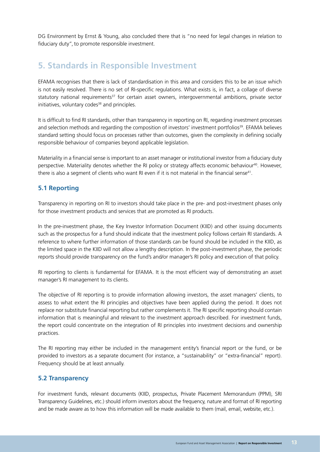<span id="page-12-0"></span>DG Environment by Ernst & Young, also concluded there that is "no need for legal changes in relation to fiduciary duty", to promote responsible investment.

## **5. Standards in Responsible Investment**

EFAMA recognises that there is lack of standardisation in this area and considers this to be an issue which is not easily resolved. There is no set of RI-specific regulations. What exists is, in fact, a collage of diverse statutory national requirements<sup>37</sup> for certain asset owners, intergovernmental ambitions, private sector initiatives, voluntary codes<sup>38</sup> and principles.

It is difficult to find RI standards, other than transparency in reporting on RI, regarding investment processes and selection methods and regarding the composition of investors' investment portfolios<sup>39</sup>. EFAMA believes standard setting should focus on processes rather than outcomes, given the complexity in defining socially responsible behaviour of companies beyond applicable legislation.

Materiality in a financial sense is important to an asset manager or institutional investor from a fiduciary duty perspective. Materiality denotes whether the RI policy or strategy affects economic behaviour<sup>40</sup>. However, there is also a segment of clients who want RI even if it is not material in the financial sense<sup>41</sup>.

#### **5.1 Reporting**

Transparency in reporting on RI to investors should take place in the pre- and post-investment phases only for those investment products and services that are promoted as RI products.

In the pre-investment phase, the Key Investor Information Document (KIID) and other issuing documents such as the prospectus for a fund should indicate that the investment policy follows certain RI standards. A reference to where further information of those standards can be found should be included in the KIID, as the limited space in the KIID will not allow a lengthy description. In the post-investment phase, the periodic reports should provide transparency on the fund's and/or manager's RI policy and execution of that policy.

RI reporting to clients is fundamental for EFAMA. It is the most efficient way of demonstrating an asset manager's RI management to its clients.

The objective of RI reporting is to provide information allowing investors, the asset managers' clients, to assess to what extent the RI principles and objectives have been applied during the period. It does not replace nor substitute financial reporting but rather complements it. The RI specific reporting should contain information that is meaningful and relevant to the investment approach described. For investment funds, the report could concentrate on the integration of RI principles into investment decisions and ownership practices.

The RI reporting may either be included in the management entity's financial report or the fund, or be provided to investors as a separate document (for instance, a "sustainability" or "extra-financial" report). Frequency should be at least annually.

#### **5.2 Transparency**

For investment funds, relevant documents (KIID, prospectus, Private Placement Memorandum (PPM), SRI Transparency Guidelines, etc.) should inform investors about the frequency, nature and format of RI reporting and be made aware as to how this information will be made available to them (mail, email, website, etc.).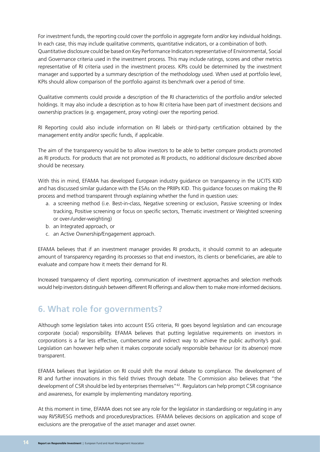<span id="page-13-0"></span>For investment funds, the reporting could cover the portfolio in aggregate form and/or key individual holdings. In each case, this may include qualitative comments, quantitative indicators, or a combination of both. Quantitative disclosure could be based on Key Performance Indicators representative of Environmental, Social and Governance criteria used in the investment process. This may include ratings, scores and other metrics representative of RI criteria used in the investment process. KPIs could be determined by the investment manager and supported by a summary description of the methodology used. When used at portfolio level, KPIs should allow comparison of the portfolio against its benchmark over a period of time.

Qualitative comments could provide a description of the RI characteristics of the portfolio and/or selected holdings. It may also include a description as to how RI criteria have been part of investment decisions and ownership practices (e.g. engagement, proxy voting) over the reporting period.

RI Reporting could also include information on RI labels or third-party certification obtained by the management entity and/or specific funds, if applicable.

The aim of the transparency would be to allow investors to be able to better compare products promoted as RI products. For products that are not promoted as RI products, no additional disclosure described above should be necessary.

With this in mind, EFAMA has developed European industry guidance on transparency in the UCITS KIID and has discussed similar guidance with the ESAs on the PRIIPs KID. This guidance focuses on making the RI process and method transparent through explaining whether the fund in question uses:

- a. a screening method (i.e. Best-in-class, Negative screening or exclusion, Passive screening or Index tracking, Positive screening or focus on specific sectors, Thematic investment or Weighted screening or over-/under-weighting)
- b. an Integrated approach, or
- c. an Active Ownership/Engagement approach.

EFAMA believes that if an investment manager provides RI products, it should commit to an adequate amount of transparency regarding its processes so that end investors, its clients or beneficiaries, are able to evaluate and compare how it meets their demand for RI.

Increased transparency of client reporting, communication of investment approaches and selection methods would help investors distinguish between different RI offerings and allow them to make more informed decisions.

## **6. What role for governments?**

Although some legislation takes into account ESG criteria, RI goes beyond legislation and can encourage corporate (social) responsibility. EFAMA believes that putting legislative requirements on investors in corporations is a far less effective, cumbersome and indirect way to achieve the public authority's goal. Legislation can however help when it makes corporate socially responsible behaviour (or its absence) more transparent.

EFAMA believes that legislation on RI could shift the moral debate to compliance. The development of RI and further innovations in this field thrives through debate. The Commission also believes that "the development of CSR should be led by enterprises themselves"42. Regulators can help prompt CSR cognisance and awareness, for example by implementing mandatory reporting.

At this moment in time, EFAMA does not see any role for the legislator in standardising or regulating in any way RI/SRI/ESG methods and procedures/practices. EFAMA believes decisions on application and scope of exclusions are the prerogative of the asset manager and asset owner.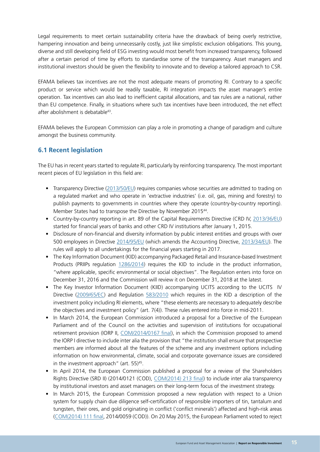<span id="page-14-0"></span>Legal requirements to meet certain sustainability criteria have the drawback of being overly restrictive, hampering innovation and being unnecessarily costly, just like simplistic exclusion obligations. This young, diverse and still developing field of ESG investing would most benefit from increased transparency, followed after a certain period of time by efforts to standardise some of the transparency. Asset managers and institutional investors should be given the flexibility to innovate and to develop a tailored approach to CSR.

EFAMA believes tax incentives are not the most adequate means of promoting RI. Contrary to a specific product or service which would be readily taxable, RI integration impacts the asset manager's entire operation. Tax incentives can also lead to inefficient capital allocations, and tax rules are a national, rather than EU competence. Finally, in situations where such tax incentives have been introduced, the net effect after abolishment is debatable<sup>43</sup>.

EFAMA believes the European Commission can play a role in promoting a change of paradigm and culture amongst the business community.

#### **6.1 Recent legislation**

The EU has in recent years started to regulate RI, particularly by reinforcing transparency. The most important recent pieces of EU legislation in this field are:

- Transparency Directive ([2013/50/EU](http://eur-lex.europa.eu/legal-content/EN/ALL/?uri=CELEX:32013L0050)) requires companies whose securities are admitted to trading on a regulated market and who operate in 'extractive industries' (i.e. oil, gas, mining and forestry) to publish payments to governments in countries where they operate (country-by-country reporting). Member States had to transpose the Directive by November 2015<sup>44</sup>.
- Country-by-country reporting in art. 89 of the Capital Requirements Directive (CRD IV, [2013/36/EU\)](http://eur-lex.europa.eu/legal-content/EN/TXT/?uri=uriserv:OJ.L_.2013.176.01.0338.01.ENG) started for financial years of banks and other CRD IV institutions after January 1, 2015.
- Disclosure of non-financial and diversity information by public interest entities and groups with over 500 employees in Directive [2014/95/EU](http://eur-lex.europa.eu/legal-content/EN/TXT/?uri=CELEX:32014L0095) (which amends the Accounting Directive, [2013/34/EU](http://eur-lex.europa.eu/legal-content/EN/TXT/?uri=CELEX:32013L0034)). The rules will apply to all undertakings for the financial years starting in 2017.
- The Key Information Document (KID) accompanying Packaged Retail and Insurance-based Investment Products (PRIIPs regulation [1286/2014\)](http://eur-lex.europa.eu/legal-content/EN/TXT/?uri=OJ:JOL_2014_352_R_0001) requires the KID to include in the product information, "where applicable, specific environmental or social objectives". The Regulation enters into force on December 31, 2016 and the Commission will review it on December 31, 2018 at the latest.
- The Key Investor Information Document (KIID) accompanying UCITS according to the UCITS IV Directive [\(2009/65/EC\)](http://eur-lex.europa.eu/LexUriServ/LexUriServ.do?uri=OJ:L:2009:302:0032:0096:EN:PDF) and Regulation [583/2010](http://eur-lex.europa.eu/LexUriServ/LexUriServ.do?uri=OJ:L:2010:176:0001:0015:EN:PDF) which requires in the KID a description of the investment policy including RI elements, where "these elements are necessary to adequately describe the objectives and investment policy" (art. 7(4)). These rules entered into force in mid-2011.
- In March 2014, the European Commission introduced a proposal for a Directive of the European Parliament and of the Council on the activities and supervision of institutions for occupational retirement provision (IORP II, [COM/2014/0167 final\)](http://eur-lex.europa.eu/legal-content/EN/TXT/?uri=COM:2014:0167:FIN), in which the Commission proposed to amend the IORP I directive to include inter alia the provision that "the institution shall ensure that prospective members are informed about all the features of the scheme and any investment options including information on how environmental, climate, social and corporate governance issues are considered in the investment approach" (art. 55)<sup>45</sup>.
- In April 2014, the European Commission published a proposal for a review of the Shareholders Rights Directive (SRD II) (2014/0121 (COD), [COM\(2014\) 213 final](http://eur-lex.europa.eu/legal-content/EN/TXT/?qid=1398680488759&uri=COM:2014:213:FIN)) to include inter alia transparency by institutional investors and asset managers on their long-term focus of the investment strategy.
- In March 2015, the European Commission proposed a new regulation with respect to a Union system for supply chain due diligence self-certification of responsible importers of tin, tantalum and tungsten, their ores, and gold originating in conflict ('conflict minerals') affected and high-risk areas ([COM\(2014\) 111 final](http://www.europarl.europa.eu/meetdocs/2014_2019/documents/com/com_com%282014%290111_/com_com%282014%290111_en.pdf), 2014/0059 (COD)). On 20 May 2015, the European Parliament voted to reject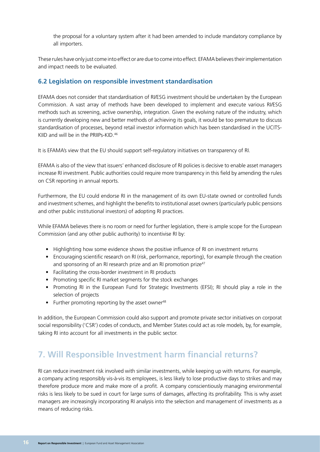<span id="page-15-0"></span>the proposal for a voluntary system after it had been amended to include mandatory compliance by all importers.

These rules have only just come into effect or are due to come into effect. EFAMA believes their implementation and impact needs to be evaluated.

#### **6.2 Legislation on responsible investment standardisation**

EFAMA does not consider that standardisation of RI/ESG investment should be undertaken by the European Commission. A vast array of methods have been developed to implement and execute various RI/ESG methods such as screening, active ownership, integration. Given the evolving nature of the industry, which is currently developing new and better methods of achieving its goals, it would be too premature to discuss standardisation of processes, beyond retail investor information which has been standardised in the UCITS-KIID and will be in the PRIIPs-KID.46

It is EFAMA's view that the EU should support self-regulatory initiatives on transparency of RI.

EFAMA is also of the view that issuers' enhanced disclosure of RI policies is decisive to enable asset managers increase RI investment. Public authorities could require more transparency in this field by amending the rules on CSR reporting in annual reports.

Furthermore, the EU could endorse RI in the management of its own EU-state owned or controlled funds and investment schemes, and highlight the benefits to institutional asset owners (particularly public pensions and other public institutional investors) of adopting RI practices.

While EFAMA believes there is no room or need for further legislation, there is ample scope for the European Commission (and any other public authority) to incentivise RI by:

- Highlighting how some evidence shows the positive influence of RI on investment returns
- Encouraging scientific research on RI (risk, performance, reporting), for example through the creation and sponsoring of an RI research prize and an RI promotion prize<sup>47</sup>
- Facilitating the cross-border investment in RI products
- Promoting specific RI market segments for the stock exchanges
- Promoting RI in the European Fund for Strategic Investments (EFSI); RI should play a role in the selection of projects
- Further promoting reporting by the asset owner $48$

In addition, the European Commission could also support and promote private sector initiatives on corporat social responsibility ('CSR') codes of conducts, and Member States could act as role models, by, for example, taking RI into account for all investments in the public sector.

## **7. Will Responsible Investment harm financial returns?**

RI can reduce investment risk involved with similar investments, while keeping up with returns. For example, a company acting responsibly vis-à-vis its employees, is less likely to lose productive days to strikes and may therefore produce more and make more of a profit. A company conscientiously managing environmental risks is less likely to be sued in court for large sums of damages, affecting its profitability. This is why asset managers are increasingly incorporating RI analysis into the selection and management of investments as a means of reducing risks.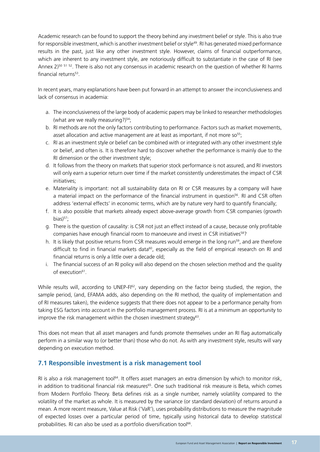<span id="page-16-0"></span>Academic research can be found to support the theory behind any investment belief or style. This is also true for responsible investment, which is another investment belief or style49. RI has generated mixed performance results in the past, just like any other investment style. However, claims of financial outperformance, which are inherent to any investment style, are notoriously difficult to substantiate in the case of RI (see Annex 2)<sup>50 51 52</sup>. There is also not any consensus in academic research on the question of whether RI harms financial returns<sup>53</sup>.

In recent years, many explanations have been put forward in an attempt to answer the inconclusiveness and lack of consensus in academia:

- a. The inconclusiveness of the large body of academic papers may be linked to researcher methodologies (what are we really measuring?) $54$ ;
- b. RI methods are not the only factors contributing to performance. Factors such as market movements, asset allocation and active management are at least as important, if not more  $so<sup>55</sup>$ ;
- c. RI as an investment style or belief can be combined with or integrated with any other investment style or belief, and often is. It is therefore hard to discover whether the performance is mainly due to the RI dimension or the other investment style;
- d. It follows from the theory on markets that superior stock performance is not assured, and RI investors will only earn a superior return over time if the market consistently underestimates the impact of CSR initiatives;
- e. Materiality is important: not all sustainability data on RI or CSR measures by a company will have a material impact on the performance of the financial instrument in question<sup>56</sup>. RI and CSR often address 'external effects' in economic terms, which are by nature very hard to quantify financially;
- f. It is also possible that markets already expect above-average growth from CSR companies (growth bias $)^{57}$ ;
- g. There is the question of causality: is CSR not just an effect instead of a cause, because only profitable companies have enough financial room to manoeuvre and invest in CSR initiatives<sup>58</sup>?
- h. It is likely that positive returns from CSR measures would emerge in the long run<sup>59</sup>, and are therefore difficult to find in financial markets data<sup>60</sup>, especially as the field of empirical research on RI and financial returns is only a little over a decade old;
- i. The financial success of an RI policy will also depend on the chosen selection method and the quality of execution<sup>61</sup>.

While results will, according to UNEP-FI<sup>62</sup>, vary depending on the factor being studied, the region, the sample period, (and, EFAMA adds, also depending on the RI method, the quality of implementation and of RI measures taken), the evidence suggests that there does not appear to be a performance penalty from taking ESG factors into account in the portfolio management process. RI is at a minimum an opportunity to improve the risk management within the chosen investment strategy $63$ .

This does not mean that all asset managers and funds promote themselves under an RI flag automatically perform in a similar way to (or better than) those who do not. As with any investment style, results will vary depending on execution method.

#### **7.1 Responsible investment is a risk management tool**

RI is also a risk management tool<sup>64</sup>. It offers asset managers an extra dimension by which to monitor risk, in addition to traditional financial risk measures<sup>65</sup>. One such traditional risk measure is Beta, which comes from Modern Portfolio Theory. Beta defines risk as a single number, namely volatility compared to the volatility of the market as whole. It is measured by the variance (or standard deviation) of returns around a mean. A more recent measure, Value at Risk ('VaR'), uses probability distributions to measure the magnitude of expected losses over a particular period of time, typically using historical data to develop statistical probabilities. RI can also be used as a portfolio diversification tool<sup>66</sup>.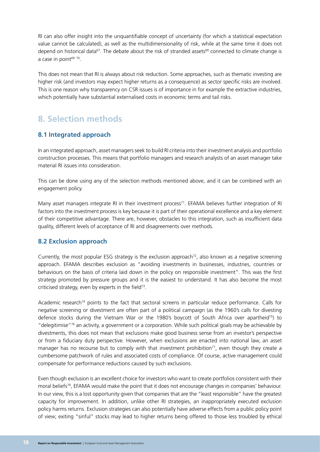<span id="page-17-0"></span>RI can also offer insight into the unquantifiable concept of uncertainty (for which a statistical expectation value cannot be calculated), as well as the multidimensionality of risk, while at the same time it does not depend on historical data<sup>67</sup>. The debate about the risk of stranded assets<sup>68</sup> connected to climate change is a case in point $6970$ .

This does not mean that RI is always about risk reduction. Some approaches, such as thematic investing are higher risk (and investors may expect higher returns as a consequence) as sector specific risks are involved. This is one reason why transparency on CSR issues is of importance in for example the extractive industries, which potentially have substantial externalised costs in economic terms and tail risks.

## **8. Selection methods**

#### **8.1 Integrated approach**

In an integrated approach, asset managers seek to build RI criteria into their investment analysis and portfolio construction processes. This means that portfolio managers and research analysts of an asset manager take material RI issues into consideration.

This can be done using any of the selection methods mentioned above, and it can be combined with an engagement policy.

Many asset managers integrate RI in their investment process<sup>71</sup>. EFAMA believes further integration of RI factors into the investment process is key because it is part of their operational excellence and a key element of their competitive advantage. There are, however, obstacles to this integration, such as insufficient data quality, different levels of acceptance of RI and disagreements over methods.

### **8.2 Exclusion approach**

Currently, the most popular ESG strategy is the exclusion approach<sup>72</sup>, also known as a negative screening approach. EFAMA describes exclusion as "avoiding investments in businesses, industries, countries or behaviours on the basis of criteria laid down in the policy on responsible investment". This was the first strategy promoted by pressure groups and it is the easiest to understand. It has also become the most criticised strategy, even by experts in the field $73$ .

Academic research<sup>74</sup> points to the fact that sectoral screens in particular reduce performance. Calls for negative screening or divestment are often part of a political campaign (as the 1960's calls for divesting defence stocks during the Vietnam War or the 1980's boycott of South Africa over apartheid<sup>75</sup>) to "delegitimise" $76$  an activity, a government or a corporation. While such political goals may be achievable by divestments, this does not mean that exclusions make good business sense from an investor's perspective or from a fiduciary duty perspective. However, when exclusions are enacted into national law, an asset manager has no recourse but to comply with that investment prohibition<sup>77</sup>, even though they create a cumbersome patchwork of rules and associated costs of compliance. Of course, active management could compensate for performance reductions caused by such exclusions.

Even though exclusion is an excellent choice for investors who want to create portfolios consistent with their moral beliefs<sup>78</sup>, EFAMA would make the point that it does not encourage changes in companies' behaviour. In our view, this is a lost opportunity given that companies that are the "least responsible" have the greatest capacity for improvement. In addition, unlike other RI strategies, an inappropriately executed exclusion policy harms returns. Exclusion strategies can also potentially have adverse effects from a public policy point of view; exiting "sinful" stocks may lead to higher returns being offered to those less troubled by ethical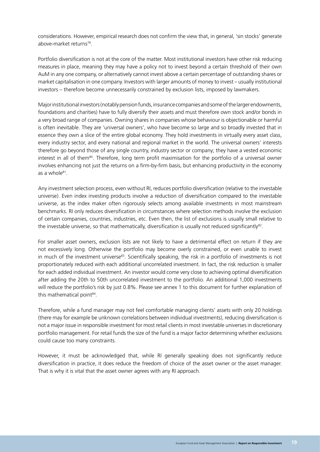considerations. However, empirical research does not confirm the view that, in general, 'sin stocks' generate above-market returns79.

Portfolio diversification is not at the core of the matter. Most institutional investors have other risk reducing measures in place, meaning they may have a policy not to invest beyond a certain threshold of their own AuM in any one company, or alternatively cannot invest above a certain percentage of outstanding shares or market capitalisation in one company. Investors with larger amounts of money to invest – usually institutional investors – therefore become unnecessarily constrained by exclusion lists, imposed by lawmakers.

Major institutional investors (notably pension funds, insurance companies and some of the larger endowments, foundations and charities) have to fully diversify their assets and must therefore own stock and/or bonds in a very broad range of companies. Owning shares in companies whose behaviour is objectionable or harmful is often inevitable. They are 'universal owners', who have become so large and so broadly invested that in essence they own a slice of the entire global economy. They hold investments in virtually every asset class, every industry sector, and every national and regional market in the world. The universal owners' interests therefore go beyond those of any single country, industry sector or company; they have a vested economic interest in all of them<sup>80</sup>. Therefore, long term profit maximisation for the portfolio of a universal owner involves enhancing not just the returns on a firm-by-firm basis, but enhancing productivity in the economy as a whole<sup>81</sup>.

Any investment selection process, even without RI, reduces portfolio diversification (relative to the investable universe). Even index investing products involve a reduction of diversification compared to the investable universe, as the index maker often rigorously selects among available investments in most mainstream benchmarks. RI only reduces diversification in circumstances where selection methods involve the exclusion of certain companies, countries, industries, etc. Even then, the list of exclusions is usually small relative to the investable universe, so that mathematically, diversification is usually not reduced significantly<sup>82</sup>.

For smaller asset owners, exclusion lists are not likely to have a detrimental effect on return if they are not excessively long. Otherwise the portfolio may become overly constrained, or even unable to invest in much of the investment universe<sup>83</sup>. Scientifically speaking, the risk in a portfolio of investments is not proportionately reduced with each additional uncorrelated investment. In fact, the risk reduction is smaller for each added individual investment. An investor would come very close to achieving optimal diversification after adding the 20th to 50th uncorrelated investment to the portfolio. An additional 1,000 investments will reduce the portfolio's risk by just 0.8%. Please see annex 1 to this document for further explanation of this mathematical point<sup>84</sup>.

Therefore, while a fund manager may not feel comfortable managing clients' assets with only 20 holdings (there may for example be unknown correlations between individual investments), reducing diversification is not a major issue in responsible investment for most retail clients in most investable universes in discretionary portfolio management. For retail funds the size of the fund is a major factor determining whether exclusions could cause too many constraints.

However, it must be acknowledged that, while RI generally speaking does not significantly reduce diversification in practice, it does reduce the freedom of choice of the asset owner or the asset manager. That is why it is vital that the asset owner agrees with any RI approach.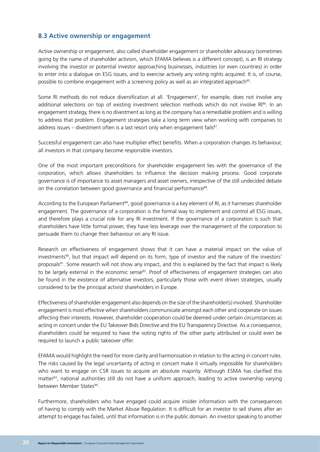#### <span id="page-19-0"></span>**8.3 Active ownership or engagement**

Active ownership or engagement, also called shareholder engagement or shareholder advocacy (sometimes going by the name of shareholder activism, which EFAMA believes is a different concept), is an RI strategy involving the investor or potential investor approaching businesses, industries (or even countries) in order to enter into a dialogue on ESG issues, and to exercise actively any voting rights acquired. It is, of course, possible to combine engagement with a screening policy as well as an integrated approach<sup>85</sup>.

Some RI methods do not reduce diversification at all. 'Engagement', for example, does not involve any additional selections on top of existing investment selection methods which do not involve RI<sup>86</sup>. In an engagement strategy, there is no divestment as long as the company has a remediable problem and is willing to address that problem. Engagement strategies take a long term view when working with companies to address issues – divestment often is a last resort only when engagement fails $^{87}$ .

Successful engagement can also have multiplier effect benefits. When a corporation changes its behaviour, all investors in that company become responsible investors.

One of the most important preconditions for shareholder engagement lies with the governance of the corporation, which allows shareholders to influence the decision making process. Good corporate governance is of importance to asset managers and asset owners, irrespective of the still undecided debate on the correlation between good governance and financial performance<sup>88</sup>.

According to the European Parliament<sup>89</sup>, good governance is a key element of RI, as it harnesses shareholder engagement. The governance of a corporation is the formal way to implement and control all ESG issues, and therefore plays a crucial role for any RI investment. If the governance of a corporation is such that shareholders have little formal power, they have less leverage over the management of the corporation to persuade them to change their behaviour on any RI issue.

Research on effectiveness of engagement shows that it can have a material impact on the value of investments90, but that impact will depend on its form, type of investor and the nature of the investors' proposals<sup>91</sup>. Some research will not show any impact, and this is explained by the fact that impact is likely to be largely external in the economic sense<sup>92</sup>. Proof of effectiveness of engagement strategies can also be found in the existence of alternative investors, particularly those with event driven strategies, usually considered to be the principal activist shareholders in Europe.

Effectiveness of shareholder engagement also depends on the size of the shareholder(s) involved. Shareholder engagement is most effective when shareholders communicate amongst each other and cooperate on issues affecting their interests. However, shareholder cooperation could be deemed under certain circumstances as acting in concert under the EU Takeover Bids Directive and the EU Transparency Directive. As a consequence, shareholders could be required to have the voting rights of the other party attributed or could even be required to launch a public takeover offer.

EFAMA would highlight the need for more clarity and harmonisation in relation to the acting in concert rules. The risks caused by the legal uncertainty of acting in concert make it virtually impossible for shareholders who want to engage on CSR issues to acquire an absolute majority. Although ESMA has clarified this matter<sup>93</sup>, national authorities still do not have a uniform approach, leading to active ownership varying between Member States<sup>94</sup>

Furthermore, shareholders who have engaged could acquire insider information with the consequences of having to comply with the Market Abuse Regulation. It is difficult for an investor to sell shares after an attempt to engage has failed, until that information is in the public domain. An investor speaking to another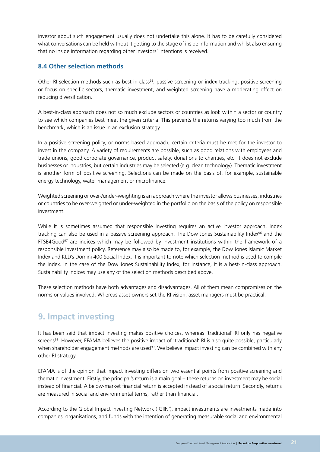<span id="page-20-0"></span>investor about such engagement usually does not undertake this alone. It has to be carefully considered what conversations can be held without it getting to the stage of inside information and whilst also ensuring that no inside information regarding other investors' intentions is received.

#### **8.4 Other selection methods**

Other RI selection methods such as best-in-class<sup>95</sup>, passive screening or index tracking, positive screening or focus on specific sectors, thematic investment, and weighted screening have a moderating effect on reducing diversification.

A best-in-class approach does not so much exclude sectors or countries as look within a sector or country to see which companies best meet the given criteria. This prevents the returns varying too much from the benchmark, which is an issue in an exclusion strategy.

In a positive screening policy, or norms based approach, certain criteria must be met for the investor to invest in the company. A variety of requirements are possible, such as good relations with employees and trade unions, good corporate governance, product safety, donations to charities, etc. It does not exclude businesses or industries, but certain industries may be selected (e.g. clean technology). Thematic investment is another form of positive screening. Selections can be made on the basis of, for example, sustainable energy technology, water management or microfinance.

Weighted screening or over-/under-weighting is an approach where the investor allows businesses, industries or countries to be over-weighted or under-weighted in the portfolio on the basis of the policy on responsible investment.

While it is sometimes assumed that responsible investing requires an active investor approach, index tracking can also be used in a passive screening approach. The Dow Jones Sustainability Index96 and the FTSE4Good<sup>97</sup> are indices which may be followed by investment institutions within the framework of a responsible investment policy. Reference may also be made to, for example, the Dow Jones Islamic Market Index and KLD's Domini 400 Social Index. It is important to note which selection method is used to compile the index. In the case of the Dow Jones Sustainability Index, for instance, it is a best-in-class approach. Sustainability indices may use any of the selection methods described above.

These selection methods have both advantages and disadvantages. All of them mean compromises on the norms or values involved. Whereas asset owners set the RI vision, asset managers must be practical.

## **9. Impact investing**

It has been said that impact investing makes positive choices, whereas 'traditional' RI only has negative screens<sup>98</sup>. However, EFAMA believes the positive impact of 'traditional' RI is also quite possible, particularly when shareholder engagement methods are used<sup>99</sup>. We believe impact investing can be combined with any other RI strategy.

EFAMA is of the opinion that impact investing differs on two essential points from positive screening and thematic investment. Firstly, the principal's return is a main goal – these returns on investment may be social instead of financial. A below-market financial return is accepted instead of a social return. Secondly, returns are measured in social and environmental terms, rather than financial.

According to the Global Impact Investing Network ('GIIN'), impact investments are investments made into companies, organisations, and funds with the intention of generating measurable social and environmental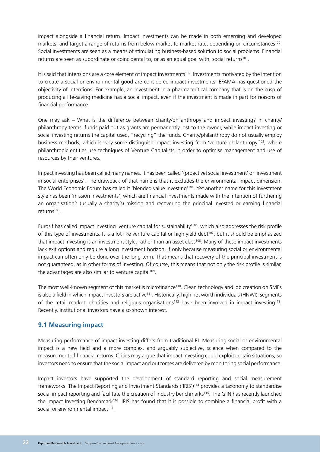<span id="page-21-0"></span>impact alongside a financial return. Impact investments can be made in both emerging and developed markets, and target a range of returns from below market to market rate, depending on circumstances<sup>100</sup>. Social investments are seen as a means of stimulating business-based solution to social problems. Financial returns are seen as subordinate or coincidental to, or as an equal goal with, social returns<sup>101</sup>.

It is said that intensions are a core element of impact investments<sup>102</sup>. Investments motivated by the intention to create a social or environmental good are considered impact investments. EFAMA has questioned the objectivity of intentions. For example, an investment in a pharmaceutical company that is on the cusp of producing a life-saving medicine has a social impact, even if the investment is made in part for reasons of financial performance.

One may ask – What is the difference between charity/philanthropy and impact investing? In charity/ philanthropy terms, funds paid out as grants are permanently lost to the owner, while impact investing or social investing returns the capital used, "recycling" the funds. Charity/philanthropy do not usually employ business methods, which is why some distinguish impact investing from 'venture philanthropy'<sup>103</sup>, where philanthropic entities use techniques of Venture Capitalists in order to optimise management and use of resources by their ventures.

Impact investing has been called many names. It has been called '(proactive) social investment' or 'investment in social enterprises'. The drawback of that name is that it excludes the environmental impact dimension. The World Economic Forum has called it 'blended value investing'104. Yet another name for this investment style has been 'mission investments', which are financial investments made with the intention of furthering an organisation's (usually a charity's) mission and recovering the principal invested or earning financial returns105.

Eurosif has called impact investing 'venture capital for sustainability'<sup>106</sup>, which also addresses the risk profile of this type of investments. It is a lot like venture capital or high yield debt $107$ , but it should be emphasized that impact investing is an investment style, rather than an asset class<sup>108</sup>. Many of these impact investments lack exit options and require a long investment horizon, if only because measuring social or environmental impact can often only be done over the long term. That means that recovery of the principal investment is not guaranteed, as in other forms of investing. Of course, this means that not only the risk profile is similar, the advantages are also similar to venture capital<sup>109</sup>.

The most well-known segment of this market is microfinance<sup>110</sup>. Clean technology and job creation on SMEs is also a field in which impact investors are active<sup>111</sup>. Historically, high net worth individuals (HNWI), segments of the retail market, charities and religious organisations<sup>112</sup> have been involved in impact investing<sup>113</sup>. Recently, institutional investors have also shown interest.

#### **9.1 Measuring impact**

Measuring performance of impact investing differs from traditional RI. Measuring social or environmental impact is a new field and a more complex, and arguably subjective, science when compared to the measurement of financial returns. Critics may argue that impact investing could exploit certain situations, so investors need to ensure that the social impact and outcomes are delivered by monitoring social performance.

Impact investors have supported the development of standard reporting and social measurement frameworks. The Impact Reporting and Investment Standards ('IRIS')114 provides a taxonomy to standardise social impact reporting and facilitate the creation of industry benchmarks<sup>115</sup>. The GIIN has recently launched the Impact Investing Benchmark116. IRIS has found that it is possible to combine a financial profit with a social or environmental impact<sup>117</sup>.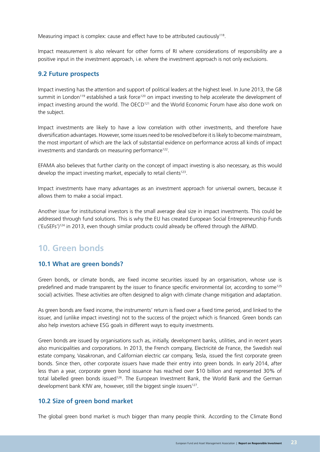<span id="page-22-0"></span>Measuring impact is complex: cause and effect have to be attributed cautiously<sup>118</sup>.

Impact measurement is also relevant for other forms of RI where considerations of responsibility are a positive input in the investment approach, i.e. where the investment approach is not only exclusions.

#### **9.2 Future prospects**

Impact investing has the attention and support of political leaders at the highest level. In June 2013, the G8 summit in London<sup>119</sup> established a task force<sup>120</sup> on impact investing to help accelerate the development of impact investing around the world. The OECD<sup>121</sup> and the World Economic Forum have also done work on the subject.

Impact investments are likely to have a low correlation with other investments, and therefore have diversification advantages. However, some issues need to be resolved before it is likely to become mainstream, the most important of which are the lack of substantial evidence on performance across all kinds of impact investments and standards on measuring performance<sup>122</sup>.

EFAMA also believes that further clarity on the concept of impact investing is also necessary, as this would develop the impact investing market, especially to retail clients<sup>123</sup>.

Impact investments have many advantages as an investment approach for universal owners, because it allows them to make a social impact.

Another issue for institutional investors is the small average deal size in impact investments. This could be addressed through fund solutions. This is why the EU has created European Social Entrepreneurship Funds ('EuSEFs')124 in 2013, even though similar products could already be offered through the AIFMD.

### **10. Green bonds**

#### **10.1 What are green bonds?**

Green bonds, or climate bonds, are fixed income securities issued by an organisation, whose use is predefined and made transparent by the issuer to finance specific environmental (or, according to some<sup>125</sup> social) activities. These activities are often designed to align with climate change mitigation and adaptation.

As green bonds are fixed income, the instruments' return is fixed over a fixed time period, and linked to the issuer, and (unlike impact investing) not to the success of the project which is financed. Green bonds can also help investors achieve ESG goals in different ways to equity investments.

Green bonds are issued by organisations such as, initially, development banks, utilities, and in recent years also municipalities and corporations. In 2013, the French company, Electricité de France, the Swedish real estate company, Vasakronan, and Californian electric car company, Tesla, issued the first corporate green bonds. Since then, other corporate issuers have made their entry into green bonds. In early 2014, after less than a year, corporate green bond issuance has reached over \$10 billion and represented 30% of total labelled green bonds issued<sup>126</sup>. The European Investment Bank, the World Bank and the German development bank KfW are, however, still the biggest single issuers<sup>127</sup>.

#### **10.2 Size of green bond market**

The global green bond market is much bigger than many people think. According to the Climate Bond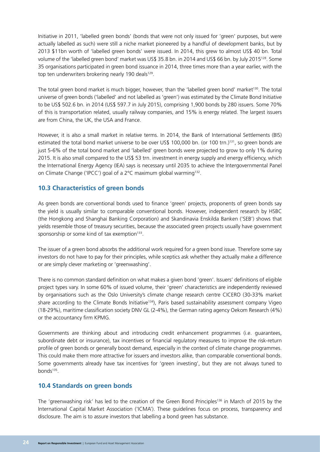<span id="page-23-0"></span>Initiative in 2011, 'labelled green bonds' (bonds that were not only issued for 'green' purposes, but were actually labelled as such) were still a niche market pioneered by a handful of development banks, but by 2013 \$11bn worth of 'labelled green bonds' were issued. In 2014, this grew to almost US\$ 40 bn. Total volume of the 'labelled green bond' market was US\$ 35.8 bn. in 2014 and US\$ 66 bn. by July 2015128. Some 35 organisations participated in green bond issuance in 2014, three times more than a year earlier, with the top ten underwriters brokering nearly 190 deals<sup>129</sup>.

The total green bond market is much bigger, however, than the 'labelled green bond' market<sup>130</sup>. The total universe of green bonds ('labelled' and not labelled as 'green') was estimated by the Climate Bond Initiative to be US\$ 502.6 bn. in 2014 (US\$ 597.7 in July 2015), comprising 1,900 bonds by 280 issuers. Some 70% of this is transportation related, usually railway companies, and 15% is energy related. The largest issuers are from China, the UK, the USA and France.

However, it is also a small market in relative terms. In 2014, the Bank of International Settlements (BIS) estimated the total bond market universe to be over US\$ 100,000 bn. (or 100 trn.)131, so green bonds are just 5-6% of the total bond market and 'labelled' green bonds were projected to grow to only 1% during 2015. It is also small compared to the US\$ 53 trn. investment in energy supply and energy efficiency, which the International Energy Agency (IEA) says is necessary until 2035 to achieve the Intergovernmental Panel on Climate Change ('IPCC') goal of a 2°C maximum global warming132.

#### **10.3 Characteristics of green bonds**

As green bonds are conventional bonds used to finance 'green' projects, proponents of green bonds say the yield is usually similar to comparable conventional bonds. However, independent research by HSBC (the Hongkong and Shanghai Banking Corporation) and Skandinavia Enskilda Banken ('SEB') shows that yields resemble those of treasury securities, because the associated green projects usually have government sponsorship or some kind of tax exemption<sup>133</sup>.

The issuer of a green bond absorbs the additional work required for a green bond issue. Therefore some say investors do not have to pay for their principles, while sceptics ask whether they actually make a difference or are simply clever marketing or 'greenwashing'.

There is no common standard definition on what makes a given bond 'green'. Issuers' definitions of eligible project types vary. In some 60% of issued volume, their 'green' characteristics are independently reviewed by organisations such as the Oslo University's climate change research centre CICERO (30-33% market share according to the Climate Bonds Initiative<sup>134</sup>), Paris based sustainability assessment company Vigeo (18-29%), maritime classification society DNV GL (2-4%), the German rating agency Oekom Research (4%) or the accountancy firm KPMG.

Governments are thinking about and introducing credit enhancement programmes (i.e. guarantees, subordinate debt or insurance), tax incentives or financial regulatory measures to improve the risk-return profile of green bonds or generally boost demand, especially in the context of climate change programmes. This could make them more attractive for issuers and investors alike, than comparable conventional bonds. Some governments already have tax incentives for 'green investing', but they are not always tuned to bonds $135$ .

#### **10.4 Standards on green bonds**

The 'greenwashing risk' has led to the creation of the Green Bond Principles<sup>136</sup> in March of 2015 by the International Capital Market Association ('ICMA'). These guidelines focus on process, transparency and disclosure. The aim is to assure investors that labelling a bond green has substance.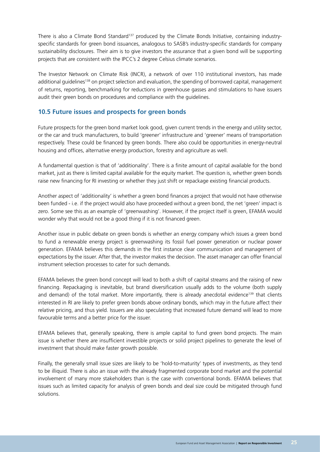<span id="page-24-0"></span>There is also a Climate Bond Standard<sup>137</sup> produced by the Climate Bonds Initiative, containing industryspecific standards for green bond issuances, analogous to SASB's industry-specific standards for company sustainability disclosures. Their aim is to give investors the assurance that a given bond will be supporting projects that are consistent with the IPCC's 2 degree Celsius climate scenarios.

The Investor Network on Climate Risk (INCR), a network of over 110 institutional investors, has made additional guidelines<sup>138</sup> on project selection and evaluation, the spending of borrowed capital, management of returns, reporting, benchmarking for reductions in greenhouse gasses and stimulations to have issuers audit their green bonds on procedures and compliance with the guidelines.

#### **10.5 Future issues and prospects for green bonds**

Future prospects for the green bond market look good, given current trends in the energy and utility sector, or the car and truck manufacturers, to build 'greener' infrastructure and 'greener' means of transportation respectively. These could be financed by green bonds. There also could be opportunities in energy-neutral housing and offices, alternative energy production, forestry and agriculture as well.

A fundamental question is that of 'additionality'. There is a finite amount of capital available for the bond market, just as there is limited capital available for the equity market. The question is, whether green bonds raise new financing for RI investing or whether they just shift or repackage existing financial products.

Another aspect of 'additionality' is whether a green bond finances a project that would not have otherwise been funded - i.e. if the project would also have proceeded without a green bond, the net 'green' impact is zero. Some see this as an example of 'greenwashing'. However, if the project itself is green, EFAMA would wonder why that would not be a good thing if it is not financed green.

Another issue in public debate on green bonds is whether an energy company which issues a green bond to fund a renewable energy project is greenwashing its fossil fuel power generation or nuclear power generation. EFAMA believes this demands in the first instance clear communication and management of expectations by the issuer. After that, the investor makes the decision. The asset manager can offer financial instrument selection processes to cater for such demands.

EFAMA believes the green bond concept will lead to both a shift of capital streams and the raising of new financing. Repackaging is inevitable, but brand diversification usually adds to the volume (both supply and demand) of the total market. More importantly, there is already anecdotal evidence<sup>139</sup> that clients interested in RI are likely to prefer green bonds above ordinary bonds, which may in the future affect their relative pricing, and thus yield. Issuers are also speculating that increased future demand will lead to more favourable terms and a better price for the issuer.

EFAMA believes that, generally speaking, there is ample capital to fund green bond projects. The main issue is whether there are insufficient investible projects or solid project pipelines to generate the level of investment that should make faster growth possible.

Finally, the generally small issue sizes are likely to be 'hold-to-maturity' types of investments, as they tend to be illiquid. There is also an issue with the already fragmented corporate bond market and the potential involvement of many more stakeholders than is the case with conventional bonds. EFAMA believes that issues such as limited capacity for analysis of green bonds and deal size could be mitigated through fund solutions.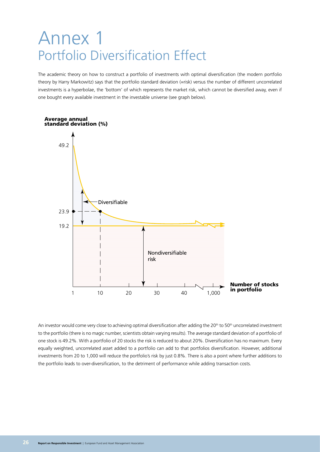## <span id="page-25-0"></span>Annex 1 Portfolio Diversification Effect

The academic theory on how to construct a portfolio of investments with optimal diversification (the modern portfolio theory by Harry Markowitz) says that the portfolio standard deviation (=risk) versus the number of different uncorrelated investments is a hyperbolae, the 'bottom' of which represents the market risk, which cannot be diversified away, even if one bought every available investment in the investable universe (see graph below).



An investor would come very close to achieving optimal diversification after adding the 20<sup>th</sup> to 50<sup>th</sup> uncorrelated investment to the portfolio (there is no magic number, scientists obtain varying results). The average standard deviation of a portfolio of one stock is 49.2%. With a portfolio of 20 stocks the risk is reduced to about 20%. Diversification has no maximum. Every equally weighted, uncorrelated asset added to a portfolio can add to that portfolios diversification. However, additional investments from 20 to 1,000 will reduce the portfolio's risk by just 0.8%. There is also a point where further additions to the portfolio leads to over-diversification, to the detriment of performance while adding transaction costs.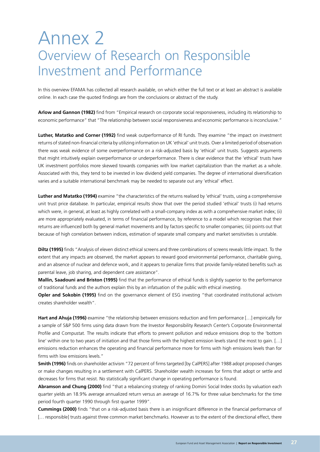## <span id="page-26-0"></span>Annex 2 Overview of Research on Responsible Investment and Performance

In this overview EFAMA has collected all research available, on which either the full text or at least an abstract is available online. In each case the quoted findings are from the conclusions or abstract of the study.

**Arlow and Gannon (1982)** find from "Empirical research on corporate social responsiveness, including its relationship to economic performance" that "The relationship between social responsiveness and economic performance is inconclusive."

**Luther, Matatko and Corner (1992)** find weak outperformance of RI funds. They examine "the impact on investment returns of stated non-financial criteria by utilizing information on UK 'ethical' unit trusts. Over a limited period of observation there was weak evidence of some overperformance on a risk-adjusted basis by 'ethical' unit trusts. Suggests arguments that might intuitively explain overperformance or underperformance. There is clear evidence that the 'ethical' trusts have UK investment portfolios more skewed towards companies with low market capitalization than the market as a whole. Associated with this, they tend to be invested in low dividend yield companies. The degree of international diversification varies and a suitable international benchmark may be needed to separate out any 'ethical' effect.

**Luther and Matatko (1994)** examine "the characteristics of the returns realised by 'ethical' trusts, using a comprehensive unit trust price database. In particular, empirical results show that over the period studied 'ethical' trusts (i) had returns which were, in general, at least as highly correlated with a small-company index as with a comprehensive market index; (ii) are more appropriately evaluated, in terms of financial performance, by reference to a model which recognises that their returns are influenced both by general market movements and by factors specific to smaller companies; (iii) points out that because of high correlation between indices, estimation of separate small company and market sensitivities is unstable.

**Diltz (1995)** finds "Analysis of eleven distinct ethical screens and three combinations of screens reveals little impact. To the extent that any impacts are observed, the market appears to reward good environmental performance, charitable giving, and an absence of nuclear and defence work, and it appears to penalize firms that provide family-related benefits such as parental leave, job sharing, and dependent care assistance".

**Mallin, Saadouni and Briston (1995)** find that the performance of ethical funds is slightly superior to the performance of traditional funds and the authors explain this by an infatuation of the public with ethical investing.

**Opler and Sokobin (1995)** find on the governance element of ESG investing "that coordinated institutional activism creates shareholder wealth".

**Hart and Ahuja (1996)** examine "the relationship between emissions reduction and firm performance […] empirically for a sample of S&P 500 firms using data drawn from the Investor Responsibility Research Center's Corporate Environmental Profile and Compustat. The results indicate that efforts to prevent pollution and reduce emissions drop to the 'bottom line' within one to two years of initiation and that those firms with the highest emission levels stand the most to gain. […] emissions reduction enhances the operating and financial performance more for firms with high emissions levels than for firms with low emissions levels."

**Smith (1996)** finds on shareholder activism "72 percent of firms targeted [by CalPERS] after 1988 adopt proposed changes or make changes resulting in a settlement with CalPERS. Shareholder wealth increases for firms that adopt or settle and decreases for firms that resist. No statistically significant change in operating performance is found.

**Abramson and Chung (2000)** find "that a rebalancing strategy of ranking Domini Social Index stocks by valuation each quarter yields an 18.9% average annualized return versus an average of 16.7% for three value benchmarks for the time period fourth quarter 1990 through first quarter 1999".

**Cummings (2000)** finds "that on a risk-adjusted basis there is an insignificant difference in the financial performance of [... responsible] trusts against three common market benchmarks. However as to the extent of the directional effect, there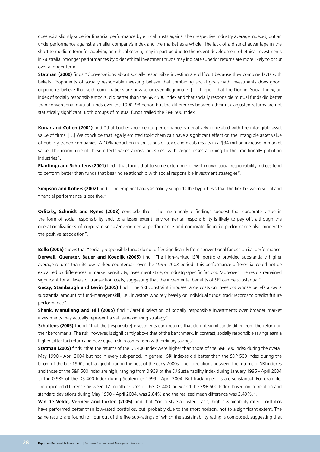does exist slightly superior financial performance by ethical trusts against their respective industry average indexes, but an underperformance against a smaller company's index and the market as a whole. The lack of a distinct advantage in the short to medium term for applying an ethical screen, may in part be due to the recent development of ethical investments in Australia. Stronger performances by older ethical investment trusts may indicate superior returns are more likely to occur over a longer term.

**Statman (2000)** finds "Conversations about socially responsible investing are difficult because they combine facts with beliefs. Proponents of socially responsible investing believe that combining social goals with investments does good; opponents believe that such combinations are unwise or even illegitimate. […] I report that the Domini Social Index, an index of socially responsible stocks, did better than the S&P 500 Index and that socially responsible mutual funds did better than conventional mutual funds over the 1990–98 period but the differences between their risk-adjusted returns are not statistically significant. Both groups of mutual funds trailed the S&P 500 Index".

**Konar and Cohen (2001)** find "that bad environmental performance is negatively correlated with the intangible asset value of firms. […] We conclude that legally emitted toxic chemicals have a significant effect on the intangible asset value of publicly traded companies. A 10% reduction in emissions of toxic chemicals results in a \$34 million increase in market value. The magnitude of these effects varies across industries, with larger losses accruing to the traditionally polluting industries".

**Plantinga and Scholtens (2001)** find "that funds that to some extent mirror well known social responsibility indices tend to perform better than funds that bear no relationship with social responsible investment strategies".

**Simpson and Kohers (2002)** find "The empirical analysis solidly supports the hypothesis that the link between social and financial performance is positive."

**Orlitzky, Schmidt and Rynes (2003)** conclude that "The meta-analytic findings suggest that corporate virtue in the form of social responsibility and, to a lesser extent, environmental responsibility is likely to pay off, although the operationalizations of corporate social/environmental performance and corporate financial performance also moderate the positive association".

**Bello (2005)** shows that "socially responsible funds do not differ significantly from conventional funds" on i.a. performance. **Derwall, Guenster, Bauer and Koedijk (2005)** find "The high-ranked [SRI] portfolio provided substantially higher average returns than its low-ranked counterpart over the 1995–2003 period. This performance differential could not be explained by differences in market sensitivity, investment style, or industry-specific factors. Moreover, the results remained significant for all levels of transaction costs, suggesting that the incremental benefits of SRI can be substantial".

**Geczy, Stambaugh and Levin (2005)** find "The SRI constraint imposes large costs on investors whose beliefs allow a substantial amount of fund-manager skill, i.e., investors who rely heavily on individual funds' track records to predict future performance".

**Shank, Manullang and Hill (2005)** find "Careful selection of socially responsible investments over broader market investments may actually represent a value-maximizing strategy".

**Scholtens (2005)** found "that the [responsible] investments earn returns that do not significantly differ from the return on their benchmarks. The risk, however, is significantly above that of the benchmark. In contrast, socially responsible savings earn a higher (after-tax) return and have equal risk in comparison with ordinary savings".

**Statman (2005)** finds "that the returns of the DS 400 Index were higher than those of the S&P 500 Index during the overall May 1990 - April 2004 but not in every sub-period. In general, SRI indexes did better than the S&P 500 Index during the boom of the late 1990s but lagged it during the bust of the early 2000s. The correlations between the returns of SRI indexes and those of the S&P 500 Index are high, ranging from 0.939 of the DJ Sustainability Index during January 1995 - April 2004 to the 0.985 of the DS 400 Index during September 1999 - April 2004. But tracking errors are substantial. For example, the expected difference between 12-month returns of the DS 400 Index and the S&P 500 Index, based on correlation and standard deviations during May 1990 - April 2004, was 2.84% and the realized mean difference was 2.49%.".

**Van de Velde, Vermeir and Corten (2005)** find that "on a style-adjusted basis, high sustainability-rated portfolios have performed better than low-rated portfolios, but, probably due to the short horizon, not to a significant extent. The same results are found for four out of the five sub-ratings of which the sustainability rating is composed, suggesting that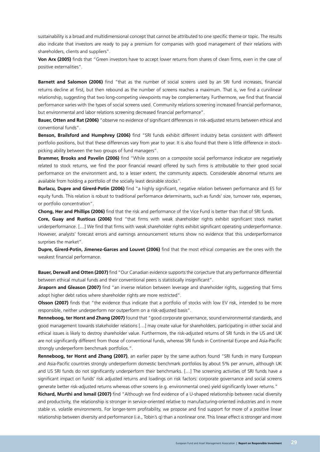sustainability is a broad and multidimensional concept that cannot be attributed to one specific theme or topic. The results also indicate that investors are ready to pay a premium for companies with good management of their relations with shareholders, clients and suppliers".

**Von Arx (2005)** finds that "Green investors have to accept lower returns from shares of clean firms, even in the case of positive externalities".

**Barnett and Salomon (2006)** find "that as the number of social screens used by an SRI fund increases, financial returns decline at first, but then rebound as the number of screens reaches a maximum. That is, we find a curvilinear relationship, suggesting that two long-competing viewpoints may be complementary. Furthermore, we find that financial performance varies with the types of social screens used. Community relations screening increased financial performance, but environmental and labor relations screening decreased financial performance".

**Bauer, Otten and Rat (2006)** "observe no evidence of significant differences in risk-adjusted returns between ethical and conventional funds".

**Benson, Brailsford and Humphrey (2006)** find "SRI funds exhibit different industry betas consistent with different portfolio positions, but that these differences vary from year to year. It is also found that there is little difference in stockpicking ability between the two groups of fund managers".

**Brammer, Brooks and Pavelin (2006)** find "While scores on a composite social performance indicator are negatively related to stock returns, we find the poor financial reward offered by such firms is attributable to their good social performance on the environment and, to a lesser extent, the community aspects. Considerable abnormal returns are available from holding a portfolio of the socially least desirable stocks".

**Burlacu, Dupre and Girerd-Potin (2006)** find "a highly significant, negative relation between performance and ES for equity funds. This relation is robust to traditional performance determinants, such as funds' size, turnover rate, expenses, or portfolio concentration".

**Chong, Her and Phillips (2006)** find that the risk and performance of the Vice Fund is better than that of SRI funds.

**Core, Guay and Rusticus (2006)** find "that firms with weak shareholder rights exhibit significant stock market underperformance. […] We find that firms with weak shareholder rights exhibit significant operating underperformance. However, analysts' forecast errors and earnings announcement returns show no evidence that this underperformance surprises the market".

**Dupre, Girerd-Potin, Jimenez-Garces and Louvet (2006)** find that the most ethical companies are the ones with the weakest financial performance.

**Bauer, Derwall and Otten (2007)** find "Our Canadian evidence supports the conjecture that any performance differential between ethical mutual funds and their conventional peers is statistically insignificant".

**Jiraporn and Gleason (2007)** find "an inverse relation between leverage and shareholder rights, suggesting that firms adopt higher debt ratios where shareholder rights are more restricted".

**Olsson (2007)** finds that "the evidence thus indicate that a portfolio of stocks with low EV risk, intended to be more responsible, neither underperform nor outperform on a risk-adjusted basis".

**Renneboog, ter Horst and Zhang (2007)** found that "good corporate governance, sound environmental standards, and good management towards stakeholder relations […] may create value for shareholders, participating in other social and ethical issues is likely to destroy shareholder value. Furthermore, the risk-adjusted returns of SRI funds in the US and UK are not significantly different from those of conventional funds, whereas SRI funds in Continental Europe and Asia-Pacific strongly underperform benchmark portfolios.".

**Renneboog, ter Horst and Zhang (2007)**, an earlier paper by the same authors found "SRI funds in many European and Asia-Pacific countries strongly underperform domestic benchmark portfolios by about 5% per annum, although UK and US SRI funds do not significantly underperform their benchmarks. […] The screening activities of SRI funds have a significant impact on funds' risk adjusted returns and loadings on risk factors: corporate governance and social screens generate better risk-adjusted returns whereas other screens (e.g. environmental ones) yield significantly lower returns."

**Richard, Murthi and Ismail (2007)** find "Although we find evidence of a U-shaped relationship between racial diversity and productivity, the relationship is stronger in service-oriented relative to manufacturing-oriented industries and in more stable vs. volatile environments. For longer-term profitability, we propose and find support for more of a positive linear relationship between diversity and performance (i.e., Tobin's q) than a nonlinear one. This linear effect is stronger and more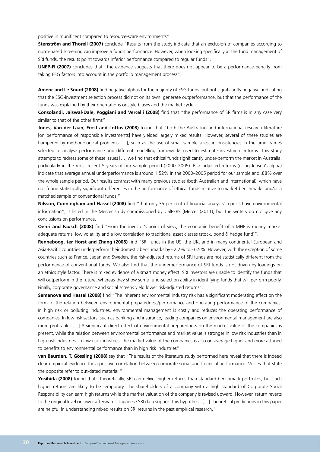positive in munificent compared to resource-scare environments".

**Stenström and Thorell (2007)** conclude "Results from the study indicate that an exclusion of companies according to norm-based screening can improve a fund's performance. However, when looking specifically at the fund management of SRI funds, the results point towards inferior performance compared to regular funds".

**UNEP-FI (2007)** concludes that "the evidence suggests that there does not appear to be a performance penalty from taking ESG factors into account in the portfolio management process".

**Amenc and Le Sourd (2008)** find negative alphas for the majority of ESG funds but not significantly negative, indicating that the ESG-investment selection process did not on its own generate outperformance, but that the performance of the funds was explained by their orientations or style biases and the market cycle.

**Consolandi, Jaiswal-Dale, Poggiani and Vercelli (2008)** find that "the performance of SR firms is in any case very similar to that of the other firms".

**Jones, Van der Laan, Frost and Loftus (2008)** found that "both the Australian and international research literature [on performance of responsible investments] have yielded largely mixed results. However, several of these studies are hampered by methodological problems […], such as the use of small sample sizes, inconsistencies in the time frames selected to analyse performance and different modelling frameworks used to estimate investment returns. This study attempts to redress some of these issues […] we find that ethical funds significantly under-perform the market in Australia, particularly in the most recent 5 years of our sample period (2000–2005). Risk adjusted returns (using Jensen's alpha) indicate that average annual underperformance is around 1.52% in the 2000–2005 period for our sample and .88% over the whole sample period. Our results contrast with many previous studies (both Australian and international), which have not found statistically significant differences in the performance of ethical funds relative to market benchmarks and/or a matched sample of conventional funds.".

**Nilsson, Cunningham and Hassel (2008)** find "that only 35 per cent of financial analysts' reports have environmental information", is listed in the Mercer study commissioned by CalPERS (Mercer (2011), but the writers do not give any conclusions on performance.

**Oehri and Fausch (2008)** find "From the investor's point of view, the economic benefit of a MFIF is money market adequate returns, low volatility and a low correlation to traditional asset classes (stock, bond & hedge fund)".

**Renneboog, ter Horst and Zhang (2008)** find "SRI funds in the US, the UK, and in many continental European and Asia-Pacific countries underperform their domestic benchmarks by - 2.2% to - 6.5%. However, with the exception of some countries such as France, Japan and Sweden, the risk-adjusted returns of SRI funds are not statistically different from the performance of conventional funds. We also find that the underperformance of SRI funds is not driven by loadings on an ethics style factor. There is mixed evidence of a smart money effect: SRI investors are unable to identify the funds that will outperform in the future, whereas they show some fund-selection ability in identifying funds that will perform poorly. Finally, corporate governance and social screens yield lower risk-adjusted returns".

**Semenova and Hassel (2008)** find "The inherent environmental industry risk has a significant moderating effect on the form of the relation between environmental preparedness/performance and operating performance of the companies. In high risk or polluting industries, environmental management is costly and reduces the operating performance of companies. In low risk sectors, such as banking and insurance, leading companies on environmental management are also more profitable. […] A significant direct effect of environmental preparedness on the market value of the companies is present, while the relation between environmental performance and market value is stronger in low risk industries than in high risk industries. In low risk industries, the market value of the companies is also on average higher and more attuned to benefits to environmental performance than in high risk industries".

**van Beurden, T. Gössling (2008)** say that "The results of the literature study performed here reveal that there is indeed clear empirical evidence for a positive correlation between corporate social and financial performance. Voices that state the opposite refer to out-dated material."

Yosihida (2008) found that "theoretically, SRI can deliver higher returns than standard benchmark portfolios, but such higher returns are likely to be temporary. The shareholders of a company with a high standard of Corporate Social Responsibility can earn high returns while the market valuation of the company is revised upward. However, return reverts to the original level or lower afterwards. Japanese SRI data support this hypothesis […] Theoretical predictions in this paper are helpful in understanding mixed results on SRI returns in the past empirical research."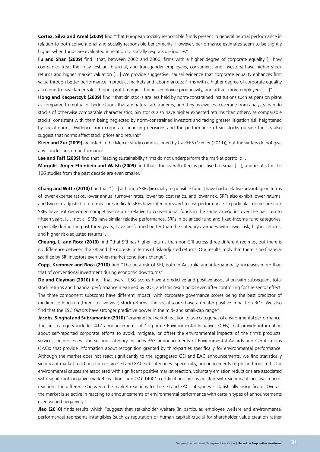**Cortez, Silva and Areal (2009)** find "that European socially responsible funds present in general neutral performance in relation to both conventional and socially responsible benchmarks. However, performance estimates seem to be slightly higher when funds are evaluated in relation to socially responsible indices".

**Fu and Shan (2009)** find "that, between 2002 and 2006, firms with a higher degree of corporate equality [= how companies treat their gay, lesbian, bisexual, and transgender employees, consumers, and investors] have higher stock returns and higher market valuation […] We provide suggestive, causal evidence that corporate equality enhances firm value through better performance in product markets and labor markets: Firms with a higher degree of corporate equality also tend to have larger sales, higher profit margins, higher employee productivity, and attract more employees […]".

**Hong and Kacperczyk (2009)** find "that sin stocks are less held by norm-constrained institutions such as pension plans as compared to mutual or hedge funds that are natural arbitrageurs, and they receive less coverage from analysts than do stocks of otherwise comparable characteristics. Sin stocks also have higher expected returns than otherwise comparable stocks, consistent with them being neglected by norm-constrained investors and facing greater litigation risk heightened by social norms. Evidence from corporate financing decisions and the performance of sin stocks outside the US also suggest that norms affect stock prices and returns".

**Klein and Zur (2009)** are listed in the Mercer study commissioned by CalPERS (Mercer (2011)), but the writers do not give any conclusions on performance.

**Lee and Faff (2009)** find that "leading sustainability firms do not underperform the market portfolio".

**Margolis, Anger Elfenbein and Walsh (2009)** find that "the overall effect is positive but small […], and results for the 106 studies from the past decade are even smaller."

**Chang and Witte (2010)** find that "[…] although SRFs [=socially responsible funds] have had a relative advantage in terms of lower expense ratios, lower annual turnover rates, lower tax cost ratios, and lower risk, SRFs also exhibit lower returns, and two risk-adjusted return measures indicate SRFs have inferior reward-to-risk performance. In particular, domestic stock SRFs have not generated competitive returns relative to conventional funds in the same categories over the past ten to fifteen years. […] not all SRFs have similar relative performance. SRFs in balanced fund and fixed-income fund categories, especially during the past three years, have performed better than the category averages with lower risk, higher returns, and higher risk-adjusted returns".

**Cheung, Li and Roca (2010)** find "that SRI has higher returns than non-SRI across three different regimes, but there is no difference between the SRI and the non-SRI in terms of risk-adjusted returns. Our results imply that there is no financial sacrifice by SRI investors even when market conditions change".

**Copp, Kremmer and Roca (2010)** find "The beta risk of SRI, both in Australia and internationally, increases more than that of conventional investment during economic downturns".

**De and Clayman (2010)** find "that overall ESG scores have a predictive and positive association with subsequent total stock returns and financial performance measured by ROE, and this result holds even after controlling for the sector effect. The three component subscores have different impact, with corporate governance scores being the best predictor of medium to long run (three- to five-year) stock returns. The social scores have a greater positive impact on ROE. We also find that the ESG factors have stronger predictive power in the mid- and small-cap range".

**Jacobs, Singhal and Subramanian (2010)** "examine the market reaction to two categories of environmental performance. The first category includes 417 announcements of Corporate Environmental Initiatives (CEIs) that provide information about self-reported corporate efforts to avoid, mitigate, or offset the environmental impacts of the firm's products, services, or processes. The second category includes 363 announcements of Environmental Awards and Certifications (EACs) that provide information about recognition granted by third-parties specifically for environmental performance. Although the market does not react significantly to the aggregated CEI and EAC announcements, we find statistically significant market reactions for certain CEI and EAC subcategories. Specifically, announcements of philanthropic gifts for environmental causes are associated with significant positive market reaction, voluntary emission reductions are associated with significant negative market reaction, and ISO 14001 certifications are associated with significant positive market reaction. The difference between the market reactions to the CEI and EAC categories is statistically insignificant. Overall, the market is selective in reacting to announcements of environmental performance with certain types of announcements even valued negatively."

Jiao (2010) finds results which "suggest that stakeholder welfare (in particular, employee welfare and environmental performance) represents intangibles (such as reputation or human capital) crucial for shareholder value creation rather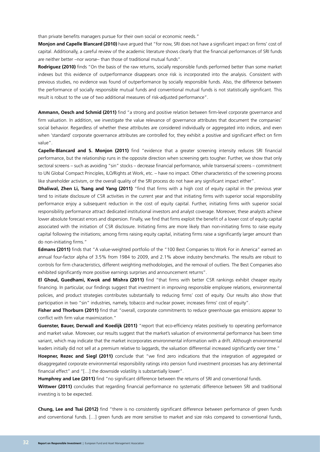than private benefits managers pursue for their own social or economic needs."

**Monjon and Capelle Blancard (2010)** have argued that "for now, SRI does not have a significant impact on firms' cost of capital. Additionally, a careful review of the academic literature shows clearly that the financial performances of SRI funds are neither better –nor worse– than those of traditional mutual funds".

**Rodriguez (2010)** finds "On the basis of the raw returns, socially responsible funds performed better than some market indexes but this evidence of outperformance disappears once risk is incorporated into the analysis. Consistent with previous studies, no evidence was found of outperformance by socially responsible funds. Also, the difference between the performance of socially responsible mutual funds and conventional mutual funds is not statistically significant. This result is robust to the use of two additional measures of risk-adjusted performance".

**Ammann, Oesch and Schmid (2011)** find "a strong and positive relation between firm-level corporate governance and firm valuation. In addition, we investigate the value relevance of governance attributes that document the companies' social behavior. Regardless of whether these attributes are considered individually or aggregated into indices, and even when 'standard' corporate governance attributes are controlled for, they exhibit a positive and significant effect on firm value".

**Capelle-Blancard and S. Monjon (2011)** find "evidence that a greater screening intensity reduces SRI financial performance, but the relationship runs in the opposite direction when screening gets tougher. Further, we show that only sectoral screens – such as avoiding "sin" stocks – decrease financial performance, while transversal screens – commitment to UN Global Compact Principles, ILO/Rights at Work, etc. – have no impact. Other characteristics of the screening process like shareholder activism, or the overall quality of the SRI process do not have any significant impact either".

**Dhaliwal, Zhen Li, Tsang and Yang (2011)** "find that firms with a high cost of equity capital in the previous year tend to initiate disclosure of CSR activities in the current year and that initiating firms with superior social responsibility performance enjoy a subsequent reduction in the cost of equity capital. Further, initiating firms with superior social responsibility performance attract dedicated institutional investors and analyst coverage. Moreover, these analysts achieve lower absolute forecast errors and dispersion. Finally, we find that firms exploit the benefit of a lower cost of equity capital associated with the initiation of CSR disclosure. Initiating firms are more likely than non-initiating firms to raise equity capital following the initiations; among firms raising equity capital, initiating firms raise a significantly larger amount than do non-initiating firms."

**Edmans (2011)** finds that "A value-weighted portfolio of the "100 Best Companies to Work For in America" earned an annual four-factor alpha of 3.5% from 1984 to 2009, and 2.1% above industry benchmarks. The results are robust to controls for firm characteristics, different weighting methodologies, and the removal of outliers. The Best Companies also exhibited significantly more positive earnings surprises and announcement returns".

**El Ghoul, Guedhami, Kwok and Mishra (2011)** find "that firms with better CSR rankings exhibit cheaper equity financing. In particular, our findings suggest that investment in improving responsible employee relations, environmental policies, and product strategies contributes substantially to reducing firms' cost of equity. Our results also show that participation in two "sin" industries, namely, tobacco and nuclear power, increases firms' cost of equity".

**Fisher and Thorburn (2011)** find that "overall, corporate commitments to reduce greenhouse gas emissions appear to conflict with firm value maximization."

**Guenster, Bauer, Derwall and Koedijk (2011)** "report that eco-efficiency relates positively to operating performance and market value. Moreover, our results suggest that the market's valuation of environmental performance has been time variant, which may indicate that the market incorporates environmental information with a drift. Although environmental leaders initially did not sell at a premium relative to laggards, the valuation differential increased significantly over time."

**Hoepner, Rezec and Siegl (2011)** conclude that "we find zero indications that the integration of aggregated or disaggregated corporate environmental responsibility ratings into pension fund investment processes has any detrimental financial effect" and "[…] the downside volatility is substantially lower".

**Humphrey and Lee (2011)** find "no significant difference between the returns of SRI and conventional funds.

**Wittwer (2011)** concludes that regarding financial performance no systematic difference between SRI and traditional investing is to be expected.

**Chung, Lee and Tsai (2012)** find "there is no consistently significant difference between performance of green funds and conventional funds. […] green funds are more sensitive to market and size risks compared to conventional funds,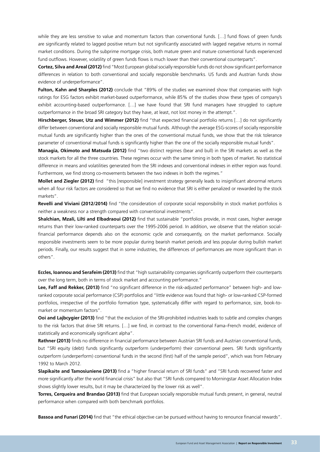while they are less sensitive to value and momentum factors than conventional funds. [...] fund flows of green funds are significantly related to lagged positive return but not significantly associated with lagged negative returns in normal market conditions. During the subprime mortgage crisis, both mature green and mature conventional funds experienced fund outflows. However, volatility of green funds flows is much lower than their conventional counterparts".

**Cortez, Silva and Areal (2012)** find "Most European global socially responsible funds do not show significant performance differences in relation to both conventional and socially responsible benchmarks. US funds and Austrian funds show evidence of underperformance".

**Fulton, Kahn and Sharples (2012)** conclude that "89% of the studies we examined show that companies with high ratings for ESG factors exhibit market-based outperformance, while 85% of the studies show these types of company's exhibit accounting-based outperformance. […] we have found that SRI fund managers have struggled to capture outperformance in the broad SRI category but they have, at least, not lost money in the attempt.".

**Hirschberger, Steuer, Utz and Wimmer (2012)** find "that expected financial portfolio returns […] do not significantly differ between conventional and socially responsible mutual funds. Although the average ESG-scores of socially responsible mutual funds are significantly higher than the ones of the conventional mutual funds, we show that the risk tolerance parameter of conventional mutual funds is significantly higher than the one of the socially responsible mutual funds".

**Managia, Okimoto and Matsuda (2012)** find "two distinct regimes (bear and bull) in the SRI markets as well as the stock markets for all the three countries. These regimes occur with the same timing in both types of market. No statistical difference in means and volatilities generated from the SRI indexes and conventional indexes in either region was found. Furthermore, we find strong co-movements between the two indexes in both the regimes."

**Mollet and Ziegler (2012)** find "this [responsible] investment strategy generally leads to insignificant abnormal returns when all four risk factors are considered so that we find no evidence that SRI is either penalized or rewarded by the stock markets".

**Revelli and Viviani (2012/2014)** find "the consideration of corporate social responsibility in stock market portfolios is neither a weakness nor a strength compared with conventional investments".

**Shalchian, Mzali, Lilti and Elbadraoui (2012)** find that sustainable "portfolios provide, in most cases, higher average returns than their low-ranked counterparts over the 1995-2006 period. In addition, we observe that the relation socialfinancial performance depends also on the economic cycle and consequently, on the market performance. Socially responsible investments seem to be more popular during bearish market periods and less popular during bullish market periods. Finally, our results suggest that in some industries, the differences of performances are more significant than in others".

**Eccles, Ioannou and Serafeim (2013)** find that "high sustainability companies significantly outperform their counterparts over the long term, both in terms of stock market and accounting performance."

**Lee, Faff and Rekker, (2013)** find "no significant difference in the risk-adjusted performance" between high- and lowranked corporate social performance (CSP) portfolios and "little evidence was found that high- or low-ranked CSP-formed portfolios, irrespective of the portfolio formation type, systematically differ with regard to performance, size, book-tomarket or momentum factors".

**Ooi and Lajbcygier (2013)** find "that the exclusion of the SRI-prohibited industries leads to subtle and complex changes to the risk factors that drive SRI returns. […] we find, in contrast to the conventional Fama–French model, evidence of statistically and economically significant alpha".

**Rathner (2013)** finds no difference in financial performance between Austrian SRI funds and Austrian conventional funds, but "SRI equity (debt) funds significantly outperform (underperform) their conventional peers. SRI funds significantly outperform (underperform) conventional funds in the second (first) half of the sample period", which was from February 1992 to March 2012.

**Slapikaite and Tamosiuniene (2013)** find a "higher financial return of SRI funds" and "SRI funds recovered faster and more significantly after the world financial crisis" but also that "SRI funds compared to Morningstar Asset Allocation Index shows slightly lower results, but it may be characterized by the lower risk as well".

**Torres, Cerqueira and Brandao (2013)** find that European socially responsible mutual funds present, in general, neutral performance when compared with both benchmark portfolios.

**Bassoa and Funari (2014)** find that "the ethical objective can be pursued without having to renounce financial rewards".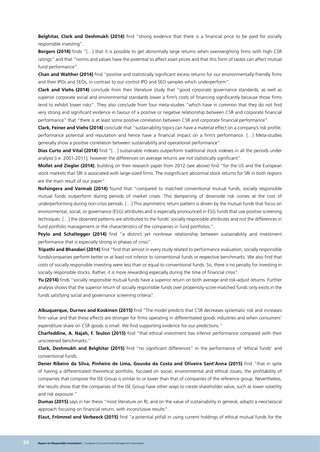**Belghitar, Clark and Deshmukh (2014)** find "strong evidence that there is a financial price to be paid for socially responsible investing".

**Borgers (2014)** finds "[…] that it is possible to get abnormally large returns when overweighting firms with high CSR ratings" and that "norms and values have the potential to affect asset prices and that this form of tastes can affect mutual fund performance".

**Chan and Walther (2014)** find "positive and statistically significant excess returns for our environmentally-friendly firms and their IPOs and SEOs, in contrast to our control IPO and SEO samples which underperform".

**Clark and Viehs (2014)** conclude from their literature study that "good corporate governance standards, as well as superior corporate social and environmental standards lower a firm's costs of financing significantly because those firms tend to exhibit lower risks". They also conclude from four meta-studies "which have in common that they do not find very strong and significant evidence in favour of a positive or negative relationship between CSR and corporate financial performance" that "there is at least some positive correlation between CSR and corporate financial performance".

**Clark, Feiner and Viehs (2014)** conclude that "sustainability topics can have a material effect on a company's risk profile, performance potential and reputation and hence have a financial impact on a firm's performance. […] Meta-studies generally show a positive correlation between sustainability and operational performance".

**Dias Curto and Vital (2014)** find "[…] sustainable indexes outperform traditional stock indexes in all the periods under analysis [i.e. 2001-2011]; however the differences on average returns are not statistically significant".

**Mollet and Ziegler (2014)**, building on their research paper from 2012 (see above) find "for the US and the European stock markets that SRI is associated with large-sized firms. The insignificant abnormal stock returns for SRI in both regions are the main result of our paper".

**Nofsingera and Varmab (2014)** found that "compared to matched conventional mutual funds, socially responsible mutual funds outperform during periods of market crises. This dampening of downside risk comes at the cost of underperforming during non-crisis periods. […] This asymmetric return pattern is driven by the mutual funds that focus on environmental, social, or governance (ESG) attributes and is especially pronounced in ESG funds that use positive screening techniques. […] the observed patterns are attributed to the funds' socially responsible attributes and not the differences in fund portfolio management or the characteristics of the companies in fund portfolios.".

**Peylo and Schaltegger (2014)** find "a distinct yet nonlinear relationship between sustainability and investment performance that is especially strong in phases of crisis".

**Tripathi and Bhandari (2014)** find "find that almost in every study related to performance evaluation; socially responsible funds/companies perform better or at least not inferior to conventional funds or respective benchmarks. We also find that costs of socially responsible investing were less than or equal to conventional funds. So, there is no penalty for investing in socially responsible stocks. Rather, it is more rewarding especially during the time of financial crisis".

**Yu (2014)** finds "socially responsible mutual funds have a superior return on both average and risk-adjust returns. Further analysis shows that the superior return of socially responsible funds over propensity-score-matched funds only exists in the funds satisfying social and governance screening criteria".

**Albuquerque, Durnev and Koskinen (2015)** find "The model predicts that CSR decreases systematic risk and increases firm value and that these effects are stronger for firms operating in differentiated goods industries and when consumers' expenditure share on CSR goods is small. We find supporting evidence for our predictions."

**Charfeddine, A. Najah, F. Teulon (2015)** find "that ethical investment has inferior performance compared with their unscreened benchmarks."

**Clark, Deshmukh and Belghitar (2015)** find "no significant differences" in the performance of 'ethical funds' and conventional funds.

**Dener Ribeiro da Silva, Pinheiro de Lima, Gouvêa da Costa and Oliveira Sant'Anna (2015)** find "that in spite of having a differentiated theoretical portfolio, focused on social, environmental and ethical issues, the profitability of companies that compose the ISE Group is similar to or lower than that of companies of the reference group. Nevertheless, the results show that the companies of the ISE Group have other ways to create shareholder value, such as lower volatility and risk exposure."

**Dumas (2015)** says in her thesis "most literature on RI, and on the value of sustainability in general, adopts a neoclassical approach focusing on financial return, with inconclusive results".

**Elaut, Frömmel and Verbeeck (2015)** find "a potential pitfall in using current holdings of ethical mutual funds for the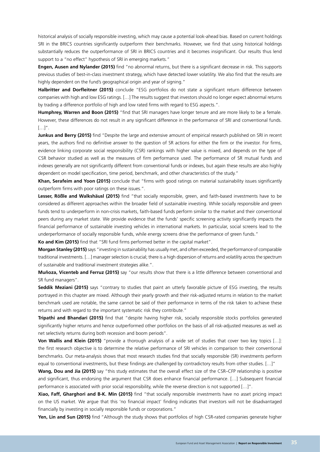historical analysis of socially responsible investing, which may cause a potential look-ahead bias. Based on current holdings SRI in the BRICS countries significantly outperform their benchmarks. However, we find that using historical holdings substantially reduces the outperformance of SRI in BRICS countries and it becomes insignificant. Our results thus lend support to a "no effect" hypothesis of SRI in emerging markets."

**Engen, Ausen and Nylander (2015)** find "no abnormal returns, but there is a significant decrease in risk. This supports previous studies of best-in-class investment strategy, which have detected lower volatility. We also find that the results are highly dependent on the fund's geographical origin and year of signing."

**Halbritter and Dorfleitner (2015)** conclude "ESG portfolios do not state a significant return difference between companies with high and low ESG ratings. […] The results suggest that investors should no longer expect abnormal returns by trading a difference portfolio of high and low rated firms with regard to ESG aspects.".

**Humphrey, Warren and Boon (2015)** "find that SRI managers have longer tenure and are more likely to be a female. However, these differences do not result in any significant difference in the performance of SRI and conventional funds.  $[\ldots]$ ".

**Junkus and Berry (2015)** find "Despite the large and extensive amount of empirical research published on SRI in recent years, the authors find no definitive answer to the question of SR actions for either the firm or the investor. For firms, evidence linking corporate social responsibility (CSR) rankings with higher value is mixed, and depends on the type of CSR behavior studied as well as the measures of firm performance used. The performance of SR mutual funds and indexes generally are not significantly different from conventional funds or indexes, but again these results are also highly dependent on model specification, time period, benchmark, and other characteristics of the study."

**Khan, Serafeim and Yoon (2015)** conclude that "firms with good ratings on material sustainability issues significantly outperform firms with poor ratings on these issues.".

**Lesser, Rößle and Walkshäusl (2015)** find "that socially responsible, green, and faith-based investments have to be considered as different approaches within the broader field of sustainable investing. While socially responsible and green funds tend to underperform in non-crisis markets, faith-based funds perform similar to the market and their conventional peers during any market state. We provide evidence that the funds' specific screening activity significantly impacts the financial performance of sustainable investing vehicles in international markets. In particular, social screens lead to the underperformance of socially responsible funds, while energy screens drive the performance of green funds."

**Ko and Kim (2015)** find that "SRI fund firms performed better in the capital market".

**Morgan Stanley (2015)** says "investing in sustainability has usually met, and often exceeded, the performance of comparable traditional investments. […] manager selection is crucial; there is a high dispersion of returns and volatility across the spectrum of sustainable and traditional investment strategies alike.".

**Muñoza, Vicenteb and Ferruz (2015)** say "our results show that there is a little difference between conventional and SR fund managers".

**Seddik Meziani (2015)** says "contrary to studies that paint an utterly favorable picture of ESG investing, the results portrayed in this chapter are mixed. Although their yearly growth and their risk-adjusted returns in relation to the market benchmark used are notable, the same cannot be said of their performance in terms of the risk taken to achieve these returns and with regard to the important systematic risk they contribute."

**Tripathi and Bhandari (2015)** find that "despite having higher risk, socially responsible stocks portfolios generated significantly higher returns and hence outperformed other portfolios on the basis of all risk-adjusted measures as well as net selectivity returns during both recession and boom periods".

**Von Wallis and Klein (2015)** "provide a thorough analysis of a wide set of studies that cover two key topics […]: the first research objective is to determine the relative performance of SRI vehicles in comparison to their conventional benchmarks. Our meta-analysis shows that most research studies find that socially responsible (SR) investments perform equal to conventional investments, but these findings are challenged by contradictory results from other studies. […]"

**Wang, Dou and Jia (2015)** say "this study estimates that the overall effect size of the CSR–CFP relationship is positive and significant, thus endorsing the argument that CSR does enhance financial performance. […] Subsequent financial performance is associated with prior social responsibility, while the reverse direction is not supported […]".

**Xiao, Faff, Gharghori and B-K. Min (2015)** find "that socially responsible investments have no asset pricing impact on the US market. We argue that this 'no financial impact' finding indicates that investors will not be disadvantaged financially by investing in socially responsible funds or corporations."

**Yen, Lin and Sun (2015)** find "Although the study shows that portfolios of high CSR-rated companies generate higher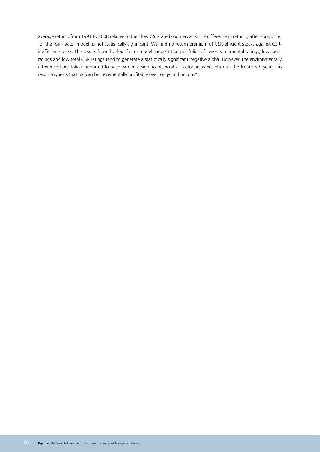average returns from 1991 to 2008 relative to their low CSR-rated counterparts, the difference in returns, after controlling for the four-factor model, is not statistically significant. We find no return premium of CSR-efficient stocks against CSRinefficient stocks. The results from the four-factor model suggest that portfolios of low environmental ratings, low social ratings and low total CSR ratings tend to generate a statistically significant negative alpha. However, the environmentally differenced portfolio is reported to have earned a significant, positive factor-adjusted return in the future 5th year. This result suggests that SRI can be incrementally profitable over long-run horizons".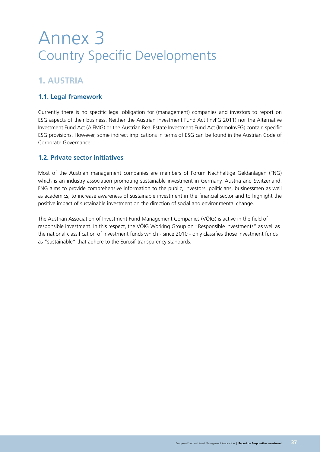# Annex 3 Country Specific Developments

# **1. AUSTRIA**

## **1.1. Legal framework**

Currently there is no specific legal obligation for (management) companies and investors to report on ESG aspects of their business. Neither the Austrian Investment Fund Act (InvFG 2011) nor the Alternative Investment Fund Act (AIFMG) or the Austrian Real Estate Investment Fund Act (ImmoInvFG) contain specific ESG provisions. However, some indirect implications in terms of ESG can be found in the Austrian Code of Corporate Governance.

#### **1.2. Private sector initiatives**

Most of the Austrian management companies are members of Forum Nachhaltige Geldanlagen (FNG) which is an industry association promoting sustainable investment in Germany, Austria and Switzerland. FNG aims to provide comprehensive information to the public, investors, politicians, businessmen as well as academics, to increase awareness of sustainable investment in the financial sector and to highlight the positive impact of sustainable investment on the direction of social and environmental change.

The Austrian Association of Investment Fund Management Companies (VÖIG) is active in the field of responsible investment. In this respect, the VÖIG Working Group on "Responsible Investments" as well as the national classification of investment funds which - since 2010 - only classifies those investment funds as "sustainable" that adhere to the Eurosif transparency standards.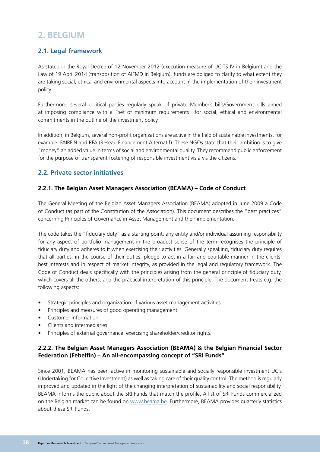# **2. BELGIUM**

## **2.1. Legal framework**

As stated in the Royal Decree of 12 November 2012 (execution measure of UCITS IV in Belgium) and the Law of 19 April 2014 (transposition of AIFMD in Belgium), funds are obliged to clarify to what extent they are taking social, ethical and environmental aspects into account in the implementation of their investment policy.

Furthermore, several political parties regularly speak of private Member's bills/Government bills aimed at imposing compliance with a "set of minimum requirements" for social, ethical and environmental commitments in the outline of the investment policy.

In addition, in Belgium, several non-profit organizations are active in the field of sustainable investments, for example: FAIRFIN and RFA (Réseau Financement Alternatif). These NGOs state that their ambition is to give "money" an added value in terms of social and environmental quality. They recommend public enforcement for the purpose of transparent fostering of responsible investment vis à vis the citizens.

## **2.2. Private sector initiatives**

#### **2.2.1. The Belgian Asset Managers Association (BEAMA) – Code of Conduct**

The General Meeting of the Belgian Asset Managers Association (BEAMA) adopted in June 2009 a Code of Conduct (as part of the Constitution of the Association). This document describes the "best practices" concerning Principles of Governance in Asset Management and their implementation.

The code takes the "fiduciary duty" as a starting point: any entity and/or individual assuming responsibility for any aspect of portfolio management in the broadest sense of the term recognises the principle of fiduciary duty and adheres to it when exercising their activities. Generally speaking, fiduciary duty requires that all parties, in the course of their duties, pledge to act in a fair and equitable manner in the clients' best interests and in respect of market integrity, as provided in the legal and regulatory framework. The Code of Conduct deals specifically with the principles arising from the general principle of fiduciary duty, which covers all the others, and the practical interpretation of this principle. The document treats e.g. the following aspects:

- Strategic principles and organization of various asset management activities
- Principles and measures of good operating management
- Customer information
- Clients and intermediaries
- Principles of external governance: exercising shareholder/creditor rights.

#### **2.2.2. The Belgian Asset Managers Association (BEAMA) & the Belgian Financial Sector Federation (Febelfin) – An all-encompassing concept of "SRI Funds"**

Since 2001, BEAMA has been active in monitoring sustainable and socially responsible investment UCIs (Undertaking for Collective Investment) as well as taking care of their quality control. The method is regularly improved and updated in the light of the changing interpretation of sustainability and social responsibility. BEAMA informs the public about the SRI Funds that match the profile. A list of SRI Funds commercialized on the Belgian market can be found on [www.beama.be](http://www.beama.be). Furthermore, BEAMA provides quarterly statistics about these SRI Funds.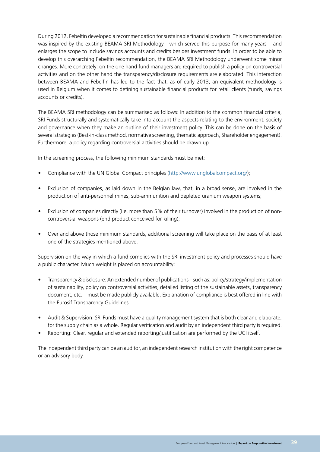During 2012, Febelfin developed a recommendation for sustainable financial products. This recommendation was inspired by the existing BEAMA SRI Methodology - which served this purpose for many years – and enlarges the scope to include savings accounts and credits besides investment funds. In order to be able to develop this overarching Febelfin recommendation, the BEAMA SRI Methodology underwent some minor changes. More concretely: on the one hand fund managers are required to publish a policy on controversial activities and on the other hand the transparency/disclosure requirements are elaborated. This interaction between BEAMA and Febelfin has led to the fact that, as of early 2013, an equivalent methodology is used in Belgium when it comes to defining sustainable financial products for retail clients (funds, savings accounts or credits).

The BEAMA SRI methodology can be summarised as follows: In addition to the common financial criteria, SRI Funds structurally and systematically take into account the aspects relating to the environment, society and governance when they make an outline of their investment policy. This can be done on the basis of several strategies (Best-in-class method, normative screening, thematic approach, Shareholder engagement). Furthermore, a policy regarding controversial activities should be drawn up.

In the screening process, the following minimum standards must be met:

- Compliance with the UN Global Compact principles [\(http://www.unglobalcompact.org/](http://www.unglobalcompact.org/));
- Exclusion of companies, as laid down in the Belgian law, that, in a broad sense, are involved in the production of anti-personnel mines, sub-ammunition and depleted uranium weapon systems;
- Exclusion of companies directly (i.e. more than 5% of their turnover) involved in the production of noncontroversial weapons (end product conceived for killing);
- Over and above those minimum standards, additional screening will take place on the basis of at least one of the strategies mentioned above.

Supervision on the way in which a fund complies with the SRI investment policy and processes should have a public character. Much weight is placed on accountability:

- Transparency & disclosure: An extended number of publications such as: policy/strategy/implementation of sustainability, policy on controversial activities, detailed listing of the sustainable assets, transparency document, etc. – must be made publicly available. Explanation of compliance is best offered in line with the Eurosif Transparency Guidelines.
- Audit & Supervision: SRI Funds must have a quality management system that is both clear and elaborate, for the supply chain as a whole. Regular verification and audit by an independent third party is required.
- Reporting: Clear, regular and extended reporting/justification are performed by the UCI itself.

The independent third party can be an auditor, an independent research institution with the right competence or an advisory body.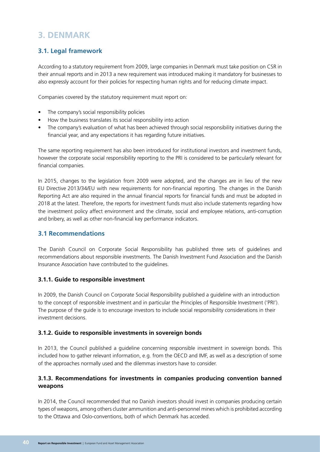# **3. DENMARK**

# **3.1. Legal framework**

According to a statutory requirement from 2009, large companies in Denmark must take position on CSR in their annual reports and in 2013 a new requirement was introduced making it mandatory for businesses to also expressly account for their policies for respecting human rights and for reducing climate impact.

Companies covered by the statutory requirement must report on:

- The company's social responsibility policies
- How the business translates its social responsibility into action
- The company's evaluation of what has been achieved through social responsibility initiatives during the financial year, and any expectations it has regarding future initiatives.

The same reporting requirement has also been introduced for institutional investors and investment funds, however the corporate social responsibility reporting to the PRI is considered to be particularly relevant for financial companies.

In 2015, changes to the legislation from 2009 were adopted, and the changes are in lieu of the new EU Directive 2013/34/EU with new requirements for non-financial reporting. The changes in the Danish Reporting Act are also required in the annual financial reports for financial funds and must be adopted in 2018 at the latest. Therefore, the reports for investment funds must also include statements regarding how the investment policy affect environment and the climate, social and employee relations, anti-corruption and bribery, as well as other non-financial key performance indicators.

#### **3.1 Recommendations**

The Danish Council on Corporate Social Responsibility has published three sets of guidelines and recommendations about responsible investments. The Danish Investment Fund Association and the Danish Insurance Association have contributed to the guidelines.

#### **3.1.1. Guide to responsible investment**

In 2009, the Danish Council on Corporate Social Responsibility published a guideline with an introduction to the concept of responsible investment and in particular the Principles of Responsible Investment ('PRI'). The purpose of the guide is to encourage investors to include social responsibility considerations in their investment decisions.

#### **3.1.2. Guide to responsible investments in sovereign bonds**

In 2013, the Council published a guideline concerning responsible investment in sovereign bonds. This included how to gather relevant information, e.g. from the OECD and IMF, as well as a description of some of the approaches normally used and the dilemmas investors have to consider.

#### **3.1.3. Recommendations for investments in companies producing convention banned weapons**

In 2014, the Council recommended that no Danish investors should invest in companies producing certain types of weapons, among others cluster ammunition and anti-personnel mines which is prohibited according to the Ottawa and Oslo-conventions, both of which Denmark has acceded.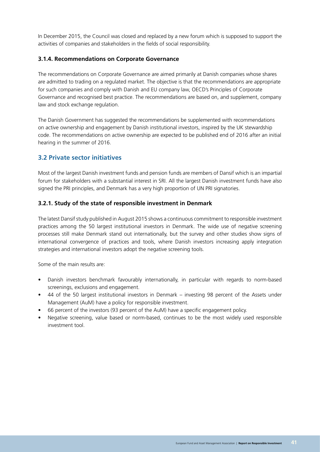In December 2015, the Council was closed and replaced by a new forum which is supposed to support the activities of companies and stakeholders in the fields of social responsibility.

#### **3.1.4. Recommendations on Corporate Governance**

The recommendations on Corporate Governance are aimed primarily at Danish companies whose shares are admitted to trading on a regulated market. The objective is that the recommendations are appropriate for such companies and comply with Danish and EU company law, OECD's Principles of Corporate Governance and recognised best practice. The recommendations are based on, and supplement, company law and stock exchange regulation.

The Danish Government has suggested the recommendations be supplemented with recommendations on active ownership and engagement by Danish institutional investors, inspired by the UK stewardship code. The recommendations on active ownership are expected to be published end of 2016 after an initial hearing in the summer of 2016.

## **3.2 Private sector initiatives**

Most of the largest Danish investment funds and pension funds are members of Dansif which is an impartial forum for stakeholders with a substantial interest in SRI. All the largest Danish investment funds have also signed the PRI principles, and Denmark has a very high proportion of UN PRI signatories.

#### **3.2.1. Study of the state of responsible investment in Denmark**

The latest Dansif study published in August 2015 shows a continuous commitment to responsible investment practices among the 50 largest institutional investors in Denmark. The wide use of negative screening processes still make Denmark stand out internationally, but the survey and other studies show signs of international convergence of practices and tools, where Danish investors increasing apply integration strategies and international investors adopt the negative screening tools.

Some of the main results are:

- Danish investors benchmark favourably internationally, in particular with regards to norm-based screenings, exclusions and engagement.
- 44 of the 50 largest institutional investors in Denmark investing 98 percent of the Assets under Management (AuM) have a policy for responsible investment.
- 66 percent of the investors (93 percent of the AuM) have a specific engagement policy.
- Negative screening, value based or norm-based, continues to be the most widely used responsible investment tool.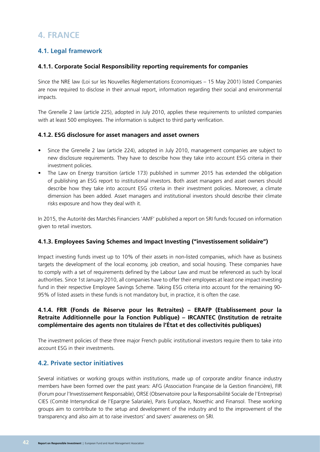# **4. FRANCE**

## **4.1. Legal framework**

#### **4.1.1. Corporate Social Responsibility reporting requirements for companies**

Since the NRE law (Loi sur les Nouvelles Réglementations Economiques – 15 May 2001) listed Companies are now required to disclose in their annual report, information regarding their social and environmental impacts.

The Grenelle 2 law (article 225), adopted in July 2010, applies these requirements to unlisted companies with at least 500 employees. The information is subject to third party verification.

#### **4.1.2. ESG disclosure for asset managers and asset owners**

- Since the Grenelle 2 law (article 224), adopted in July 2010, management companies are subject to new disclosure requirements. They have to describe how they take into account ESG criteria in their investment policies.
- The Law on Energy transition (article 173) published in summer 2015 has extended the obligation of publishing an ESG report to institutional investors. Both asset managers and asset owners should describe how they take into account ESG criteria in their investment policies. Moreover, a climate dimension has been added. Asset managers and institutional investors should describe their climate risks exposure and how they deal with it.

In 2015, the Autorité des Marchés Financiers 'AMF' published a report on SRI funds focused on information given to retail investors.

#### **4.1.3. Employees Saving Schemes and Impact Investing ("investissement solidaire")**

Impact investing funds invest up to 10% of their assets in non-listed companies, which have as business targets the development of the local economy, job creation, and social housing. These companies have to comply with a set of requirements defined by the Labour Law and must be referenced as such by local authorities. Since 1st January 2010, all companies have to offer their employees at least one impact investing fund in their respective Employee Savings Scheme. Taking ESG criteria into account for the remaining 90- 95% of listed assets in these funds is not mandatory but, in practice, it is often the case.

#### **4.1.4. FRR (Fonds de Réserve pour les Retraites) – ERAFP (Etablissement pour la Retraite Additionnelle pour la Fonction Publique) – IRCANTEC (Institution de retraite complémentaire des agents non titulaires de l'État et des collectivités publiques)**

The investment policies of these three major French public institutional investors require them to take into account ESG in their investments.

#### **4.2. Private sector initiatives**

Several initiatives or working groups within institutions, made up of corporate and/or finance industry members have been formed over the past years: AFG (Association Française de la Gestion financière), FIR (Forum pour l'Investissement Responsable), ORSE (Observatoire pour la Responsabilité Sociale de l'Entreprise) CIES (Comité Intersyndical de l'Epargne Salariale), Paris Europlace, Novethic and Finansol. These working groups aim to contribute to the setup and development of the industry and to the improvement of the transparency and also aim at to raise investors' and savers' awareness on SRI.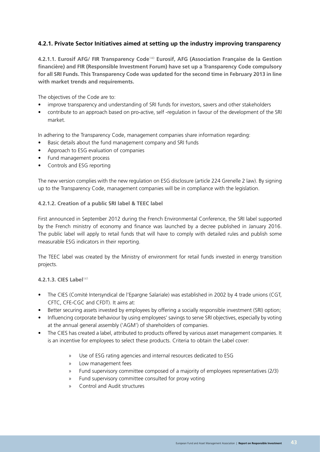#### **4.2.1. Private Sector Initiatives aimed at setting up the industry improving transparency**

**4.2.1.1. Eurosif AFG/ FIR Transparency Code**<sup>140</sup> **Eurosif, AFG (Association Française de la Gestion financière) and FIR (Responsible Investment Forum) have set up a Transparency Code compulsory for all SRI Funds. This Transparency Code was updated for the second time in February 2013 in line with market trends and requirements.**

The objectives of the Code are to:

- improve transparency and understanding of SRI funds for investors, savers and other stakeholders
- contribute to an approach based on pro-active, self -regulation in favour of the development of the SRI market.

In adhering to the Transparency Code, management companies share information regarding:

- Basic details about the fund management company and SRI funds
- Approach to ESG evaluation of companies
- Fund management process
- Controls and ESG reporting

The new version complies with the new regulation on ESG disclosure (article 224 Grenelle 2 law). By signing up to the Transparency Code, management companies will be in compliance with the legislation.

#### **4.2.1.2. Creation of a public SRI label & TEEC label**

First announced in September 2012 during the French Environmental Conference, the SRI label supported by the French ministry of economy and finance was launched by a decree published in January 2016. The public label will apply to retail funds that will have to comply with detailed rules and publish some measurable ESG indicators in their reporting.

The TEEC label was created by the Ministry of environment for retail funds invested in energy transition projects.

#### **4.2.1.3. CIES Label**<sup>141</sup>

- The CIES (Comité Intersyndical de l'Epargne Salariale) was established in 2002 by 4 trade unions (CGT, CFTC, CFE-CGC and CFDT). It aims at:
- Better securing assets invested by employees by offering a socially responsible investment (SRI) option;
- Influencing corporate behaviour by using employees' savings to serve SRI objectives, especially by voting at the annual general assembly ('AGM') of shareholders of companies.
- The CIES has created a label, attributed to products offered by various asset management companies. It is an incentive for employees to select these products. Criteria to obtain the Label cover:
	- » Use of ESG rating agencies and internal resources dedicated to ESG
	- » Low management fees
	- » Fund supervisory committee composed of a majority of employees representatives (2/3)
	- » Fund supervisory committee consulted for proxy voting
	- » Control and Audit structures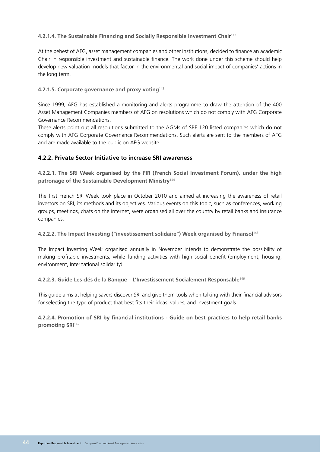#### **4.2.1.4. The Sustainable Financing and Socially Responsible Investment Chair**<sup>142</sup>

At the behest of AFG, asset management companies and other institutions, decided to finance an academic Chair in responsible investment and sustainable finance. The work done under this scheme should help develop new valuation models that factor in the environmental and social impact of companies' actions in the long term.

#### **4.2.1.5. Corporate governance and proxy voting**<sup>143</sup>

Since 1999, AFG has established a monitoring and alerts programme to draw the attention of the 400 Asset Management Companies members of AFG on resolutions which do not comply with AFG Corporate Governance Recommendations.

These alerts point out all resolutions submitted to the AGMs of SBF 120 listed companies which do not comply with AFG Corporate Governance Recommendations. Such alerts are sent to the members of AFG and are made available to the public on AFG website.

#### **4.2.2. Private Sector Initiative to increase SRI awareness**

**4.2.2.1. The SRI Week organised by the FIR (French Social Investment Forum), under the high patronage of the Sustainable Development Ministry**<sup>144</sup>

The first French SRI Week took place in October 2010 and aimed at increasing the awareness of retail investors on SRI, its methods and its objectives. Various events on this topic, such as conferences, working groups, meetings, chats on the internet, were organised all over the country by retail banks and insurance companies.

**4.2.2.2. The Impact Investing ("investissement solidaire") Week organised by Finansol**<sup>145</sup>

The Impact Investing Week organised annually in November intends to demonstrate the possibility of making profitable investments, while funding activities with high social benefit (employment, housing, environment, international solidarity).

**4.2.2.3. Guide Les clés de la Banque – L'Investissement Socialement Responsable**<sup>146</sup>

This guide aims at helping savers discover SRI and give them tools when talking with their financial advisors for selecting the type of product that best fits their ideas, values, and investment goals.

**4.2.2.4. Promotion of SRI by financial institutions - Guide on best practices to help retail banks promoting SRI**<sup>147</sup>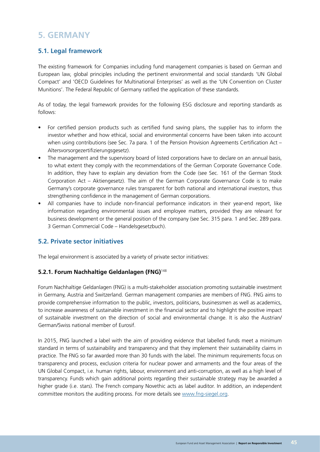# **5. GERMANY**

## **5.1. Legal framework**

The existing framework for Companies including fund management companies is based on German and European law, global principles including the pertinent environmental and social standards 'UN Global Compact' and 'OECD Guidelines for Multinational Enterprises' as well as the 'UN Convention on Cluster Munitions'. The Federal Republic of Germany ratified the application of these standards.

As of today, the legal framework provides for the following ESG disclosure and reporting standards as follows:

- For certified pension products such as certified fund saving plans, the supplier has to inform the investor whether and how ethical, social and environmental concerns have been taken into account when using contributions (see Sec. 7a para. 1 of the Pension Provision Agreements Certification Act – Altersvorsorgezertifizierungsgesetz).
- The management and the supervisory board of listed corporations have to declare on an annual basis, to what extent they comply with the recommendations of the German Corporate Governance Code. In addition, they have to explain any deviation from the Code (see Sec. 161 of the German Stock Corporation Act – Aktiengesetz). The aim of the German Corporate Governance Code is to make Germany's corporate governance rules transparent for both national and international investors, thus strengthening confidence in the management of German corporations.
- All companies have to include non-financial performance indicators in their year-end report, like information regarding environmental issues and employee matters, provided they are relevant for business development or the general position of the company (see Sec. 315 para. 1 and Sec. 289 para. 3 German Commercial Code – Handelsgesetzbuch).

## **5.2. Private sector initiatives**

The legal environment is associated by a variety of private sector initiatives:

#### **5.2.1. Forum Nachhaltige Geldanlagen (FNG)**<sup>148</sup>

Forum Nachhaltige Geldanlagen (FNG) is a multi-stakeholder association promoting sustainable investment in Germany, Austria and Switzerland. German management companies are members of FNG. FNG aims to provide comprehensive information to the public, investors, politicians, businessmen as well as academics, to increase awareness of sustainable investment in the financial sector and to highlight the positive impact of sustainable investment on the direction of social and environmental change. It is also the Austrian/ German/Swiss national member of Eurosif.

In 2015, FNG launched a label with the aim of providing evidence that labelled funds meet a minimum standard in terms of sustainability and transparency and that they implement their sustainability claims in practice. The FNG so far awarded more than 30 funds with the label. The minimum requirements focus on transparency and process, exclusion criteria for nuclear power and armaments and the four areas of the UN Global Compact, i.e. human rights, labour, environment and anti-corruption, as well as a high level of transparency. Funds which gain additional points regarding their sustainable strategy may be awarded a higher grade (i.e. stars). The French company Novethic acts as label auditor. In addition, an independent committee monitors the auditing process. For more details see [www.fng-siegel.org](http://www.fng-siegel.org).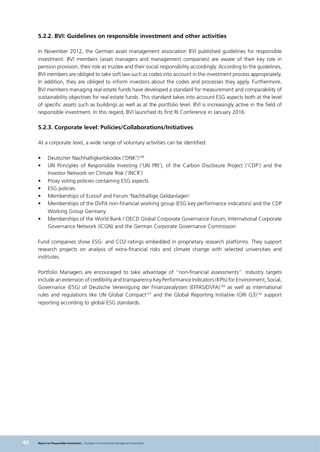#### **5.2.2. BVI: Guidelines on responsible investment and other activities**

In November 2012, the German asset management association BVI published guidelines for responsible investment. BVI members (asset managers and management companies) are aware of their key role in pension provision, their role as trustee and their social responsibility accordingly. According to the guidelines, BVI members are obliged to take soft law such as codes into account in the investment process appropriately. In addition, they are obliged to inform investors about the codes and processes they apply. Furthermore, BVI members managing real estate funds have developed a standard for measurement and comparability of sustainability objectives for real estate funds. This standard takes into account ESG aspects both at the level of specific assets such as buildings as well as at the portfolio level. BVI is increasingly active in the field of responsible investment. In this regard, BVI launched its first RI Conference in January 2016.

#### **5.2.3. Corporate level: Policies/Collaborations/Initiatives**

At a corporate level, a wide range of voluntary activities can be identified:

- Deutscher Nachhaltigkeitskodex ('DNK')149
- UN Principles of Responsible Investing ('UN PRI'), of the Carbon Disclosure Project ('CDP') and the Investor Network on Climate Risk ('INCR')
- Proxy voting policies containing ESG aspects
- ESG policies
- Memberships of Eurosif and Forum 'Nachhaltige Geldanlagen'
- Memberships of the DVFA non-financial working group (ESG key performance indicators) and the CDP Working Group Germany
- Memberships of the World Bank / OECD Global Corporate Governance Forum, International Corporate Governance Network (ICGN) and the German Corporate Governance Commission

Fund companies show ESG- and CO2-ratings embedded in proprietary research platforms. They support research projects on analysis of extra-financial risks and climate change with selected universities and institutes.

Portfolio Managers are encouraged to take advantage of "non-financial assessments". Industry targets include an extension of credibility and transparency Key Performance Indicators (KPIs) for Environment, Social, Governance (ESG) of Deutsche Vereinigung der Finanzanalysten (EFFAS/DVFA)<sup>150</sup> as well as international rules and regulations like UN Global Compact<sup>151</sup> and the Global Reporting Initiative (GRI G3)<sup>152</sup> support reporting according to global ESG standards.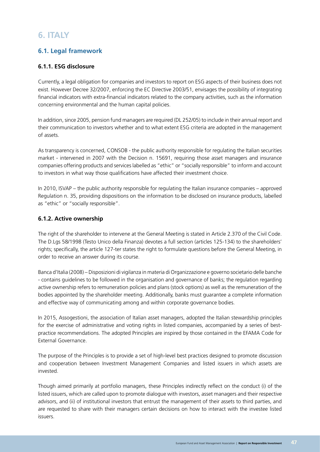# **6. ITALY**

# **6.1. Legal framework**

## **6.1.1. ESG disclosure**

Currently, a legal obligation for companies and investors to report on ESG aspects of their business does not exist. However Decree 32/2007, enforcing the EC Directive 2003/51, envisages the possibility of integrating financial indicators with extra-financial indicators related to the company activities, such as the information concerning environmental and the human capital policies.

In addition, since 2005, pension fund managers are required (DL 252/05) to include in their annual report and their communication to investors whether and to what extent ESG criteria are adopted in the management of assets.

As transparency is concerned, CONSOB - the public authority responsible for regulating the Italian securities market - intervened in 2007 with the Decision n. 15691, requiring those asset managers and insurance companies offering products and services labelled as "ethic" or "socially responsible" to inform and account to investors in what way those qualifications have affected their investment choice.

In 2010, ISVAP – the public authority responsible for regulating the Italian insurance companies – approved Regulation n. 35, providing dispositions on the information to be disclosed on insurance products, labelled as "ethic" or "socially responsible".

#### **6.1.2. Active ownership**

The right of the shareholder to intervene at the General Meeting is stated in Article 2.370 of the Civil Code. The D.Lgs 58/1998 (Testo Unico della Finanza) devotes a full section (articles 125-134) to the shareholders' rights; specifically, the article 127-ter states the right to formulate questions before the General Meeting, in order to receive an answer during its course.

Banca d'Italia (2008) – Disposizioni di vigilanza in materia di Organizzazione e governo societario delle banche - contains guidelines to be followed in the organisation and governance of banks; the regulation regarding active ownership refers to remuneration policies and plans (stock options) as well as the remuneration of the bodies appointed by the shareholder meeting. Additionally, banks must guarantee a complete information and effective way of communicating among and within corporate governance bodies.

In 2015, Assogestioni, the association of Italian asset managers, adopted the Italian stewardship principles for the exercise of administrative and voting rights in listed companies, accompanied by a series of bestpractice recommendations. The adopted Principles are inspired by those contained in the EFAMA Code for External Governance.

The purpose of the Principles is to provide a set of high-level best practices designed to promote discussion and cooperation between Investment Management Companies and listed issuers in which assets are invested.

Though aimed primarily at portfolio managers, these Principles indirectly reflect on the conduct (i) of the listed issuers, which are called upon to promote dialogue with investors, asset managers and their respective advisors, and (ii) of institutional investors that entrust the management of their assets to third parties, and are requested to share with their managers certain decisions on how to interact with the investee listed issuers.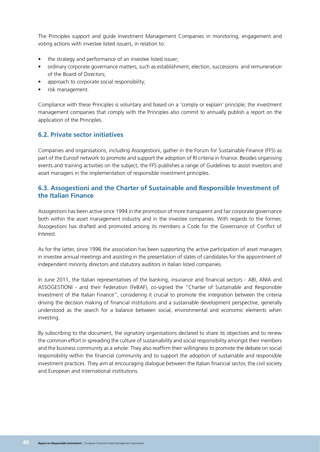The Principles support and guide Investment Management Companies in monitoring, engagement and voting actions with investee listed issuers, in relation to:

- the strategy and performance of an investee listed issuer;
- ordinary corporate governance matters, such as establishment, election, successions and remuneration of the Board of Directors;
- approach to corporate social responsibility;
- risk management.

Compliance with these Principles is voluntary and based on a 'comply or explain' principle; the investment management companies that comply with the Principles also commit to annually publish a report on the application of the Principles.

#### **6.2. Private sector initiatives**

Companies and organisations, including Assogestioni, gather in the Forum for Sustainable Finance (FFS) as part of the Eurosif network to promote and support the adoption of RI criteria in finance. Besides organising events and training activities on the subject, the FFS publishes a range of Guidelines to assist investors and asset managers in the implementation of responsible investment principles.

## **6.3. Assogestioni and the Charter of Sustainable and Responsible Investment of the Italian Finance**

Assogestioni has been active since 1994 in the promotion of more transparent and fair corporate governance both within the asset management industry and in the investee companies. With regards to the former, Assogestioni has drafted and promoted among its members a Code for the Governance of Conflict of Interest.

As for the latter, since 1996 the association has been supporting the active participation of asset managers in investee annual meetings and assisting in the presentation of slates of candidates for the appointment of independent minority directors and statutory auditors in Italian listed companies.

In June 2011, the Italian representatives of the banking, insurance and financial sectors - ABI, ANIA and ASSOGESTIONI - and their Federation (FeBAF), co-signed the "Charter of Sustainable and Responsible Investment of the Italian Finance", considering it crucial to promote the integration between the criteria driving the decision making of financial institutions and a sustainable development perspective, generally understood as the search for a balance between social, environmental and economic elements when investing.

By subscribing to the document, the signatory organisations declared to share its objectives and to renew the common effort in spreading the culture of sustainability and social responsibility amongst their members and the business community as a whole. They also reaffirm their willingness to promote the debate on social responsibility within the financial community and to support the adoption of sustainable and responsible investment practices. They aim at encouraging dialogue between the Italian financial sector, the civil society and European and international institutions.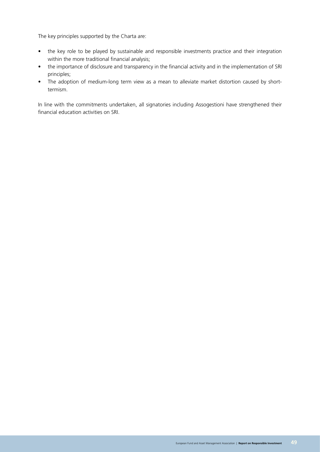The key principles supported by the Charta are:

- the key role to be played by sustainable and responsible investments practice and their integration within the more traditional financial analysis;
- the importance of disclosure and transparency in the financial activity and in the implementation of SRI principles;
- The adoption of medium-long term view as a mean to alleviate market distortion caused by shorttermism.

In line with the commitments undertaken, all signatories including Assogestioni have strengthened their financial education activities on SRI.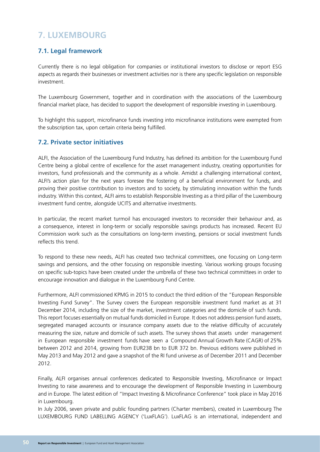# **7. LUXEMBOURG**

## **7.1. Legal framework**

Currently there is no legal obligation for companies or institutional investors to disclose or report ESG aspects as regards their businesses or investment activities nor is there any specific legislation on responsible investment.

The Luxembourg Government, together and in coordination with the associations of the Luxembourg financial market place, has decided to support the development of responsible investing in Luxembourg.

To highlight this support, microfinance funds investing into microfinance institutions were exempted from the subscription tax, upon certain criteria being fulfilled.

## **7.2. Private sector initiatives**

ALFI, the Association of the Luxembourg Fund Industry, has defined its ambition for the Luxembourg Fund Centre being a global centre of excellence for the asset management industry, creating opportunities for investors, fund professionals and the community as a whole. Amidst a challenging international context, ALFI's action plan for the next years foresee the fostering of a beneficial environment for funds, and proving their positive contribution to investors and to society, by stimulating innovation within the funds industry. Within this context, ALFI aims to establish Responsible Investing as a third pillar of the Luxembourg investment fund centre, alongside UCITS and alternative investments.

In particular, the recent market turmoil has encouraged investors to reconsider their behaviour and, as a consequence, interest in long-term or socially responsible savings products has increased. Recent EU Commission work such as the consultations on long-term investing, pensions or social investment funds reflects this trend.

To respond to these new needs, ALFI has created two technical committees, one focusing on Long-term savings and pensions, and the other focusing on responsible investing. Various working groups focusing on specific sub-topics have been created under the umbrella of these two technical committees in order to encourage innovation and dialogue in the Luxembourg Fund Centre.

Furthermore, ALFI commissioned KPMG in 2015 to conduct the third edition of the "European Responsible Investing Fund Survey". The Survey covers the European responsible investment fund market as at 31 December 2014, including the size of the market, investment categories and the domicile of such funds. This report focuses essentially on mutual funds domiciled in Europe. It does not address pension fund assets, segregated managed accounts or insurance company assets due to the relative difficulty of accurately measuring the size, nature and domicile of such assets. The survey shows that assets under management in European responsible investment funds have seen a Compound Annual Growth Rate (CAGR) of 25% between 2012 and 2014, growing from EUR238 bn to EUR 372 bn. Previous editions were published in May 2013 and May 2012 and gave a snapshot of the RI fund universe as of December 2011 and December 2012.

Finally, ALFI organises annual conferences dedicated to Responsible Investing, Microfinance or Impact Investing to raise awareness and to encourage the development of Responsible Investing in Luxembourg and in Europe. The latest edition of "Impact Investing & Microfinance Conference" took place in May 2016 in Luxembourg.

In July 2006, seven private and public founding partners (Charter members), created in Luxembourg The LUXEMBOURG FUND LABELLING AGENCY ('LuxFLAG'). LuxFLAG is an international, independent and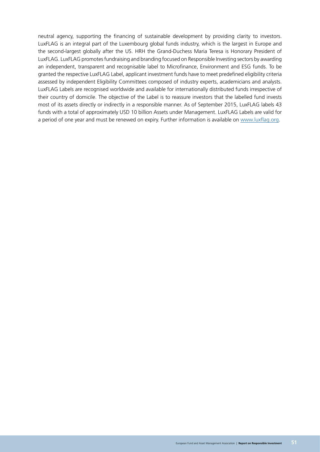neutral agency, supporting the financing of sustainable development by providing clarity to investors. LuxFLAG is an integral part of the Luxembourg global funds industry, which is the largest in Europe and the second-largest globally after the US. HRH the Grand-Duchess Maria Teresa is Honorary President of LuxFLAG. LuxFLAG promotes fundraising and branding focused on Responsible Investing sectors by awarding an independent, transparent and recognisable label to Microfinance, Environment and ESG funds. To be granted the respective LuxFLAG Label, applicant investment funds have to meet predefined eligibility criteria assessed by independent Eligibility Committees composed of industry experts, academicians and analysts. LuxFLAG Labels are recognised worldwide and available for internationally distributed funds irrespective of their country of domicile. The objective of the Label is to reassure investors that the labelled fund invests most of its assets directly or indirectly in a responsible manner. As of September 2015, LuxFLAG labels 43 funds with a total of approximately USD 10 billion Assets under Management. LuxFLAG Labels are valid for a period of one year and must be renewed on expiry. Further information is available on [www.luxflag.org.](http://www.luxflag.org)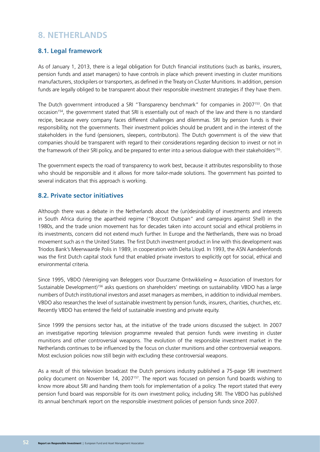# **8. NETHERLANDS**

## **8.1. Legal framework**

As of January 1, 2013, there is a legal obligation for Dutch financial institutions (such as banks, insurers, pension funds and asset managers) to have controls in place which prevent investing in cluster munitions manufacturers, stockpilers or transporters, as defined in the Treaty on Cluster Munitions. In addition, pension funds are legally obliged to be transparent about their responsible investment strategies if they have them.

The Dutch government introduced a SRI "Transparency benchmark" for companies in 2007<sup>153</sup>. On that occasion<sup>154</sup>, the government stated that SRI is essentially out of reach of the law and there is no standard recipe, because every company faces different challenges and dilemmas. SRI by pension funds is their responsibility, not the governments. Their investment policies should be prudent and in the interest of the stakeholders in the fund (pensioners, sleepers, contributors). The Dutch government is of the view that companies should be transparent with regard to their considerations regarding decision to invest or not in the framework of their SRI policy, and be prepared to enter into a serious dialogue with their stakeholders<sup>155</sup>.

The government expects the road of transparency to work best, because it attributes responsibility to those who should be responsible and it allows for more tailor-made solutions. The government has pointed to several indicators that this approach is working.

#### **8.2. Private sector initiatives**

Although there was a debate in the Netherlands about the (un)desirability of investments and interests in South Africa during the apartheid regime ("Boycott Outspan" and campaigns against Shell) in the 1980s, and the trade union movement has for decades taken into account social and ethical problems in its investments, concern did not extend much further. In Europe and the Netherlands, there was no broad movement such as n the United States. The first Dutch investment product in line with this development was Triodos Bank's Meerwaarde Polis in 1989, in cooperation with Delta Lloyd. In 1993, the ASN Aandelenfonds was the first Dutch capital stock fund that enabled private investors to explicitly opt for social, ethical and environmental criteria.

Since 1995, VBDO (Vereniging van Beleggers voor Duurzame Ontwikkeling = Association of Investors for Sustainable Development)<sup>156</sup> asks questions on shareholders' meetings on sustainability. VBDO has a large numbers of Dutch institutional investors and asset managers as members, in addition to individual members. VBDO also researches the level of sustainable investment by pension funds, insurers, charities, churches, etc. Recently VBDO has entered the field of sustainable investing and private equity.

Since 1999 the pensions sector has, at the initiative of the trade unions discussed the subject. In 2007 an investigative reporting television programme revealed that pension funds were investing in cluster munitions and other controversial weapons. The evolution of the responsible investment market in the Netherlands continues to be influenced by the focus on cluster munitions and other controversial weapons. Most exclusion policies now still begin with excluding these controversial weapons.

As a result of this television broadcast the Dutch pensions industry published a 75-page SRI investment policy document on November 14, 2007<sup>157</sup>. The report was focused on pension fund boards wishing to know more about SRI and handing them tools for implementation of a policy. The report stated that every pension fund board was responsible for its own investment policy, including SRI. The VBDO has published its annual benchmark report on the responsible investment policies of pension funds since 2007.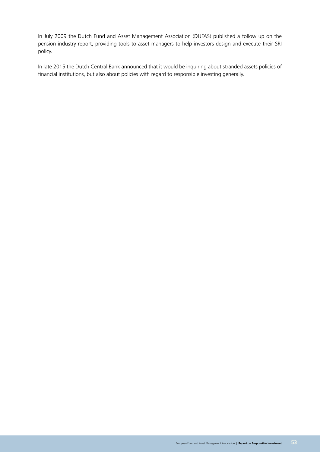In July 2009 the Dutch Fund and Asset Management Association (DUFAS) published a follow up on the pension industry report, providing tools to asset managers to help investors design and execute their SRI policy.

In late 2015 the Dutch Central Bank announced that it would be inquiring about stranded assets policies of financial institutions, but also about policies with regard to responsible investing generally.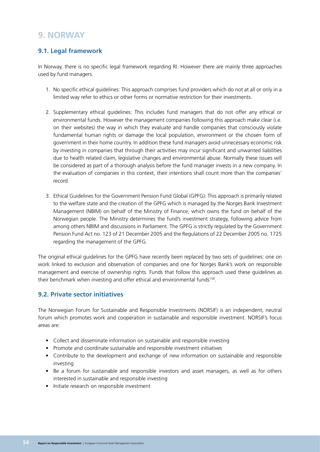# **9. NORWAY**

## **9.1. Legal framework**

In Norway, there is no specific legal framework regarding RI. However there are mainly three approaches used by fund managers.

- 1. No specific ethical guidelines: This approach comprises fund providers which do not at all or only in a limited way refer to ethics or other forms or normative restriction for their investments.
- 2. Supplementary ethical guidelines: This includes fund managers that do not offer any ethical or environmental funds. However the management companies following this approach make clear (i.e. on their websites) the way in which they evaluate and handle companies that consciously violate fundamental human rights or damage the local population, environment or the chosen form of government in their home country. In addition these fund managers avoid unnecessary economic risk by investing in companies that through their activities may incur significant and unwanted liabilities due to health related claim, legislative changes and environmental abuse. Normally these issues will be considered as part of a thorough analysis before the fund manager invests in a new company. In the evaluation of companies in this context, their intentions shall count more than the companies' record.
- 3. Ethical Guidelines for the Government Pension Fund Global (GPFG): This approach is primarily related to the welfare state and the creation of the GPFG which is managed by the Norges Bank Investment Management (NBIM) on behalf of the Ministry of Finance, which owns the fund on behalf of the Norwegian people. The Ministry determines the fund's investment strategy, following advice from among others NBIM and discussions in Parliament. The GPFG is strictly regulated by the Government Pension Fund Act no. 123 of 21 December 2005 and the Regulations of 22 December 2005 no. 1725 regarding the management of the GPFG.

The original ethical guidelines for the GPFG have recently been replaced by two sets of guidelines: one on work linked to exclusion and observation of companies and one for Norges Bank's work on responsible management and exercise of ownership rights. Funds that follow this approach used these guidelines as their benchmark when investing and offer ethical and environmental funds<sup>158</sup>.

#### **9.2. Private sector initiatives**

The Norwegian Forum for Sustainable and Responsible Investments (NORSIF) is an independent, neutral forum which promotes work and cooperation in sustainable and responsible investment. NORSIF's focus areas are:

- Collect and disseminate information on sustainable and responsible investing
- Promote and coordinate sustainable and responsible investment initiatives
- Contribute to the development and exchange of new information on sustainable and responsible investing
- Be a forum for sustainable and responsible investors and asset managers, as well as for others interested in sustainable and responsible investing
- Initiate research on responsible investment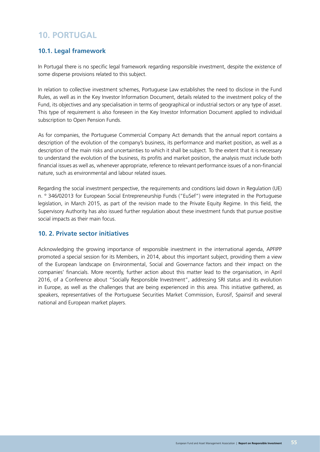# **10. PORTUGAL**

## **10.1. Legal framework**

In Portugal there is no specific legal framework regarding responsible investment, despite the existence of some disperse provisions related to this subject.

In relation to collective investment schemes, Portuguese Law establishes the need to disclose in the Fund Rules, as well as in the Key Investor Information Document, details related to the investment policy of the Fund, its objectives and any specialisation in terms of geographical or industrial sectors or any type of asset. This type of requirement is also foreseen in the Key Investor Information Document applied to individual subscription to Open Pension Funds.

As for companies, the Portuguese Commercial Company Act demands that the annual report contains a description of the evolution of the company's business, its performance and market position, as well as a description of the main risks and uncertainties to which it shall be subject. To the extent that it is necessary to understand the evolution of the business, its profits and market position, the analysis must include both financial issues as well as, whenever appropriate, reference to relevant performance issues of a non-financial nature, such as environmental and labour related issues.

Regarding the social investment perspective, the requirements and conditions laid down in Regulation (UE) n. º 346/02013 for European Social Entrepreneurship Funds ("EuSef") were integrated in the Portuguese legislation, in March 2015, as part of the revision made to the Private Equity Regime. In this field, the Supervisory Authority has also issued further regulation about these investment funds that pursue positive social impacts as their main focus.

#### **10. 2. Private sector initiatives**

Acknowledging the growing importance of responsible investment in the international agenda, APFIPP promoted a special session for its Members, in 2014, about this important subject, providing them a view of the European landscape on Environmental, Social and Governance factors and their impact on the companies' financials. More recently, further action about this matter lead to the organisation, in April 2016, of a Conference about "Socially Responsible Investment", addressing SRI status and its evolution in Europe, as well as the challenges that are being experienced in this area. This initiative gathered, as speakers, representatives of the Portuguese Securities Market Commission, Eurosif, Spainsif and several national and European market players.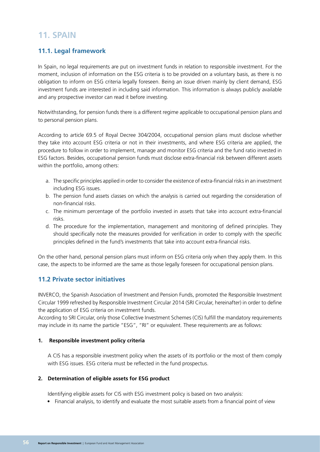# **11. SPAIN**

## **11.1. Legal framework**

In Spain, no legal requirements are put on investment funds in relation to responsible investment. For the moment, inclusion of information on the ESG criteria is to be provided on a voluntary basis, as there is no obligation to inform on ESG criteria legally foreseen. Being an issue driven mainly by client demand, ESG investment funds are interested in including said information. This information is always publicly available and any prospective investor can read it before investing.

Notwithstanding, for pension funds there is a different regime applicable to occupational pension plans and to personal pension plans.

According to article 69.5 of Royal Decree 304/2004, occupational pension plans must disclose whether they take into account ESG criteria or not in their investments, and where ESG criteria are applied, the procedure to follow in order to implement, manage and monitor ESG criteria and the fund ratio invested in ESG factors. Besides, occupational pension funds must disclose extra-financial risk between different assets within the portfolio, among others:

- a. The specific principles applied in order to consider the existence of extra-financial risks in an investment including ESG issues.
- b. The pension fund assets classes on which the analysis is carried out regarding the consideration of non-financial risks.
- c. The minimum percentage of the portfolio invested in assets that take into account extra-financial risks.
- d. The procedure for the implementation, management and monitoring of defined principles. They should specifically note the measures provided for verification in order to comply with the specific principles defined in the fund's investments that take into account extra-financial risks.

On the other hand, personal pension plans must inform on ESG criteria only when they apply them. In this case, the aspects to be informed are the same as those legally foreseen for occupational pension plans.

## **11.2 Private sector initiatives**

INVERCO, the Spanish Association of Investment and Pension Funds, promoted the Responsible Investment Circular 1999 refreshed by Responsible Investment Circular 2014 (SRI Circular, hereinafter) in order to define the application of ESG criteria on investment funds.

According to SRI Circular, only those Collective Investment Schemes (CIS) fulfill the mandatory requirements may include in its name the particle "ESG", "RI" or equivalent. These requirements are as follows:

#### **1. Responsible investment policy criteria**

A CIS has a responsible investment policy when the assets of its portfolio or the most of them comply with ESG issues. ESG criteria must be reflected in the fund prospectus.

#### **2. Determination of eligible assets for ESG product**

Identifying eligible assets for CIS with ESG investment policy is based on two analysis:

• Financial analysis, to identify and evaluate the most suitable assets from a financial point of view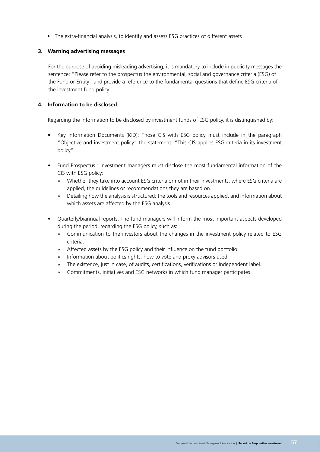• The extra-financial analysis, to identify and assess ESG practices of different assets

#### **3. Warning advertising messages**

 For the purpose of avoiding misleading advertising, it is mandatory to include in publicity messages the sentence: "Please refer to the prospectus the environmental, social and governance criteria (ESG) of the Fund or Entity" and provide a reference to the fundamental questions that define ESG criteria of the investment fund policy.

#### **4. Information to be disclosed**

Regarding the information to be disclosed by investment funds of ESG policy, it is distinguished by:

- Key Information Documents (KID): Those CIS with ESG policy must include in the paragraph "Objective and investment policy" the statement: "This CIS applies ESG criteria in its investment policy".
- Fund Prospectus : investment managers must disclose the most fundamental information of the CIS with ESG policy:
	- » Whether they take into account ESG criteria or not in their investments, where ESG criteria are applied, the guidelines or recommendations they are based on.
	- » Detailing how the analysis is structured: the tools and resources applied, and information about which assets are affected by the ESG analysis.
- Quarterly/biannual reports: The fund managers will inform the most important aspects developed during the period, regarding the ESG policy, such as:
	- » Communication to the investors about the changes in the investment policy related to ESG criteria.
	- » Affected assets by the ESG policy and their influence on the fund portfolio.
	- » Information about politics rights: how to vote and proxy advisors used.
	- » The existence, just in case, of audits, certifications, verifications or independent label.
	- » Commitments, initiatives and ESG networks in which fund manager participates.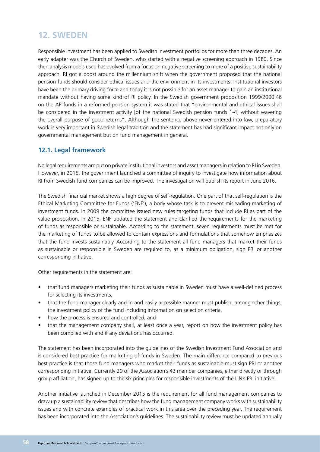# **12. SWEDEN**

Responsible investment has been applied to Swedish investment portfolios for more than three decades. An early adapter was the Church of Sweden, who started with a negative screening approach in 1980. Since then analysis models used has evolved from a focus on negative screening to more of a positive sustainability approach. RI got a boost around the millennium shift when the government proposed that the national pension funds should consider ethical issues and the environment in its investments. Institutional investors have been the primary driving force and today it is not possible for an asset manager to gain an institutional mandate without having some kind of RI policy. In the Swedish government proposition 1999/2000:46 on the AP funds in a reformed pension system it was stated that "environmental and ethical issues shall be considered in the investment activity [of the national Swedish pension funds 1-4] without wavering the overall purpose of good returns". Although the sentence above never entered into law, preparatory work is very important in Swedish legal tradition and the statement has had significant impact not only on governmental management but on fund management in general.

## **12.1. Legal framework**

No legal requirements are put on private institutional investors and asset managers in relation to RI in Sweden. However, in 2015, the government launched a committee of inquiry to investigate how information about RI from Swedish fund companies can be improved. The investigation will publish its report in June 2016.

The Swedish financial market shows a high degree of self-regulation. One part of that self-regulation is the Ethical Marketing Committee for Funds ('ENF'), a body whose task is to prevent misleading marketing of investment funds. In 2009 the committee issued new rules targeting funds that include RI as part of the value proposition. In 2015, ENF updated the statement and clarified the requirements for the marketing of funds as responsible or sustainable. According to the statement, seven requirements must be met for the marketing of funds to be allowed to contain expressions and formulations that somehow emphasizes that the fund invests sustainably. According to the statement all fund managers that market their funds as sustainable or responsible in Sweden are required to, as a minimum obligation, sign PRI or another corresponding initiative.

Other requirements in the statement are:

- that fund managers marketing their funds as sustainable in Sweden must have a well-defined process for selecting its investments,
- that the fund manager clearly and in and easily accessible manner must publish, among other things, the investment policy of the fund including information on selection criteria,
- how the process is ensured and controlled, and
- that the management company shall, at least once a year, report on how the investment policy has been complied with and if any deviations has occurred.

The statement has been incorporated into the guidelines of the Swedish Investment Fund Association and is considered best practice for marketing of funds in Sweden. The main difference compared to previous best practice is that those fund managers who market their funds as sustainable must sign PRI or another corresponding initiative. Currently 29 of the Association's 43 member companies, either directly or through group affiliation, has signed up to the six principles for responsible investments of the UN's PRI initiative.

Another initiative launched in December 2015 is the requirement for all fund management companies to draw up a sustainability review that describes how the fund management company works with sustainability issues and with concrete examples of practical work in this area over the preceding year. The requirement has been incorporated into the Association's guidelines. The sustainability review must be updated annually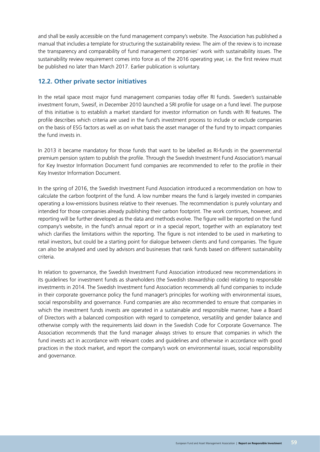and shall be easily accessible on the fund management company's website. The Association has published a manual that includes a template for structuring the sustainability review. The aim of the review is to increase the transparency and comparability of fund management companies' work with sustainability issues. The sustainability review requirement comes into force as of the 2016 operating year, i.e. the first review must be published no later than March 2017. Earlier publication is voluntary.

## **12.2. Other private sector initiatives**

In the retail space most major fund management companies today offer RI funds. Sweden's sustainable investment forum, Swesif, in December 2010 launched a SRI profile for usage on a fund level. The purpose of this initiative is to establish a market standard for investor information on funds with RI features. The profile describes which criteria are used in the fund's investment process to include or exclude companies on the basis of ESG factors as well as on what basis the asset manager of the fund try to impact companies the fund invests in.

In 2013 it became mandatory for those funds that want to be labelled as RI-funds in the governmental premium pension system to publish the profile. Through the Swedish Investment Fund Association's manual for Key Investor Information Document fund companies are recommended to refer to the profile in their Key Investor Information Document.

In the spring of 2016, the Swedish Investment Fund Association introduced a recommendation on how to calculate the carbon footprint of the fund. A low number means the fund is largely invested in companies operating a low-emissions business relative to their revenues. The recommendation is purely voluntary and intended for those companies already publishing their carbon footprint. The work continues, however, and reporting will be further developed as the data and methods evolve. The figure will be reported on the fund company's website, in the fund's annual report or in a special report, together with an explanatory text which clarifies the limitations within the reporting. The figure is not intended to be used in marketing to retail investors, but could be a starting point for dialogue between clients and fund companies. The figure can also be analysed and used by advisors and businesses that rank funds based on different sustainability criteria.

In relation to governance, the Swedish Investment Fund Association introduced new recommendations in its guidelines for investment funds as shareholders (the Swedish stewardship code) relating to responsible investments in 2014. The Swedish Investment fund Association recommends all fund companies to include in their corporate governance policy the fund manager's principles for working with environmental issues, social responsibility and governance. Fund companies are also recommended to ensure that companies in which the investment funds invests are operated in a sustainable and responsible manner, have a Board of Directors with a balanced composition with regard to competence, versatility and gender balance and otherwise comply with the requirements laid down in the Swedish Code for Corporate Governance. The Association recommends that the fund manager always strives to ensure that companies in which the fund invests act in accordance with relevant codes and guidelines and otherwise in accordance with good practices in the stock market, and report the company's work on environmental issues, social responsibility and governance.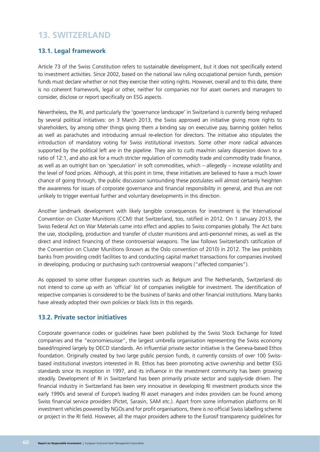# **13. SWITZERLAND**

## **13.1. Legal framework**

Article 73 of the Swiss Constitution refers to sustainable development, but it does not specifically extend to investment activities. Since 2002, based on the national law ruling occupational pension funds, pension funds must declare whether or not they exercise their voting rights. However, overall and to this date, there is no coherent framework, legal or other, neither for companies nor for asset owners and managers to consider, disclose or report specifically on ESG aspects.

Nevertheless, the RI, and particularly the 'governance landscape' in Switzerland is currently being reshaped by several political initiatives: on 3 March 2013, the Swiss approved an initiative giving more rights to shareholders, by among other things giving them a binding say on executive pay, banning golden hellos as well as parachutes and introducing annual re-election for directors. The initiative also stipulates the introduction of mandatory voting for Swiss institutional investors. Some other more radical advances supported by the political left are in the pipeline. They aim to curb max/min salary dispersion down to a ratio of 12:1, and also ask for a much stricter regulation of commodity trade and commodity trade finance, as well as an outright ban on 'speculation' in soft commodities, which – allegedly – increase volatility and the level of food prices. Although, at this point in time, these initiatives are believed to have a much lower chance of going through, the public discussion surrounding these postulates will almost certainly heighten the awareness for issues of corporate governance and financial responsibility in general, and thus are not unlikely to trigger eventual further and voluntary developments in this direction.

Another landmark development with likely tangible consequences for investment is the International Convention on Cluster Munitions (CCM) that Switzerland, too, ratified in 2012. On 1 January 2013, the Swiss Federal Act on War Materials came into effect and applies to Swiss companies globally. The Act bans the use, stockpiling, production and transfer of cluster munitions and anti-personnel mines, as well as the direct and indirect financing of these controversial weapons. The law follows Switzerland's ratification of the Convention on Cluster Munitions (known as the Oslo convention of 2010) in 2012. The law prohibits banks from providing credit facilities to and conducting capital market transactions for companies involved in developing, producing or purchasing such controversial weapons ("affected companies").

As opposed to some other European countries such as Belgium and The Netherlands, Switzerland do not intend to come up with an 'official' list of companies ineligible for investment. The identification of respective companies is considered to be the business of banks and other financial institutions. Many banks have already adopted their own policies or black lists in this regards.

#### **13.2. Private sector initiatives**

Corporate governance codes or guidelines have been published by the Swiss Stock Exchange for listed companies and the "economiesuisse", the largest umbrella organisation representing the Swiss economy based/inspired largely by OECD standards. An influential private sector initiative is the Geneva-based Ethos foundation. Originally created by two large public pension funds, it currently consists of over 100 Swissbased institutional investors interested in RI. Ethos has been promoting active ownership and better ESG standards since its inception in 1997, and its influence in the investment community has been growing steadily. Development of RI in Switzerland has been primarily private sector and supply-side driven. The financial industry in Switzerland has been very innovative in developing RI investment products since the early 1990s and several of Europe's leading RI asset managers and index providers can be found among Swiss financial service providers (Pictet, Sarasin, SAM etc.). Apart from some information platforms on RI investment vehicles powered by NGOs and for profit organisations, there is no official Swiss labelling scheme or project in the RI field. However, all the major providers adhere to the Eurosif transparency guidelines for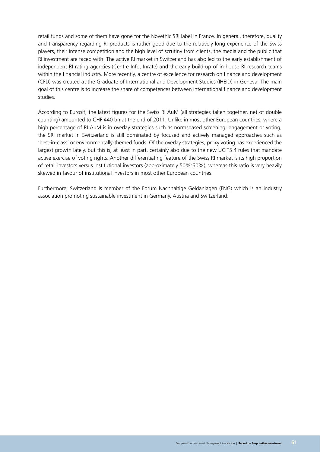retail funds and some of them have gone for the Novethic SRI label in France. In general, therefore, quality and transparency regarding RI products is rather good due to the relatively long experience of the Swiss players, their intense competition and the high level of scrutiny from clients, the media and the public that RI investment are faced with. The active RI market in Switzerland has also led to the early establishment of independent RI rating agencies (Centre Info, Inrate) and the early build-up of in-house RI research teams within the financial industry. More recently, a centre of excellence for research on finance and development (CFD) was created at the Graduate of International and Development Studies (IHEID) in Geneva. The main goal of this centre is to increase the share of competences between international finance and development studies.

According to Eurosif, the latest figures for the Swiss RI AuM (all strategies taken together, net of double counting) amounted to CHF 440 bn at the end of 2011. Unlike in most other European countries, where a high percentage of RI AuM is in overlay strategies such as normsbased screening, engagement or voting, the SRI market in Switzerland is still dominated by focused and actively managed approaches such as 'best-in-class' or environmentally-themed funds. Of the overlay strategies, proxy voting has experienced the largest growth lately, but this is, at least in part, certainly also due to the new UCITS 4 rules that mandate active exercise of voting rights. Another differentiating feature of the Swiss RI market is its high proportion of retail investors versus institutional investors (approximately 50%:50%), whereas this ratio is very heavily skewed in favour of institutional investors in most other European countries.

Furthermore, Switzerland is member of the Forum Nachhaltige Geldanlagen (FNG) which is an industry association promoting sustainable investment in Germany, Austria and Switzerland.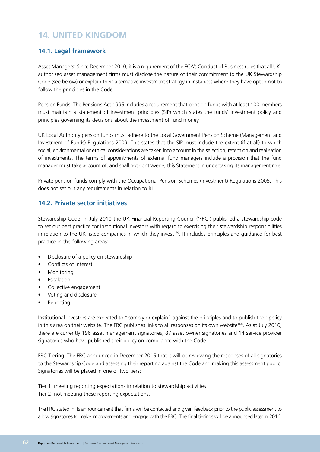# **14. UNITED KINGDOM**

## **14.1. Legal framework**

Asset Managers: Since December 2010, it is a requirement of the FCA's Conduct of Business rules that all UKauthorised asset management firms must disclose the nature of their commitment to the UK Stewardship Code (see below) or explain their alternative investment strategy in instances where they have opted not to follow the principles in the Code.

Pension Funds: The Pensions Act 1995 includes a requirement that pension funds with at least 100 members must maintain a statement of investment principles (SIP) which states the funds' investment policy and principles governing its decisions about the investment of fund money.

UK Local Authority pension funds must adhere to the Local Government Pension Scheme (Management and Investment of Funds) Regulations 2009. This states that the SIP must include the extent (if at all) to which social, environmental or ethical considerations are taken into account in the selection, retention and realisation of investments. The terms of appointments of external fund managers include a provision that the fund manager must take account of, and shall not contravene, this Statement in undertaking its management role.

Private pension funds comply with the Occupational Pension Schemes (Investment) Regulations 2005. This does not set out any requirements in relation to RI.

## **14.2. Private sector initiatives**

Stewardship Code: In July 2010 the UK Financial Reporting Council ('FRC') published a stewardship code to set out best practice for institutional investors with regard to exercising their stewardship responsibilities in relation to the UK listed companies in which they invest<sup>159</sup>. It includes principles and guidance for best practice in the following areas:

- Disclosure of a policy on stewardship
- Conflicts of interest
- Monitoring
- Escalation
- Collective engagement
- Voting and disclosure
- **Reporting**

Institutional investors are expected to "comply or explain" against the principles and to publish their policy in this area on their website. The FRC publishes links to all responses on its own website<sup>160</sup>. As at July 2016, there are currently 196 asset management signatories, 87 asset owner signatories and 14 service provider signatories who have published their policy on compliance with the Code.

FRC Tiering: The FRC announced in December 2015 that it will be reviewing the responses of all signatories to the Stewardship Code and assessing their reporting against the Code and making this assessment public. Signatories will be placed in one of two tiers:

Tier 1: meeting reporting expectations in relation to stewardship activities Tier 2: not meeting these reporting expectations.

The FRC stated in its announcement that firms will be contacted and given feedback prior to the public assessment to allow signatories to make improvements and engage with the FRC. The final tierings will be announced later in 2016.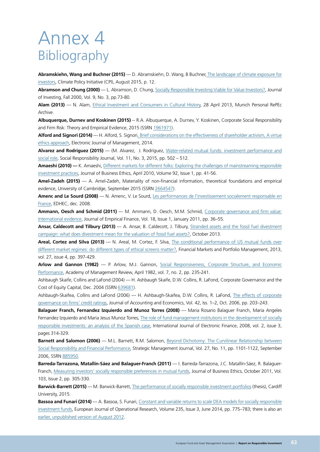# Annex 4 Bibliography

**Abramskiehn, Wang and Buchner (2015)** --- D. Abramskiehn, D. Wang, B Buchner, [The landscape of climate exposure for](http://climatepolicyinitiative.org/publication/landscape-climate-exposure-investors/) [investors,](http://climatepolicyinitiative.org/publication/landscape-climate-exposure-investors/) Climate Policy Initiative (CPI), August 2015, p. 12.

**Abramson and Chung (2000)** --- L. Abramson, D. Chung, [Socially Responsible Investing Viable for Value Investors?](http://www.iijournals.com/doi/abs/10.3905/joi.2000.319381), Journal of Investing, Fall 2000, Vol. 9, No. 3, pp.73-80.

**Alam (2013)** --- N. Alam, [Ethical Investment and Consumers in Cultural History,](https://mpra.ub.uni-muenchen.de/47216/1/MPRA_paper_47216.pdf) 28 April 2013, Munich Personal RePEc Archive.

**Albuquerque, Durnev and Koskinen (2015)** -- R.A. Albuquerque, A. Durnev, Y. Koskinen, Corporate Social Responsibility and Firm Risk: Theory and Empirical Evidence, 2015 (SSRN [1961971](http://papers.ssrn.com/sol3/papers.cfm?abstract_id=1961971)).

**Alford and Signori (2014)** --- H. Alford, S. Signori[, Brief considerations on the effectiveness of shareholder activism, A virtue](http://www.impresaprogetto.it/sites/impresaprogetto.it/files/articles/alford_signori_3-2014.pdf) [ethics approach,](http://www.impresaprogetto.it/sites/impresaprogetto.it/files/articles/alford_signori_3-2014.pdf) Electronic Journal of Management, 2014.

**Alvarez and Rodríguez (2015)** --- (M. Alvarez, J. Rodríguez, [Water-related mutual funds: investment performance and](http://www.emeraldinsight.com/doi/abs/10.1108/SRJ-08-2013-0104) [social role,](http://www.emeraldinsight.com/doi/abs/10.1108/SRJ-08-2013-0104) Social Responsibility Journal, Vol. 11, No. 3, 2015, pp. 502 – 512.

**Amaeshi (2010) ---** K. Amaeshi, [Different markets for different folks: Exploring the challenges of mainstreaming responsible](http://link.springer.com/article/10.1007%2Fs10551-010-0633-8) [investment practices](http://link.springer.com/article/10.1007%2Fs10551-010-0633-8), Journal of Business Ethics, April 2010, Volume 92, Issue 1, pp. 41-56.

**Amel-Zadeh (2015)** --- A. Amel-Zadeh, Materiality of non-financial information, theoretical foundations and empirical evidence, University of Cambridge, September 2015 (SSRN [2664547](http://papers.ssrn.com/sol3/papers.cfm?abstract_id=2664547)).

Amenc and Le Sourd (2008) --- N. Amenc, V. Le Sourd, [Les performances de l'investissement socialement responsable en](http://professoral.edhec.com/recherche/publications-edhec/2008/les-performances-de-l-investissement-socialement-responsable-en-france-122636.kjsp) [France,](http://professoral.edhec.com/recherche/publications-edhec/2008/les-performances-de-l-investissement-socialement-responsable-en-france-122636.kjsp) EDHEC, dec. 2008.

**Ammann, Oesch and Schmid (2011)** --- M. Ammann, D. Oesch, M.M. Schmid, [Corporate governance and firm value:](http://www.sciencedirect.com/science/article/pii/S0927539810000757) [International evidence,](http://www.sciencedirect.com/science/article/pii/S0927539810000757) Journal of Empirical Finance, Vol. 18, Issue 1, January 2011, pp. 36–55.

**Ansar, Caldecott and Tilbury (2013)** --- A. Ansar, B. Caldecott, J. Tilbury, [Stranded assets and the fossil fuel divestment](http://www.smithschool.ox.ac.uk/research-programmes/stranded-assets/SAP-divestment-report-final.pdf) [campaign: what does divestment mean for the valuation of fossil fuel assets?](http://www.smithschool.ox.ac.uk/research-programmes/stranded-assets/SAP-divestment-report-final.pdf), October 2013.

Areal, Cortez and Silva (2013) --- N. Areal, M. Cortez, F. Silva, [The conditional performance of US mutual funds over](http://link.springer.com/article/10.1007%2Fs11408-013-0218-5) [different market regimes: do different types of ethical screens matter?,](http://link.springer.com/article/10.1007%2Fs11408-013-0218-5) Financial Markets and Portfolio Management, 2013, vol. 27, issue 4, pp. 397-429.

**Arlow and Gannon (1982)** --- P. Arlow, M.J. Gannon, [Social Responsiveness, Corporate Structure, and Economic](http://amr.aom.org/content/7/2/235.short) [Performance](http://amr.aom.org/content/7/2/235.short), Academy of Management Review, April 1982, vol. 7, no. 2, pp. 235-241.

Ashbaugh Skaife, Collins and LaFond (2004) --- H. Ashbaugh Skaife, D.W. Collins, R. LaFond, Corporate Governance and the Cost of Equity Capital, Dec. 2004 (SSRN [639681](http://papers.ssrn.com/sol3/Papers.cfm?abstract_id=639681)).

Ashbaugh-Skaifea, Collins and LaFond (2006) --- H. Ashbaugh-Skaifea, D.W. Collins, R. LaFond, [The effects of corporate](http://www.sciencedirect.com/science/article/pii/S016541010600036X) [governance on fir](http://www.sciencedirect.com/science/article/pii/S016541010600036X)ms' credit ratings, Journal of Accounting and Economics, Vol. 42, Iss. 1–2, Oct. 2006, pp. 203–243.

**Balaguer Franch, Fernandez Izquierdo and Munoz Torres (2008)** --- Maria Rosario Balaguer Franch, Maria Angeles Fernandez Izquierdo and Maria Jesus Munoz Torres, [The role of fund management institutions in the development of socially](http://www.inderscience.com/offer.php?id=20603) [responsible investments: an analysis of the Spanish case](http://www.inderscience.com/offer.php?id=20603), International Journal of Electronic Finance, 2008, vol. 2, issue 3, pages 314-329.

**Barnett and Salomon (2006)** --- M.L. Barnett, R.M. Salomon, [Beyond Dichotomy: The Curvilinear Relationship between](http://papers.ssrn.com/sol3/Papers.cfm?abstract_id=885950) [Social Responsibility and Financial Performance](http://papers.ssrn.com/sol3/Papers.cfm?abstract_id=885950), Strategic Management Journal, Vol. 27, No. 11, pp. 1101-1122, September 2006, SSRN [885950](http://papers.ssrn.com/sol3/Papers.cfm?abstract_id=885950).

**Barreda-Tarrazona, Matallín-Sáez and Balaguer-Franch (2011)** --- I. Barreda-Tarrazona, J.C. Matallín-Sáez, R. Balaguer-Franch, [Measuring investors' socially responsible preferences in mutual funds](http://link.springer.com/article/10.1007%2Fs10551-011-0868-z), Journal of Business Ethics, October 2011, Vol. 103, Issue 2, pp. 305-330.

**Barwick-Barrett (2015)** --- M. Barwick-Barrett, [The performance of socially responsible investment portfolios](http://orca.cf.ac.uk/77707/1/2015%20Matthew%20Barwick-Barrett.pdf) (thesis), Cardiff University, 2015.

**Bassoa and Funari (2014)** --- A. Bassoa, S. Funari, [Constant and variable returns to scale DEA models for socially responsible](http://www.sciencedirect.com/science/article/pii/S0377221713009417) [investment funds,](http://www.sciencedirect.com/science/article/pii/S0377221713009417) European Journal of Operational Research, Volume 235, Issue 3, June 2014, pp. 775–783; there is also an [earlier, unpublished version of August 2012.](http://www.unive.it/media/allegato/DIP/Economia/Working_papers/Working_papers_2012/WP_DSE_basso_funari_20_12.pdf)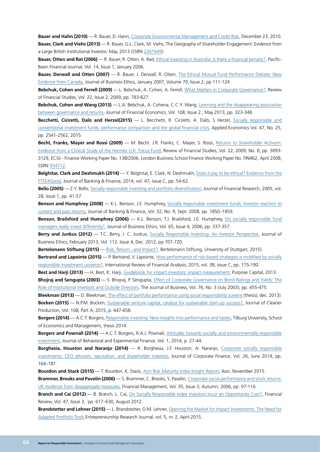**Bauer and Hahn (2010)** --- R. Bauer, D. Hann, [Corporate Environmental Management and Credit Risk,](http://papers.ssrn.com/sol3/papers.cfm?abstract_id=1660470) December 23, 2010. **Bauer, Clark and Viehs (2013)** --- R. Bauer, G.L. Clark, M. Viehs, The Geography of Shareholder Engagement: Evidence from a Large British Institutional Investor, May, 2013 (SSRN [2261649](http://papers.ssrn.com/sol3/papers.cfm?abstract_id=2261649)).

**Bauer, Otten and Rat (2006)** --- R. Bauer, R. Otten, A. Rad, [Ethical investing in Australia: Is there a financial penalty?](http://www.sciencedirect.com/science/article/pii/S0927538X0500034X), Pacific-Basin Financial Journal, Vol. 14, Issue 1, January 2006.

**Bauer, Derwall and Otten (2007)** --- R. Bauer, J. Derwall, R. Otten, [The Ethical Mutual Fund Performance Debate: New](http://link.springer.com/article/10.1007%2Fs10551-006-9099-0) [Evidence from Canada,](http://link.springer.com/article/10.1007%2Fs10551-006-9099-0) Journal of Business Ethics, January 2007, Volume 70, Issue 2, pp 111-124.

**Bebchuk, Cohen and Ferrell (2009)** --- L. Bebchuk, A. Cohen, A. Ferrell, [What Matters in Corporate Governance?,](http://rfs.oxfordjournals.org/content/22/2/783.short) Review of Financial Studies, Vol. 22, Issue 2, 2009, pp. 783-827.

**Bebchuk, Cohen and Wang (2013)** --- L.A. Bebchuk, A. Cohena, C.C.Y. Wang, [Learning and the disappearing association](http://www.sciencedirect.com/science/article/pii/S0304405X12002164) [between governance and returns,](http://www.sciencedirect.com/science/article/pii/S0304405X12002164) Journal of Financial Economics, Vol. 108, Issue 2., May 2013, pp. 323-348.

**Becchetti, Ciciretti, Dalò and Herzel(2015)** --- L. Becchetti, R. Ciciretti, A. Dalò, S Herzel, Socially responsible and conventional investment funds: performance comparison and the global financial crisis, Applied Economics Vol. 47, No. 25, pp. 2541-2562, 2015.

**Becht, Franks, Mayer and Rossi (2009)** --- M. Becht. J.R. Franks, C. Mayer, S. Rossi, [Returns to Shareholder Activism:](http://rfs.oxfordjournals.org/content/22/8/3093.abstract) [Evidence from a Clinical Study of the Hermes U.K. Focus Fund,](http://rfs.oxfordjournals.org/content/22/8/3093.abstract) Review of Financial Studies, Vol. 22, 2009, No. 8, pp. 3093- 3129, ECGI - Finance Working Paper No. 138/2006, London Business School Finance Working Paper No. FIN462, April 2008, SSRN [934712](http://papers.ssrn.com/sol3/papers.cfm?abstract_id=934712).

**Belghitar, Clark and Deshmukh (2014)** --- Y. Belghitar, E. Clark, N. Deshmukh, [Does it pay to be ethical? Evidence from the](http://www.sciencedirect.com/science/article/pii/S0378426614002428) [FTSE4Good](http://www.sciencedirect.com/science/article/pii/S0378426614002428), Journal of Banking & Finance, 2014, vol. 47, issue C, pp. 54-62.

**Bello (2005)** --- Z.Y. Bello, [Socially responsible investing and portfolio diversification,](http://onlinelibrary.wiley.com/doi/10.1111/j.1475-6803.2005.00113.x/abstract) Journal of Financial Research, 2005, vol. 28, issue 1, pp. 41-57.

**Benson and Humphrey (2008)** --- K.L. Benson, J.E. Humphrey, [Socially responsible investment funds: Investor reaction to](http://www.sciencedirect.com/science/article/pii/S0378426607004025) [current and past returns](http://www.sciencedirect.com/science/article/pii/S0378426607004025), Journal of Banking & Finance, Vol. 32, No. 9, Sept. 2008, pp. 1850–1859.

Benson, Brailsford and Humphrey (2006) --- K.L. Benson, T.J. Brailsford, J.E. Humphrey, [Do socially responsible fund](http://link.springer.com/article/10.1007/s10551-006-0003-8) [managers really invest differently?,](http://link.springer.com/article/10.1007/s10551-006-0003-8) Journal of Business Ethics, Vol. 65, Issue 4, 2006, pp. 337-357.

**Berry and Junkus (2012)** --- T.C. Berry, J. C. Junkus, [Socially Responsible Investing: An Investor Perspective,](http://link.springer.com/article/10.1007%2Fs10551-012-1567-0) Journal of Business Ethics, February 2013, Vol. 112, Issue 4, Dec. 2012, pp 707-720.

**Bertelsmann Stiftung (2015)** --- [Risk, Return...and Impact?,](http://www.bertelsmann-stiftung.de/fileadmin/files/user_upload/German_Investor_Attitudes_towards_SII.pdf) Bertelsmann Stiftung, University of Stuttgart, 2015).

**Bertrand and Lapointe (2015)** --- P. Bertrand, V. Lapointe, [How performance of risk-based strategies is modified by socially](http://www.sciencedirect.com/science/article/pii/S105752191400163X) [responsible investment universe?](http://www.sciencedirect.com/science/article/pii/S105752191400163X), International Review of Financial Analysis, 2015, vol. 38, issue C, pp. 175-190.

**Best and Harji (2013)** --- H. Best, K. Harji, [Guidebook for impact investors: impact measurement](http://www.purposecap.com/wp-content/uploads/Guidebook-for-Impact-Investors-Impact-Measurement.pdf), Purpose Capital, 2013. **Bhojraj and Sengupta (2003)** --- S. Bhojraj, P. Sengupta, Effect of Corporate Governance on Bond Ratings and Yields: The

Role of Institutional Investors and Outside Directors, The Journal of Business, Vol. 76, No. 3 (July 2003), pp. 455-475. **Bleekman (2013)** --- D. Bleekman, [The effect of portfolio performance using social responsibility screens](http://arno.uvt.nl/show.cgi?fid=132719) (thesis), dec. 2013). **Bocken (2015)** --- N.P.M. Bocken, [Sustainable venture capital, catalyst for sustainable start-up success?,](http://www.sciencedirect.com/science/article/pii/S0959652615006460) Journal of Cleaner

Production, Vol. 108, Part A, 2015, p. 647-658.

**Borgers (2014)** --- A.C.T. Borgers, [Responsible investing: New insights into performance and tastes](https://pure.uvt.nl/portal/files/3848133/DissertationArianBorgersJul2014.pdf), Tilburg University, School of Economics and Management, thesis 2014.

**Borgers and Pownall (2014)** --- A.C.T. Borgers, R.A.J. Pownall, [Attitudes towards socially and environmentally responsible](http://www.sciencedirect.com/science/article/pii/S2214635014000082) [investment](http://www.sciencedirect.com/science/article/pii/S2214635014000082), Journal of Behavioral and Experimental Finance, Vol. 1, 2014, p. 27-44.

**Borghesia, Houston and Naranjo (2014)** --- R. Borghesia, J.F. Houston, A. Naranjo, [Corporate socially responsible](http://www.sciencedirect.com/science/article/pii/S0929119914000352) [investments: CEO altruism, reputation, and shareholder interests,](http://www.sciencedirect.com/science/article/pii/S0929119914000352) Journal of Corporate Finance, Vol. 26, June 2014, pp. 164–181.

**Bourdon and Stack (2015)** --- T. Bourdon, K. Stack, [Aon Risk Maturity Index Insight Report](http://www.aon.com/risk-services/thought-leadership/report-rmi-insight-nov-2015.jsp), Aon, November 2015.

**Brammer, Brooks and Pavelin (2006)** --- S. Brammer, C. Brooks, S. Pavelin, Corporate social performance and stock returns: UK evidence from disaggregate measures, Financial Management, Vol. 35, Issue 3, Autumn, 2006, pp. 97-116.

**Branch and Cai (2012)** --- B. Branch, L. Cai, [Do Socially Responsible Index Investors Incur an Opportunity Cost?,](http://onlinelibrary.wiley.com/doi/10.1111/j.1540-6288.2012.00342.x/abstract) Financial Review, Vol. 47, Issue 3, pp. 617–630, August 2012.

**Brandstetter and Lehner (2015)** --- L. Brandstetter, O.M. Lehner, [Opening the Market for Impact Investments: The Need for](http://www.degruyter.com/view/j/erj.2015.5.issue-2/erj-2015-0003/erj-2015-0003.xml) [Adapted Portfolio Tools](http://www.degruyter.com/view/j/erj.2015.5.issue-2/erj-2015-0003/erj-2015-0003.xml) Entrepreneurship Research Journal, vol. 5, nr. 2, April 2015.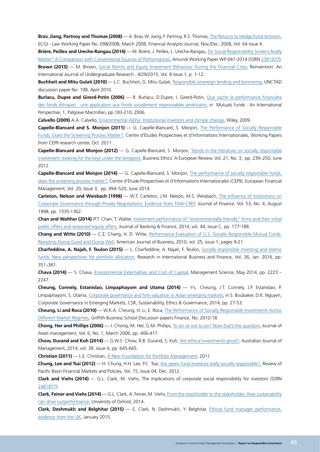**Brav, Jiang, Partnoy and Thomas (2008)** --- A. Brav, W. Jiang, F. Partnoy, R.S. Thomas, [The Returns to Hedge Fund Activism,](http://www.cfapubs.org/doi/abs/10.2469/faj.v64.n6.7) ECGI - Law Working Paper No. 098/2008, March 2008, Financial Analysts Journal, Nov./Dec. 2008, Vol. 64 Issue 6.

**Brière, Peillex and Ureche-Rangau (2014)** --- M. Brière, J. Peillex, L. Ureche-Rangau, [Do Social Responsibility Screens Really](http://research-center.amundi.com/page/Publications/Working-Paper/Do-Social-Responsibility-Screens-Really-Matter-A-Comparison-with-Conventional-Sources-of-Performances?search=true) [Matter? A Comparison with Conventional Sources of Performances](http://research-center.amundi.com/page/Publications/Working-Paper/Do-Social-Responsibility-Screens-Really-Matter-A-Comparison-with-Conventional-Sources-of-Performances?search=true), Amundi Working Paper WP-041-2014 (SSRN [2381937\)](http://papers.ssrn.com/sol3/papers.cfm?abstract_id=2381937). **Brown (2015)** --- M. Brown, [Social Norms and Equity Investment Behaviour During the Financial Crisis](http://web.a.ebscohost.com/abstract?direct=true&profile=ehost&scope=site&authtype=crawler&jrnl=17557429&AN=102961563&h=zDRhaPTpJT3DNEvGXIGsrpFZ2A4Vs9pofYm51ICq1kPGjPykmTkaFyTr9kENLCXmgdNbPs2%2bnkDCutnQrCPiyA%3d%3d&crl=c&resultNs=AdminWebAuth&resultLocal=ErrCrlNotAuth&crlhashurl=login.aspx%3fdirect%3dtrue%26profile%3dehost%26scope%3dsite%26authtype%3dcrawler%26jrnl%3d17557429%26AN%3d102961563), Reinvention: An International Journal of Undergraduate Research . 4/29/2015, Vol. 8 Issue 1, p. 1-12.

**Buchheit and Mitu Gulati (2010)** --- L.C. Buchheit, G. Mitu Gulati, [Responsible sovereign lending and borrowing](http://unctad.org/en/docs/osgdp20102_en.pdf), UNCTAD discussion paper No. 198, April 2010.

**Burlacu, Dupre and Girerd-Potin (2006)** --- R. Burlacu, D.Dupre, I. Girerd-Potin, [Que cache la performance financière](https://hal.archives-ouvertes.fr/halshs-00132212/) [des fonds éthiques : une application aux fonds socialement responsables américains](https://hal.archives-ouvertes.fr/halshs-00132212/), in Mutuals funds : An International Perspective, 1, Palgrave Macmillan, pp.183-210, 2006.

**Calvello (2009)** A.A. Calvello, Environmental Alpha: Institutional investors and climate change, Wiley, 2009.

**Capelle-Blancard and S. Monjon (2011)** --- G. Capelle-Blancard, S. Monjon, [The Performance of Socially Responsible](http://www.cepii.fr/PDF_PUB/wp/2011/wp2011-12.pdf) [Funds: Does the Screening Process Matter?,](http://www.cepii.fr/PDF_PUB/wp/2011/wp2011-12.pdf) Centre d'Etudes Prospectives et d'Informations Internationales, Working Papers from CEPII research center, Oct. 2011.

**Capelle-Blancard and Monjon (2012)** --- G. Capelle-Blancard, S. Monjon, [Trends in the literature on socially responsible](http://onlinelibrary.wiley.com/doi/10.1111/j.1467-8608.2012.01658.x/full) [investment: looking for the keys under the lamppost,](http://onlinelibrary.wiley.com/doi/10.1111/j.1467-8608.2012.01658.x/full) Business Ethics: A European Review, Vol. 21, No. 3, pp. 239–250, June 2012.

**Capelle-Blancard and Monjon (2014)** --- G. Capelle-Blancard, S. Monjon, [The performance of socially responsible funds,](http://onlinelibrary.wiley.com/doi/10.1111/j.1468-036X.2012.00643.x/abstract?userIsAuthenticated=false&deniedAccessCustomisedMessage=) [does the screening process matter?](http://onlinelibrary.wiley.com/doi/10.1111/j.1468-036X.2012.00643.x/abstract?userIsAuthenticated=false&deniedAccessCustomisedMessage=), Centre d'Etude Prospectives et d'Informations Internationales (CEPII), European Financial Management, Vol. 20, Issue 3, pp. 494–520, June 2014.

**Carleton, Nelson and Weisbach (1998)** --- W.T. Carleton, J.M. Nelson, M.S. Weisbach, [The Influence of Institutions on](http://onlinelibrary.wiley.com/doi/10.1111/0022-1082.00055/abstract) [Corporate Governance through Private Negotiations: Evidence from TIAA-CREF,](http://onlinelibrary.wiley.com/doi/10.1111/0022-1082.00055/abstract) Journal of Finance, Vol. 53, No. 4, August 1998, pp. 1335-1362.

Chan and Walther (2014) (P.T. Chan, T. Walter, [Investment performance of "environmentally-friendly" firms and their initial](http://www.sciencedirect.com/science/article/pii/S0378426614001320) [public offers and seasoned equity offers,](http://www.sciencedirect.com/science/article/pii/S0378426614001320) Journal of Banking & Finance, 2014, vol. 44, issue C, pp. 177-188.

**Chang and Witte (2010)** --- C.E. Chang, H. D. Witte, [Performance Evaluation of U.S. Socially Responsible Mutual Funds:](http://www.emeraldinsight.com/doi/abs/10.1108/19355181201000001) [Revisiting Doing Good and Doing Well,](http://www.emeraldinsight.com/doi/abs/10.1108/19355181201000001) American Journal of Business, 2010, vol. 25, issue 1, pages 9-21.

**Charfeddine, A. Najah, F. Teulon (2015)** --- L. Charfeddine, A. Najah, F. Teulon, [Socially responsible investing and Islamic](http://www.sciencedirect.com/science/article/pii/S0275531915300374) [funds: New perspectives for portfolio allocation,](http://www.sciencedirect.com/science/article/pii/S0275531915300374) Research in International Business and Finance, Vol. 36, Jan. 2016, pp. 351–361.

**Chava (2014)** --- S. Chava, [Environmental Externalities and Cost of Capital,](http://pubsonline.informs.org/doi/abs/10.1287/mnsc.2013.1863) Management Science, May 2014, pp. 2223 – 2247.

**Cheung, Connely, Estanislao, Limpaphayom and Utama (2014)** --- Y-L. Cheung, J.T. Connely, J.P. Estanislao, P. Limpaphayom, S. Utama, Corporate governance and firm valuation in Asian emerging markets, in S. Boubaker, D.K. Nguyen, Corporate Governance in Emerging Markets, CSR, Sustainability, Ethics & Governance, 2014, pp. 27-53.

**Cheung, Li and Roca (2010)** --- W.K.A. Cheung, H. Li, E. Roca, [The Performance of Socially Responsible Investments Across](https://www.griffith.edu.au/__data/assets/pdf_file/0010/287821/2010-18-the-performance-of-socially-responsible-investments-across-different-market-regimes.pdf) [Different Market Regimes,](https://www.griffith.edu.au/__data/assets/pdf_file/0010/287821/2010-18-the-performance-of-socially-responsible-investments-across-different-market-regimes.pdf) Griffith Business School Discussion papers Finance, No. 2010-18.

**Chong, Her and Phillips (2006)** --- J. Chong, M. Her, G.M. Phillips, [To sin or not to sin? Now that's the question](http://www.ingentaconnect.com/content/pal/jam/2006/00000006/00000006/art00003), Journal of Asset management, Vol. 6, No. 1, March 2006, pp. 406-417.

**Chow, Durand and Koh (2014)** --- G.W.S. Chow, R.B. Durand, S. Koh, [Are ethical investments good?,](http://aum.sagepub.com/content/39/4/645.abstract) Australian Journal of Management, 2014, vol. 39, issue 4, pp. 645-665.

**Christian (2011)** --- L.E. Christian, [A New Foundation for Portfolio Management,](http://rsfsocialfinance.org/wp-content/uploads/downloads/2011/10/A-New-Foundation-for-Portfolio-Management.pdf) 2011.

**Chung, Lee and Tsai (2012)** --- H. Chung, H.H. Lee, P.C. Tsai, [Are green fund investors really socially responsible?](http://www.worldscientific.com/doi/abs/10.1142/S0219091512500233?journalCode=rpbfmp), Review of Pacific Basin Financial Markets and Policies, Vol. 15, Issue 04, Dec. 2012.

**Clark and Viehs (2014)** --- G.L. Clark, M. Viehs, The implications of corporate social responsibility for investors (SSRN [2481877](http://papers.ssrn.com/sol3/papers.cfm?abstract_id=2481877)).

**Clark, Feiner and Viehs (2014)** --- G.L. Clark, A. Feiner, M. Viehs, [From the stockholder to the stakeholder, How sustainability](http://www.arabesque.com/index.php?tt_down=51e2de00a30f88872897824d3e211b11) [can drive outperformance,](http://www.arabesque.com/index.php?tt_down=51e2de00a30f88872897824d3e211b11) University of Oxford, 2014.

**Clark, Deshmukh and Belghitar (2015)** --- E. Clark, N. Deshmukh, Y. Belghitar, [Ethical fund manager performance,](http://www.mfsociety.org/modules/modDashboard/uploadFiles/conferences/MC22nd%20Annual%20Conference~218~p19bi9i3841p2k5k6eotq9h844.pdf) [evidence from the UK,](http://www.mfsociety.org/modules/modDashboard/uploadFiles/conferences/MC22nd%20Annual%20Conference~218~p19bi9i3841p2k5k6eotq9h844.pdf) January 2015.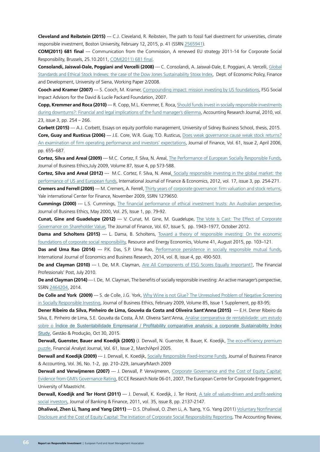**Cleveland and Reibstein (2015)** --- C.J. Cleveland, R. Reibstein, The path to fossil fuel divestment for universities, climate responsible investment, Boston University, February 12, 2015, p. 41 (SSRN [2565941](http://papers.ssrn.com/sol3/papers.cfm?abstract_id=2565941)).

**COM(2011) 681 final** --- Communication from the Commission, A renewed EU strategy 2011-14 for Corporate Social Responsibility, Brussels, 25.10.2011, [COM\(2011\) 681 final.](http://eur-lex.europa.eu/LexUriServ/LexUriServ.do?uri=COM:2011:0681:FIN:EN:PDF)

**Consolandi, Jaiswal-Dale, Poggiani and Vercelli (2008)** --- C. Consolandi, A. Jaiswal-Dale, E. Poggiani, A. Vercelli, [Global](http://www.depfid.unisi.it/images/pdf/text208.pdf) [Standards and Ethical Stock Indexes: the case of the Dow Jones Sustainability Stoxx Index](http://www.depfid.unisi.it/images/pdf/text208.pdf), Dept. of Economic Policy, Finance and Development, University of Siena, Working Paper 2/2008.

**Cooch and Kramer (2007)** --- S. Cooch, M. Kramer, [Compounding impact: mission investing by US foundations](https://www.missioninvestors.org/tools/compounding-impact-mission-investing-us-foundations), FSG Social Impact Advisors for the David & Lucile Packard Foundation, 2007.

Copp, Kremmer and Roca (2010) --- R. Copp, M.L. Kremmer, E. Roca, [Should funds invest in socially responsible investments](http://www.emeraldinsight.com/doi/abs/10.1108/10309611011092583) [during downturns?: Financial and legal implications of the fund manager's dilemma,](http://www.emeraldinsight.com/doi/abs/10.1108/10309611011092583) Accounting Research Journal, 2010, vol. 23, issue 3, pp. 254 – 266.

**Corbett (2015)** --- A.J. Corbett, Essays on equity portfolio management, University of Sidney Business School, thesis, 2015. **Core, Guay and Rusticus (2006)** --- J.E. Core, W.R. Guay, T.O. Rusticus, [Does weak governance cause weak stock returns?](http://onlinelibrary.wiley.com/doi/10.1111/j.1540-6261.2006.00851.x/full) [An examination of firm operating performance and investors' expectations,](http://onlinelibrary.wiley.com/doi/10.1111/j.1540-6261.2006.00851.x/full) Journal of Finance, Vol. 61, Issue 2, April 2006, pp. 655–687.

**Cortez, Silva and Areal (2009)** --- M.C. Cortez, F. Silva, N. Areal, [The Performance of European Socially Responsible Funds,](http://link.springer.com/article/10.1007/s10551-008-9959-x) Journal of Business Ethics,July 2009, Volume 87, Issue 4, pp 573-588.

**Cortez, Silva and Areal (2012)** --- M.C. Cortez, F. Silva, N. Area[l, Socially responsible investing in the global market: the](http://onlinelibrary.wiley.com/doi/10.1002/ijfe.454/abstract?userIsAuthenticated=false&deniedAccessCustomisedMessage=) [performance of US and European funds,](http://onlinelibrary.wiley.com/doi/10.1002/ijfe.454/abstract?userIsAuthenticated=false&deniedAccessCustomisedMessage=) International Journal of Finance & Economics, 2012, vol. 17, issue 3, pp. 254-271.

**Cremers and Ferrell (2009)** --- M. Cremers, A. Ferrell, [Thirty years of corporate governance: firm valuation and stock returns,](http://depot.som.yale.edu/icf/papers/fileuploads/2485/original/09-09.pdf) Yale international Center for Finance, November 2009, SSRN 1279650.

**Cummings (2000)** --- L.S. Cummings, [The financial performance of ethical investment trusts: An Australian perspective,](http://link.springer.com/article/10.1023/A:1006102802904) Journal of Business Ethics, May 2000, Vol. 25, Issue 1, pp. 79-92.

**Cunat, Gine and Guadelupe (2012)** --- V. Cunat, M. Gine, M. Guadelupe, [The Vote Is Cast: The Effect of Corporate](http://onlinelibrary.wiley.com/doi/10.1111/j.1540-6261.2012.01776.x/abstract;jsessionid=619C15FD779497DEE359239CB19330B6.f02t02?userIsAuthenticated=false&deniedAccessCustomisedMessage=) [Governance on Shareholder Value,](http://onlinelibrary.wiley.com/doi/10.1111/j.1540-6261.2012.01776.x/abstract;jsessionid=619C15FD779497DEE359239CB19330B6.f02t02?userIsAuthenticated=false&deniedAccessCustomisedMessage=) The Journal of Finance, Vol. 67, Issue 5, pp. 1943–1977, October 2012.

**Dama and Scholtens (2015)** --- L. Dama, B. Scholtens, [Toward a theory of responsible investing: On the economic](http://www.sciencedirect.com/science/article/pii/S0928765515000342) [foundations of corporate social responsibility,](http://www.sciencedirect.com/science/article/pii/S0928765515000342) Resource and Energy Economics, Volume 41, August 2015, pp. 103–121.

Das and Uma Rao (2014) --- P.K. Das, S.P. Uma Rao, [Performance persistence in socially responsible mutual funds](http://www.inderscience.com/offer.php?id=65516), International Journal of Economics and Business Research, 2014, vol. 8, issue 4, pp. 490-503.

**De and Clayman (2010)** --- I. De, M.R. Clayman, [Are All Components of ESG Scores Equally Important?](http://post.nyssa.org/nyssa-news/2010/07/the-impact-of-esg-on-stock-returns-and-profitability.html), The Financial Professionals' Post, July 2010.

**De and Clayman (2014)** --- I. De, M. Clayman, The benefits of socially responsible investing: An active manager's perspective, SSRN [2464204](http://papers.ssrn.com/sol3/papers.cfm?abstract_id=2464204), 2014.

**De Colle and York (2009) ---** S. de Colle, J.G. York, Why Wine is not Glue? The Unresolved Problem of Negative Screening in Socially Responsible Investing, Journal of Business Ethics, February 2009, Volume 85, Issue 1 Supplement, pp 83-95;

**Dener Ribeiro da Silva, Pinheiro de Lima, Gouvêa da Costa and Oliveira Sant'Anna (2015)** --- E.H. Dener Ribeiro da Silva, E. Pinheiro de Lima, S.E. Gouvêa da Costa, Â.M. Oliveira Sant'Anna, [Análise comparativa de rentabilidade: um estudo](http://www.scielo.br/scielo.php?pid=S0104-530X2015005088914&script=sci_arttext&tlng=pt) sobre o [Índice de Sustentabilidade Empresarial / Profitability comparative analysis: a corporate Sustainability Index](http://www.scielo.br/scielo.php?pid=S0104-530X2015005088914&script=sci_arttext&tlng=pt) [Study](http://www.scielo.br/scielo.php?pid=S0104-530X2015005088914&script=sci_arttext&tlng=pt), Gestão & Produção, Oct 30, 2015.

**Derwall, Guenster, Bauer and Koedijk (2005)** (J. Derwall, N. Guenster, R. Bauer, K. Koedijk, [The eco-efficiency premium](http://www.cfapubs.org/doi/abs/10.2469/faj.v61.n2.2716) [puzzle](http://www.cfapubs.org/doi/abs/10.2469/faj.v61.n2.2716), Financial Analyst Journal, Vol. 61, Issue 2, March/April 2005.

**Derwall and Koedijk (2009)** --- J. Derwall, K. Koedijk, [Socially Responsible Fixed-Income Funds,](http://onlinelibrary.wiley.com/doi/10.1111/j.1468-5957.2008.02119.x/abstract;jsessionid=264FC4883167E47BE14AF91D06933994.f01t04) Journal of Business Finance & Accounting, Vol. 36, No. 1-2, pp. 210–229, January/March 2009

**Derwall and Verwijmeren (2007)** --- J. Derwall, P. Verwijmeren, [Corporate Governance and the Cost of Equity Capital:](http://pub.maastrichtuniversity.nl/e61a7a8c-bd5a-404c-8707-c3b0c7f0367e) [Evidence from GMI's Governance Rating](http://pub.maastrichtuniversity.nl/e61a7a8c-bd5a-404c-8707-c3b0c7f0367e), ECCE Research Note 06-01, 2007, The European Centre for Corporate Engagement, University of Maastricht.

**Derwall, Koedijk and Ter Horst (2011)** --- J. Derwall, K. Koedijk, J. Ter Horst, [A tale of values-driven and profit-seeking](http://www.sciencedirect.com/science/article/pii/S0378426611000306) [social investors](http://www.sciencedirect.com/science/article/pii/S0378426611000306), Journal of Banking & Finance, 2011, vol. 35, issue 8, pp. 2137-2147.

**Dhaliwal, Zhen Li, Tsang and Yang (2011)** --- D.S. Dhaliwal, O. Zhen Li, A. Tsang, Y.G. Yang (2011) [Voluntary Nonfinancial](http://www.aaajournals.org/doi/abs/10.2308/accr.00000005) [Disclosure and the Cost of Equity Capital: The Initiation of Corporate Social Responsibility Reporting](http://www.aaajournals.org/doi/abs/10.2308/accr.00000005), The Accounting Review,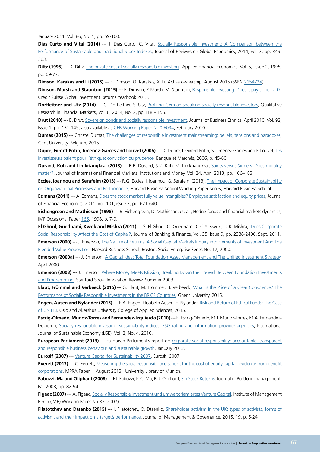January 2011, Vol. 86, No. 1, pp. 59-100.

**Dias Curto and Vital (2014)** --- J. Dias Curto, C. Vital, [Socially Responsible Investment: A Comparison between the](http://www.lifescienceglobal.com/independent-journals/journal-of-reviews-on-global-economics/volume-3/85-abstract/jrge/1081-abstract-socially-responsible-investment-a-comparison-between-the-performance-of-sustainable-and-traditional-stock-indexes) [Performance of Sustainable and Traditional Stock Indexes](http://www.lifescienceglobal.com/independent-journals/journal-of-reviews-on-global-economics/volume-3/85-abstract/jrge/1081-abstract-socially-responsible-investment-a-comparison-between-the-performance-of-sustainable-and-traditional-stock-indexes), Journal of Reviews on Global Economics, 2014, vol. 3, pp. 349- 363.

Diltz (1995) --- D. Diltz, [The private cost of socially responsible investing,](http://www.tandfonline.com/doi/abs/10.1080/758529174) Applied Financial Economics, Vol. 5, Issue 2, 1995, pp. 69-77.

**Dimson, Karakas and Li (2015)** --- E. Dimson, O. Karakas, X. Li, Active ownership, August 2015 (SSRN [2154724\)](http://papers.ssrn.com/sol3/papers.cfm?abstract_id=2154724).

**Dimson, Marsh and Staunton (2015) ---** E. Dimson, P. Marsh, M. Staunton, [Responsible investing: Does it pay to be bad?,](https://publications.credit-suisse.com/tasks/render/file/?fileID=AE924F44-E396-A4E5-11E63B09CFE37CCB) Credit Suisse Global Investment Returns Yearbook 2015.

**Dorfleitner and Utz (2014)** --- G. Dorfleitner, S. Utz, [Profiling German-speaking socially responsible investors](http://www.emeraldinsight.com/doi/full/10.1108/QRFM-07-2012-0024), Qualitative Research in Financial Markets, Vol. 6, 2014, No. 2, pp.118 – 156.

**Drut (2010)** --- B. Drut, Sovereign bonds and socially responsible investment, Journal of Business Ethnics, April 2010, Vol. 92, Issue 1, pp. 131-145, also available as [CEB Working Paper N° 09/034,](http://econpapers.repec.org/scripts/redir.pf?u=https%3A%2F%2Fdipot.ulb.ac.be%2Fdspace%2Fbitstream%2F2013%2F54322%2F1%2FRePEc_sol_wpaper_09-034.pdf;h=repec:sol:wpaper:09-034) February 2010.

**Dumas (2015)** --- Christel Dumas, [The challenges of responsible investment mainstreaming: beliefs, tensions and paradoxes,](https://biblio.ugent.be/publication/6952215) Gent University, Belgium, 2015.

**Dupre, Girerd-Potin, Jimenez-Garces and Louvet (2006)** --- D. Dupre, I. Girerd-Potin, S. Jimenez-Garces and P. Louvet, [Les](http://econpapers.repec.org/paper/haljournl/halshs-00118508.htm) [investisseurs paient pour l'éthique: conviction ou prudence,](http://econpapers.repec.org/paper/haljournl/halshs-00118508.htm) Banque et Marchés, 2006, p. 45-60.

**Durand, Koh and Limkriangkrai (2013)** --- R.B. Durand, S.K. Koh, M. Limkriangkrai, [Saints versus Sinners. Does morality](http://www.sciencedirect.com/science/article/pii/S1042443112001199) [matter?,](http://www.sciencedirect.com/science/article/pii/S1042443112001199) Journal of International Financial Markets, Institutions and Money, Vol. 24, April 2013, pp. 166–183.

**Eccles, Ioannou and Serafeim (2013)** --- R.G. Eccles, I. Ioannou, G. Serafeim (2013), [The Impact of Corporate Sustainability](http://pubsonline.informs.org/doi/abs/10.1287/mnsc.2014.1984) [on Organziational Processes and Performance](http://pubsonline.informs.org/doi/abs/10.1287/mnsc.2014.1984), Harvard Business School Working Paper Series, Harvard Business School.

**Edmans (2011)** --- A. Edmans, [Does the stock market fully value intangibles? Employee satisfaction and equity prices,](http://www.sciencedirect.com/science/article/pii/S0304405X11000869) Journal of Financial Economics, 2011, vol. 101, issue 3, pp. 621-640.

**Eichengreen and Mathieson (1998)** --- B. Eichengreen, D. Mathieson, et. al., Hedge funds and financial markets dynamics, IMF Occasional Paper 166, 1998, p. 7-9.

**El Ghoul, Guedhami, Kwok and Mishra (2011)** --- S. El Ghoul, O. Guedhami, C.C.Y. Kwok, D.R. Mishra, [Does Corporate](http://papers.ssrn.com/sol3/papers.cfm?abstract_id=1546755) [Social Responsibility Affect the Cost of Capital?,](http://papers.ssrn.com/sol3/papers.cfm?abstract_id=1546755) Journal of Banking & Finance, Vol. 35, Issue 9, pp. 2388-2406, Sept. 2011. **Emerson (2000)** --- J. Emerson, [The Nature of Returns: A Social Capital Markets Inquiry into Elements of Investment And The](http://www.blendedvalue.org/wp-content/uploads/2004/02/pdf-nature-of-returns.pdf) [Blended Value Proposition](http://www.blendedvalue.org/wp-content/uploads/2004/02/pdf-nature-of-returns.pdf), Harvard Business School, Boston, Social Enterprise Series No. 17, 2000.

**Emerson (2000a)** --- J. Emerson, [A Capital Idea: Total Foundation Asset Management and The Unified Investment Strategy,](http://www.blendedvalue.org/a-capital-idea-total-foundation-asset-management-and-the-unified-investment-strategy/) April 2000.

**Emerson (2003)** --- J. Emerson, [Where Money Meets Mission, Breaking Down the Firewall Between Foundation Investments](http://www.blendedvalue.org/wp-content/uploads/2004/02/pdf-money-meets-mission.pdf) [and Programming,](http://www.blendedvalue.org/wp-content/uploads/2004/02/pdf-money-meets-mission.pdf) Stanford Social Innovation Review, Summer 2003.

**Elaut, Frömmel and Verbeeck (2015)** --- G. Elaut, M. Frömmel, B. Verbeeck, [What is the Price of a Clear Conscience? The](https://www.researchgate.net/profile/Michael_Froemmel/publication/281747844_What_is_the_Price_of_a_Clear_Conscience_The_Performance_of_Socially_Responsible_Investments_in_the_BRICS_Countries/links/55f717f408aec948c4662c1d.pdf) [Performance of Socially Responsible Investments in the BRICS Countries](https://www.researchgate.net/profile/Michael_Froemmel/publication/281747844_What_is_the_Price_of_a_Clear_Conscience_The_Performance_of_Socially_Responsible_Investments_in_the_BRICS_Countries/links/55f717f408aec948c4662c1d.pdf), Ghent University, 2015.

**Engen, Ausen and Nylander (2015)** --- E.A. Engen, Elisabeth Ausen, E. Nylander, [Risk and Return of Ethical Funds: The Case](https://oda.hio.no/jspui/handle/10642/2813) [of UN PRI,](https://oda.hio.no/jspui/handle/10642/2813) Oslo and Akershus University College of Applied Sciences, 2015.

**Escrig-Olmedo, Munoz-Torres and Fernandez-Izquierdo (2010)** --- E. Escrig-Olmedo, M.J. Munoz-Torres, M.A. Fernandez-Izquierdo, [Socially responsible investing: sustainability indices, ESG rating and information provider agencies](http://www.inderscience.com/offer.php?id=35490), International Journal of Sustainable Economy (IJSE), Vol. 2, No. 4, 2010.

**European Parliament (2013)** --- European Parliament's report on [corporate social responsibility: accountable, transparent](http://www.europarl.europa.eu/sides/getDoc.do?pubRef=-//EP//TEXT+REPORT+A7-2013-0017+0+DOC+XML+V0//EN) [and responsible business behaviour and sustainable growth](http://www.europarl.europa.eu/sides/getDoc.do?pubRef=-//EP//TEXT+REPORT+A7-2013-0017+0+DOC+XML+V0//EN), January 2013.

**Eurosif (2007)** --- [Venture Capital for Sustainability 2007.](http://www.eurosif.org/wp-content/uploads/2014/06/venture_capital_for_sustainability_2007_report.pdf) Eurosif, 2007.

**Everett (2013)** --- C. Everett, [Measuring the social responsibility discount for the cost of equity capital: evidence from benefit](https://mpra.ub.uni-muenchen.de/55441/1/MPRA_paper_55441.pdf) [corporations,](https://mpra.ub.uni-muenchen.de/55441/1/MPRA_paper_55441.pdf) MPRA Paper, 1 August 2013, University Library of Munich.

Fabozzi, Ma and Oliphant (2008) --- F.J. Fabozzi, K.C. Ma, B. J. Oliphant, [Sin Stock Returns](http://gyanresearch.wdfiles.com/local--files/alpha/JPM_FA_08_FABOZZI.pdf), Journal of Portfolio management, Fall 2008, pp. 82-94.

**Figeac (2007)** --- A. Figeac, [Socially Responsible Investment und umweltorientiertes Venture Capital](http://econstor.eu/bitstream/10419/74317/1/745854257.pdf), Institute of Management Berlin (IMB) Working Paper No 33, 2007).

**Filatotchev and Dtsenko (2015)** --- I. Filatotchev, O. Dtsenko, [Shareholder activism in the UK: types of activists, forms of](http://link.springer.com/article/10.1007/s10997-013-9266-5) [activism, and their impact on a target's performance,](http://link.springer.com/article/10.1007/s10997-013-9266-5) Journal of Management & Governance, 2015, 19, p. 5-24.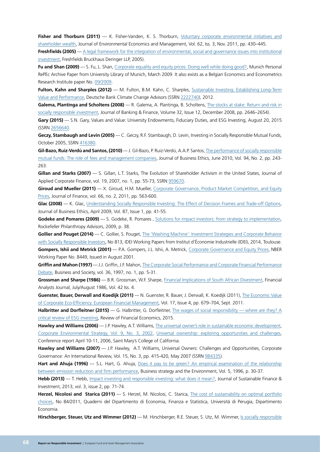Fisher and Thorburn (2011) --- K. Fisher-Vanden, K. S. Thorburn, *[Voluntary corporate environmental initiatives and](http://www.sciencedirect.com/science/article/pii/S0095069611000568)* [shareholder wealth](http://www.sciencedirect.com/science/article/pii/S0095069611000568), Journal of Environmental Economics and Management, Vol. 62, Iss. 3, Nov. 2011, pp. 430–445.

**Freshfields (2005)** --- [A legal framework for the integration of environmental, social and governance issues into institutional](http://www.unepfi.org/fileadmin/documents/freshfields_legal_resp_20051123.pdf) [investment](http://www.unepfi.org/fileadmin/documents/freshfields_legal_resp_20051123.pdf), Freshfields Bruckhaus Deringer LLP, 2005).

Fu and Shan (2009) --- S. Fu, L. Shan, [Corporate equality and equity prices: Doing well while doing good?](https://mpra.ub.uni-muenchen.de/14235/1/MPRA_paper_14235.pdf), Munich Personal RePEc Archive Paper from University Library of Munich, March 2009. It also exists as a Belgian Economics and Econometrics Research Institute paper No. [09/2009](http://www.eeri.eu/documents/wp/EERI_RP_2009_09.pdf).

**Fulton, Kahn and Sharples (2012)** --- M. Fulton, B.M. Kahn, C. Sharples, [Sustainable Investing: Establishing Long-Term](https://institutional.deutscheawm.com/content/_media/Sustainable_Investing_2012.pdf) [Value and Performance](https://institutional.deutscheawm.com/content/_media/Sustainable_Investing_2012.pdf), Deutsche Bank Climate Change Advisors (SSRN [2222740\)](http://papers.ssrn.com/sol3/papers.cfm?abstract_id=2222740), 2012.

**Galema, Plantinga and Scholtens (2008)** --- R. Galema, A. Plantinga, B. Scholtens, [The stocks at stake: Return and risk in](http://www.sciencedirect.com/science/article/pii/S0378426608001325) [socially responsible investment](http://www.sciencedirect.com/science/article/pii/S0378426608001325), Journal of Banking & Finance, Volume 32, Issue 12, December 2008, pp. 2646–2654).

**Gary (2015)** --- S.N. Gary, Values and Value: University Endowments, Fiduciary Duties, and ESG Investing, August 20, 2015 (SSRN [2656640](http://papers.ssrn.com/sol3/Papers.cfm?abstract_id=2656640).

**Geczy, Stambaugh and Levin (2005)** --- C. Geczy, R.F. Stambaugh, D. Levin, Investing in Socially Responsible Mutual Funds, October 2005, SSRN [416380](http://papers.ssrn.com/sol3/Papers.cfm?abstract_id=416380).

**Gil-Bazo, Ruiz-Verdú and Santos, (2010)** --- J. Gil-Bazo, P. Ruiz-Verdú, A.A.P. Santos, [The performance of socially responsible](http://link.springer.com/article/10.1007%2Fs10551-009-0260-4) [mutual funds: The role of fees and management companies](http://link.springer.com/article/10.1007%2Fs10551-009-0260-4), Journal of Business Ethics, June 2010, Vol. 94, No. 2, pp. 243- 263.

**Gillan and Starks (2007)** --- S. Gillan, L.T. Starks, The Evolution of Shareholder Activism in the United States, Journal of Applied Corporate Finance, vol. 19, 2007, no. 1, pp. 55-73, SSRN [959670](http://papers.ssrn.com/sol3/papers.cfm?abstract_id=959670).

Giroud and Mueller (2011) --- X. Giroud, H.M. Mueller, [Corporate Governance, Product Market Competition, and Equity](http://onlinelibrary.wiley.com/doi/10.1111/j.1540-6261.2010.01642.x/abstract) [Prices](http://onlinelibrary.wiley.com/doi/10.1111/j.1540-6261.2010.01642.x/abstract), Journal of Finance, vol. 66, no. 2, 2011, pp. 563-600.

**Glac (2008)** --- K. Glac, [Understanding Socially Responsible Investing: The Effect of Decision Frames and Trade-off Options,](http://link.springer.com/article/10.1007%2Fs10551-008-9800-6) Journal of Business Ethics, April 2009, Vol. 87, Issue 1, pp. 41-55.

Godeke and Pomares (2009) --- S. Godeke, R. Pomares, [Solutions for impact investors: from strategy to implementation,](http://www.thegiin.org/cgi-bin/iowa/resources/research/53.html) Rockefeller Philanthropy Advisors, 2009, p. 38.

Gollier and Pouget (2014) --- C. Gollier, S. Pouget, [The 'Washing Machine': Investment Strategies and Corporate Behavior](http://idei.fr/sites/default/files/medias/doc/wp/2014/wp_idei_813.pdf) [with Socially Responsible Investors,](http://idei.fr/sites/default/files/medias/doc/wp/2014/wp_idei_813.pdf) No 813, IDEI Working Papers from Institut d'Économie Industrielle (IDEI), 2014, Toulouse. **Gompers, Ishii and Metrick (2001)** --- P.A. Gompers, J.L. Ishii, A. Metrick, [Corporate Governance and Equity Prices,](http://www.nber.org/papers/w8449) NBER Working Paper No. 8449, Issued in August 2001.

Griffin and Mahon (1997) --- J.J. Griffin, J.F. Mahon, [The Corporate Social Performance and Corporate Financial Performance](http://bas.sagepub.com/content/36/1/5.short) [Debate](http://bas.sagepub.com/content/36/1/5.short), Business and Society, vol. 36, 1997, no. 1, pp. 5-31.

**Grossman and Sharpe (1986)** --- B.R. Grossman, W.F. Sharpe, [Financial Implications of South African Divestment](http://www.cfapubs.org/doi/abs/10.2469/faj.v42.n4.15?journalCode=faj), Financial Analysts Journal, July/August 1986, Vol. 42 Iss. 4.

**Guenster, Bauer, Derwall and Koedijk (2011)** --- N. Guenster, R. Bauer, J. Derwall, K. Koedijk (2011), [The Economic Value](http://onlinelibrary.wiley.com/doi/10.1111/j.1468-036X.2009.00532.x/abstract) [of Corporate Eco-Efficiency. European Financial Management](http://onlinelibrary.wiley.com/doi/10.1111/j.1468-036X.2009.00532.x/abstract), [Vol. 17, Issue 4, p](http://onlinelibrary.wiley.com/doi/10.1111/eufm.2011.17.issue-4/issuetoc)p. 679–704, Sept. 2011.

**Halbritter and Dorfleitner (2015)** --- G. Halbritter, G. Dorfleitner, [The wages of social responsibility — where are they? A](http://www.sciencedirect.com/science/article/pii/S1058330015000233) [critical review of ESG investing](http://www.sciencedirect.com/science/article/pii/S1058330015000233), Review of Financial Economics, 2015.

**Hawley and Williams (2006)** --- J.P. Hawley, A.T. Williams, [The universal owner's role in sustainable economic development,](https://www.stmarys-ca.edu/sites/default/files/attachments/files/Corporate_Environmental_Strategy.pdf) [Corporate Environmental Strategy, Vol. 9, No. 3, 2002](http://www.sciencedirect.com/science/article/pii/S1066793802000568), [Universal ownership: exploring opportunities and challenges,](http://www.google.com/url?sa=t&rct=j&q=&esrc=s&source=web&cd=20&cad=rja&uact=8&ved=0CFMQFjAJOApqFQoTCKCO2bqzj8cCFQm-FAodaTgMCg&url=http%3A%2F%2Fwww.caseplace.org%2Fpdfs%2FAll-Saint%2520Mary) Conference report April 10-11, 2006, Saint Mary's College of California.

Hawley and Williams (2007) --- J.P. Hawley, A.T. Williams, Universal Owners: Challenges and Opportunities, Corporate Governance: An International Review, Vol. 15, No. 3, pp. 415-420, May 2007 (SSRN [984335](http://papers.ssrn.com/sol3/papers.cfm?abstract_id=984335)).

Hart and Ahuja (1996) --- S.L. Hart, G. Ahuja, [Does it pay to be green? An empirical examination of the relationship](https://www.researchgate.net/profile/Stuart_Hart4/publication/229685500_DOES_IT_PAY_TO_BE_GREEN_AN_EMPIRICAL_EXAMINATION_OF_THE_RELATIONSHIP_BETWEEN_EMISSION_REDUCTION_AND_FIRM_PERFORMANCE/links/0a85e5320a7ff17171000000.pdf) [between emission reduction and firm performance,](https://www.researchgate.net/profile/Stuart_Hart4/publication/229685500_DOES_IT_PAY_TO_BE_GREEN_AN_EMPIRICAL_EXAMINATION_OF_THE_RELATIONSHIP_BETWEEN_EMISSION_REDUCTION_AND_FIRM_PERFORMANCE/links/0a85e5320a7ff17171000000.pdf) Business strategy and the Environment, Vol. 5, 1996, p. 30-37.

**Hebb (2013)** --- T. Hebb, [Impact investing and responsible investing: what does it mean?,](http://www.tandfonline.com/doi/abs/10.1080/20430795.2013.776255) Journal of Sustainable Finance & Investment, 2013, vol. 3, issue 2, pp. 71-74.

**Herzel, Nicolosi and Starica (2011)** --- S. Herzel, M. Nicolosi, C. Starica, [The cost of sustainability on optimal portfolio](http://core.ac.uk/download/pdf/6538183.pdf) [choices,](http://core.ac.uk/download/pdf/6538183.pdf) No 84/2011, Quaderni del Dipartimento di Economia, Finanza e Statistica, Università di Perugia, Dipartimento Economia.

**Hirschberger, Steuer, Utz and Wimmer (2012)** --- M. Hirschberger, R.E. Steuer, S. Utz, M. Wimmer, [Is socially responsible](http://sfb649.wiwi.hu-berlin.de/papers/pdf/SFB649DP2012-025.pdf)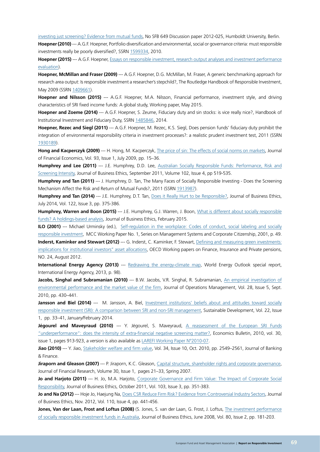[investing just screening? Evidence from mutual funds](http://sfb649.wiwi.hu-berlin.de/papers/pdf/SFB649DP2012-025.pdf), No SFB 649 Discussion paper 2012-025, Humboldt University, Berlin. **Hoepner (2010)** --- A.G.F. Hoepner, Portfolio diversification and environmental, social or governance criteria: must responsible investments really be poorly diversified?, SSRN [1599334,](http://papers.ssrn.com/sol3/papers.cfm?abstract_id=1599334) 2010.

**Hoepner (2015)** --- A.G.F. Hoepner, [Essays on responsible investment, research output analyses and investment performance](https://research-repository.st-andrews.ac.uk/handle/10023/2130) [evaluation\)](https://research-repository.st-andrews.ac.uk/handle/10023/2130).

**Hoepner, McMillan and Fraser (2009)** --- A.G.F. Hoepner, D.G. McMillan, M. Fraser, A generic benchmarking approach for research area output: Is responsible investment a researcher's stepchild?, The Routledge Handbook of Responsible Investment, May 2009 (SSRN [1409661](http://papers.ssrn.com/sol3/papers.cfm?abstract_id=1409661)).

**Hoepner and Nilsson (2015)** --- A.G.F. Hoepner, M.A. Nilsson, Financial performance, investment style, and driving characteristics of SRI fixed income funds: A global study, Working paper, May 2015.

**Hoepner and Zoeme (2014)** --- A.G.F. Hoepner, S. Zeume, Fiduciary duty and sin stocks: is vice really nice?, Handbook of Institutional Investment and Fiduciary Duty, SSRN [1485846,](http://papers.ssrn.com/sol3/papers.cfm?abstract_id=1485846) 2014.

**Hoepner, Rezec and Siegl (2011)** --- A.G.F. Hoepner, M. Rezec, K.S. Siegl, Does pension funds' fiduciary duty prohibit the integration of environmental responsibility criteria in investment processes?: a realistic prudent investment test, 2011 (SSRN [1930189](http://papers.ssrn.com/sol3/papers.cfm?abstract_id=1930189)).

**Hong and Kacperczyk (2009)** --- H. Hong, M. Kacperczyk, [The price of sin: The effects of social norms on markets](http://www.sciencedirect.com/science/article/pii/S0304405X09000634), Journal of Financial Economics, Vol. 93, Issue 1, July 2009, pp. 15–36.

**Humphrey and Lee (2011)** --- J.E. Humphrey, D.D. Lee, [Australian Socially Responsible Funds: Performance, Risk and](http://link.springer.com/article/10.1007%2Fs10551-011-0836-7) [Screening Intensity,](http://link.springer.com/article/10.1007%2Fs10551-011-0836-7) Journal of Business Ethics, September 2011, Volume 102, Issue 4, pp 519-535.

Humphrey and Tan (2011) --- J. Humphrey, D. Tan, The Many Faces of Socially Responsible Investing - Does the Screening Mechanism Affect the Risk and Return of Mutual Funds?, 2011 (SSRN [1913987\)](http://papers.ssrn.com/sol3/papers.cfm?abstract_id=1913987).

Humphrey and Tan (2014) --- J.E. Humphrey, D.T. Tan, [Does it Really Hurt to be Responsible?,](http://link.springer.com/article/10.1007/s10551-013-1741-z) Journal of Business Ethics, July 2014, Vol. 122, Issue 3, pp. 375-386.

**Humphrey, Warren and Boon (2015)** --- J.E. Humphrey, G.J. Warren, J. Boon, [What is different about socially responsible](http://link.springer.com/article/10.1007/s10551-015-2583-7) [funds? A holdings-based analysis,](http://link.springer.com/article/10.1007/s10551-015-2583-7) Journal of Business Ethics, February 2015.

**ILO (2001)** --- Michael Urminsky (ed.), [Self-regulation in the workplace: Codes of conduct, social labeling and socially](http://www.ilo.org/public/libdoc/ilo/2001/101B09_400_engl.pdf) [responsible investment](http://www.ilo.org/public/libdoc/ilo/2001/101B09_400_engl.pdf), MCC Working Paper No. 1, Series on Management Systems and Corporate Citizenship, 2001, p. 49. **Inderst, Kaminker and Stewart (2012)** --- G. Inderst, C. Kaminker, F. Stewart, [Defining and measuring green investments:](http://www.oecd.org/environment/WP_24_Defining_and_Measuring_Green_Investments.pdf) [implications for institutional investors'' asset allocations](http://www.oecd.org/environment/WP_24_Defining_and_Measuring_Green_Investments.pdf), OECD Working papers on Finance, Insurance and Private pensions, NO. 24, August 2012.

**International Energy Agency (2013)** --- [Redrawing the energy-climate map](http://www.iea.org/publications/freepublications/publication/weo_special_report_2013_redrawing_the_energy_climate_map.pdf), World Energy Outlook special report, International Energy Agency, 2013, p. 98).

**Jacobs, Singhal and Subramanian (2010)** --- B.W. Jacobs, V.R. Singhal, R. Subramanian, [An empirical investigation of](http://www.sciencedirect.com/science/article/pii/S0272696310000033) [environmental performance and the market value of the firm,](http://www.sciencedirect.com/science/article/pii/S0272696310000033) Journal of Operations Management, Vol. 28, Issue 5, Sept. 2010, pp. 430–441.

Jansson and Biel (2014) --- M. Jansson, A. Biel, [Investment institutions' beliefs about and attitudes toward socially](http://onlinelibrary.wiley.com/doi/10.1002/sd.523/abstract;jsessionid=ED375987EBC9D643AA9111259BDCF89B.f03t01?userIsAuthenticated=false&deniedAccessCustomisedMessage=) [responsible investment \(SRI\): A comparison between SRI and non-SRI management,](http://onlinelibrary.wiley.com/doi/10.1002/sd.523/abstract;jsessionid=ED375987EBC9D643AA9111259BDCF89B.f03t01?userIsAuthenticated=false&deniedAccessCustomisedMessage=) Sustainable Development, Vol. 22, Issue 1, pp. 33–41, January/February 2014.

Jégourel and Maveyraud (2010) --- Y. Jégourel, S. Maveyraud, [A reassessment of the European SRI Funds](http://www.accessecon.com/Pubs/EB/2010/Volume30/EB-10-V30-I1-P84.pdf) ["underperformance": does the intensity of extra-financial negative screening matter?,](http://www.accessecon.com/Pubs/EB/2010/Volume30/EB-10-V30-I1-P84.pdf) Economics Bulletin, 2010, vol. 30, issue 1, pages 913-923, a version is also available as [LAREFI Working Paper N°2010-07](http://lare-efi.u-bordeaux4.fr/IMG/pdf/CR10-EFI_07.pdf).

Jiao (2010) --- Y. Jiao, [Stakeholder welfare and firm value,](http://www.sciencedirect.com/science/article/pii/S0378426610001743) Vol. 34, Issue 10, Oct. 2010, pp. 2549–2561, Journal of Banking & Finance.

**Jiraporn and Gleason (2007)** --- P. Jiraporn, K.C. Gleason, [Capital structure, shareholder rights and corporate governance,](http://onlinelibrary.wiley.com/doi/10.1111/j.1475-6803.2007.00200.x/abstract?userIsAuthenticated=false&deniedAccessCustomisedMessage=) Journal of Financial Research, Volume 30, Issue 1, pages 21–33, Spring 2007.

Jo and Harjoto (2011) --- H. Jo, M.A. Harjoto, [Corporate Governance and Firm Value: The Impact of Corporate Social](http://link.springer.com/article/10.1007/s10551-011-0869-y) [Responsibility](http://link.springer.com/article/10.1007/s10551-011-0869-y), Journal of Business Ethics, October 2011, Vol. 103, Issue 3, pp. 351-383.

**Jo and Na (2012)** --- Hoje Jo, Haejung Na, [Does CSR Reduce Firm Risk? Evidence from Controversial Industry Sectors](http://link.springer.com/article/10.1007/s10551-012-1492-2), Journal of Business Ethics, Nov. 2012, Vol. 110, Issue 4, pp. 441-456.

**Jones, Van der Laan, Frost and Loftus (2008)** (S. Jones, S. van der Laan, G. Frost, J. Loftus, [The investment performance](http://link.springer.com/article/10.1007%2Fs10551-007-9412-6) [of socially responsible investment funds in Australia,](http://link.springer.com/article/10.1007%2Fs10551-007-9412-6) Journal of Business Ethics, June 2008, Vol. 80, Issue 2, pp. 181-203.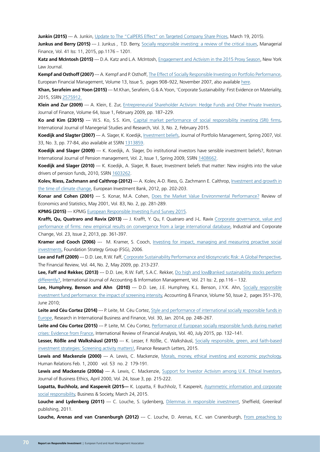Junkin (2015) --- A. Junkin, [Update to The "CalPERS Effect" on Targeted Company Share Prices](https://www.calpers.ca.gov/docs/board-agendas/201505/invest/item08a-03.pdf), March 19, 2015).

Junkus and Berry (2015) --- J. Junkus, T.D. Berry, [Socially responsible investing: a review of the critical issues](http://www.emeraldinsight.com/doi/abs/10.1108/MF-12-2014-0307), Managerial Finance, Vol. 41 Iss: 11, 2015, pp.1176 – 1201.

**Katz and McIntosh (2015)** --- D.A. Katz and L.A. McIntosh, [Engagement and Activism in the 2015 Proxy Season](http://www.wlrk.com/webdocs/wlrknew/AttorneyPubs/WLRK.23822.15.pdf), New York Law Journal.

**Kempf and Osthoff (2007)** --- A. Kempf and P. Osthoff, [The Effect of Socially Responsible Investing on Portfolio Performance,](http://onlinelibrary.wiley.com/doi/10.1111/j.1468-036X.2007.00402.x/abstract) European Financial Management, Volume 13, Issue 5, pages 908–922, November 2007, also available [here](http://www.cfr-cologne.de/download/workingpaper/cfr-06-10.pdf).

**Khan, Serafeim and Yoon (2015)** --- M.Khan, Serafeim, G & A.Yoon, 'Corporate Sustainability: First Evidence on Materiality, 2015, SSRN [2575912](http://ssrn.com/abstract=2575912).

**Klein and Zur (2009)** --- A. Klein, E. Zur, [Entrepreneurial Shareholder Activism: Hedge Funds and Other Private Investors,](http://onlinelibrary.wiley.com/doi/10.1111/j.1540-6261.2008.01432.x/full) Journal of Finance, Volume 64, Issue 1, February 2009, pp. 187–229.

**Ko and Kim (23015)** --- W.S. Ko, S.S. Kim, [Capital market performance of social responsibility investing \(SRI\) firms](https://www.arcjournals.org/pdfs/ijmsr/v3-i2/11.pdf), International Journal of Manegerial Studies and Research, Vol. 3, No. 2, February 2015.

**Koedijk and Slagter (2007)** --- A. Slager, K. Koedijk, [Investment beliefs](http://www.iijournals.com/doi/abs/10.3905/jpm.2007.684756), Journal of Portfolio Management, Spring 2007, Vol. 33, No. 3, pp. 77-84, also available at SSRN [1313859](http://papers.ssrn.com/sol3/papers.cfm?abstract_id=1313859).

**Koedijk and Slager (2009)** --- K. Koedijk, A. Slager, Do institutional investors have sensible investment beliefs?, Rotman International Journal of Pension management, Vol. 2, Issue 1, Spring 2009, SSRN [1408662.](http://papers.ssrn.com/sol3/papers.cfm?abstract_id=1408662)

**Koedijk and Slager (2010)** --- K. Koedijk, A. Slager, R. Bauer, Investment beliefs that matter: New insights into the value drivers of pension funds, 2010, SSRN [1603262.](http://papers.ssrn.com/sol3/papers.cfm?abstract_id=1603262)

**Kolev, Riess, Zachmann and Calthrop (2012)** --- A. Kolev, A-D. Riess, G. Zachmann E. Calthrop, [Investment and growth in](http://www.eib.org/infocentre/publications/all/investment-and-growth-in-the-time-of-climate-change.htm) [the time of climate change](http://www.eib.org/infocentre/publications/all/investment-and-growth-in-the-time-of-climate-change.htm), European Investment Bank, 2012, pp. 202-203.

**Konar and Cohen (2001)** --- S. Konar, M.A. Cohen, Does the Market Value Environmental Performance? Review of Economics and Statistics, May 2001, Vol. 83, No. 2, pp. 281-289.

**KPMG (2015)** --- KPMG [European Responsible Investing Fund Survey 2015.](http://www.kpmg.com/lu/en/issuesandinsights/articlespublications/pages/european-responsible-investing-fund-survey-2015.aspx)

**Krafft, Qu, Quatraro and Ravix (2013)** --- J. Krafft, Y. Qu, F. Quatraro and J-L. Ravix [Corporate governance, value and](http://icc.oxfordjournals.org/content/23/2/361.abstract) [performance of firms: new empirical results on convergence from a large international database,](http://icc.oxfordjournals.org/content/23/2/361.abstract) Industrial and Corporate Change, Vol. 23, Issue 2, 2013, pp. 361-397.

Kramer and Cooch (2006) --- M. Kramer, S. Cooch, [Investing for impact, managing and measuring proactive social](http://www.google.com/url?sa=t&rct=j&q=&esrc=s&source=web&cd=3&cad=rja&uact=8&ved=0CCcQFjACahUKEwjkz4XM7MbHAhVBnRQKHTkDAsY&url=http%3A%2F%2Fwww.issuelab.org%2Fclick%2Fkc_download1%2Finvesting_for_impact_managing_and_measuring_proactive_social_investments%2Fgife&ei=Vb7dVaTRE8G6UrmGiLAM&usg=AFQjCNFTeFbQtKz9NQVLaPg_R998OlcQsw) [investments](http://www.google.com/url?sa=t&rct=j&q=&esrc=s&source=web&cd=3&cad=rja&uact=8&ved=0CCcQFjACahUKEwjkz4XM7MbHAhVBnRQKHTkDAsY&url=http%3A%2F%2Fwww.issuelab.org%2Fclick%2Fkc_download1%2Finvesting_for_impact_managing_and_measuring_proactive_social_investments%2Fgife&ei=Vb7dVaTRE8G6UrmGiLAM&usg=AFQjCNFTeFbQtKz9NQVLaPg_R998OlcQsw), Foundation Strategy Group (FSG), 2006.

Lee and Faff (2009) --- D.D. Lee, R.W. Faff, [Corporate Sustainability Performance and Idiosyncratic Risk: A Global Perspective,](http://onlinelibrary.wiley.com/doi/10.1111/j.1540-6288.2009.00216.x/abstract?userIsAuthenticated=false&deniedAccessCustomisedMessage=) The Financial Review, Vol. 44, No. 2, May 2009, pp. 213-237.

Lee, Faff and Rekker, (2013) --- D.D. Lee, R.W. Faff, S.A.C. Rekker, Do high and low ranked sustainability stocks perform [differently?](http://www.emeraldinsight.com/doi/abs/10.1108/18347641311312267), International Journal of Accounting & Information Management, Vol. 21 Iss: 2, pp.116 – 132.

**Lee, Humphrey, Benson and Ahn (2010)** --- D.D. Lee, J.E. Humphrey, K.L. Benson, J.Y.K. Ahn, [Socially responsible](http://onlinelibrary.wiley.com/doi/10.1111/j.1467-629X.2009.00336.x/abstract;jsessionid=A8610BA51E6B773449CF7925E6CADA97.f01t04) [investment fund performance: the impact of screening intensity](http://onlinelibrary.wiley.com/doi/10.1111/j.1467-629X.2009.00336.x/abstract;jsessionid=A8610BA51E6B773449CF7925E6CADA97.f01t04), Accounting & Finance, Volume 50, Issue 2, pages 351–370, June 2010;

Leite and Céu Cortez (2014) --- P. Leite, M. Céu Cortez, [Style and performance of international socially responsible funds in](http://www.sciencedirect.com/science/article/pii/S0275531913000469) [Europe,](http://www.sciencedirect.com/science/article/pii/S0275531913000469) Research in International Business and Finance, Vol. 30, Jan. 2014, pp. 248–267.

**Leite and Céu Cortez (2015)** --- P. Leite, M. Céu Cortez, [Performance of European socially responsible funds during market](http://www.sciencedirect.com/science/article/pii/S1057521915000940) [crises: Evidence from France](http://www.sciencedirect.com/science/article/pii/S1057521915000940), International Review of Financial Analysis, Vol. 40, July 2015, pp. 132–141.

**Lesser, Rößle and Walkshäusl (2015)** --- K. Lesser, F. Rößle, C. Walkshäusl, [Socially responsible, green, and faith-based](http://www.sciencedirect.com/science/article/pii/S1544612315001233) [investment strategies: Screening activity matters!,](http://www.sciencedirect.com/science/article/pii/S1544612315001233) Finance Research Letters, 2015.

**Lewis and Mackenzie (2000)** --- A. Lewis, C. Mackenzie, [Morals, money, ethical investing and economic psychology,](http://hum.sagepub.com/content/53/2/179.short) Human Relations Feb. 1, 2000 vol. 53 no. 2 179-191.

**Lewis and Mackenzie (2000a)** --- A. Lewis, C. Mackenzie, [Support for Investor Activism among U.K. Ethical Investors,](http://link.springer.com/article/10.1023/A:1006082125886) Journal of Business Ethics, April 2000, Vol. 24, Issue 3, pp. 215-222.

**Lopatta, Buchholz, and Kaspereit (2015---** K. Lopatta, F. Buchholz, T. Kaspereit, [Asymmetric information and corporate](http://bas.sagepub.com/content/early/2015/03/23/0007650315575488.abstract) [social responsibility](http://bas.sagepub.com/content/early/2015/03/23/0007650315575488.abstract), Business & Society, March 24, 2015.

Louche and Lydenberg (2011) --- C. Louche, S. Lydenberg, [Dilemmas in responsible investment](http://www.greenleaf-publishing.com/productdetail.kmod?productid=3349&affid=corpreg), Sheffield, Greenleaf publishing, 2011.

**Louche, Arenas and van Cranenburgh (2012)** --- C. Louche, D. Arenas, K.C. van Cranenburgh, [From preaching to](http://link.springer.com/article/10.1007%2Fs10551-011-1155-8)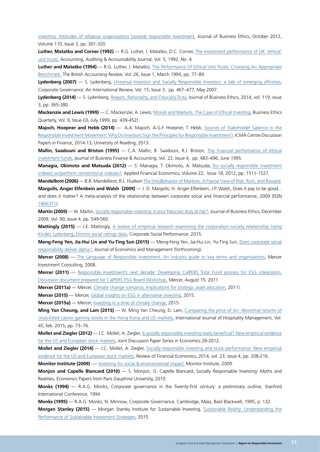[investing: Attitudes of religious organisations towards responsible investment](http://link.springer.com/article/10.1007%2Fs10551-011-1155-8), Journal of Business Ethics, October 2012, Volume 110, Issue 3, pp. 301-320.

**Luther, Matatko and Corner (1992)** --- R.G. Luther, J. Matatko, D.C. Corner, [The investment performance of UK 'ethical'](http://www.ingentaconnect.com/content/mcb/059/1992/00000005/00000004/art00003) [unit trusts,](http://www.ingentaconnect.com/content/mcb/059/1992/00000005/00000004/art00003) Accounting, Auditing & Accountability Journal, Vol. 5, 1992, No. 4.

**Luther and Matatko (1994)** --- R.G. Luther, J. Matatko, [The Performance Of Ethical Unit Trusts: Choosing An Appropriate](http://www.sciencedirect.com/science/article/pii/S0890838984710079) [Benchmark](http://www.sciencedirect.com/science/article/pii/S0890838984710079), The British Accounting Review, Vol. 26, Issue 1, March 1994, pp. 77–89.

Lydenberg (2007) --- S. Lydenberg, [Universal Investors and Socially Responsible Investors: a tale of emerging affinities,](http://onlinelibrary.wiley.com/doi/10.1111/j.1467-8683.2007.00579.x/abstract;jsessionid=57AFC73BF1876F9623A49D517ED75B34.f01t02?systemMessage=Wiley+Online+Library+will+be+unavailable+on+Saturday+7th+November+2015++from+10%3A00-16%3A00+GMT+%2F+05%3A00-11%3A00+EST+%2F+18%3A00-00%3A00+SGT+for+essential+maintenance.++Apologies+for+the+inconvenience.) Corporate Governance: An International Review, Vol. 15, Issue 3, pp. 467–477, May 2007.

**Lydenberg (2014)** --- S. Lydenberg, [Reason, Rationality, and Fiduciary Duty](http://link.springer.com/article/10.1007%2Fs10551-013-1632-3), Journal of Business Ethics, 2014, vol. 119, issue 3, pp. 365-380.

**Mackenzie and Lewis (1999)** --- C. Mackenzie, A. Lewis, [Morals and Markets: The Case of Ethical Investing](http://journals.cambridge.org/action/displayAbstract?fromPage=online&aid=9459784&fileId=S1052150X00004516), Business Ethics Quarterly, Vol. 9, Issue 03, July 1999, pp. 439-452).

**Majoch, Hoepner and Hebb (2014)** --- A.A. Majoch, A.G.F. Hoepner, T. Hebb, [Sources of Stakeholder Salience in the](http://www.icmacentre.ac.uk/images/2014/11/ICM-2014-13-Majoch-et-al.pdf) [Responsible Investment Movement: Why Do Investors Sign the Principles for Responsible Investment?](http://www.icmacentre.ac.uk/images/2014/11/ICM-2014-13-Majoch-et-al.pdf), ICMA Centre Discussion Papers in Finance, 2014-13, University of Reading, 2013.

**Mallin, Saadouni and Briston (1995)** --- C.A. Mallin, B. Saadouni, R.J. Briston, [The financial performance of ethical](http://onlinelibrary.wiley.com/doi/10.1111/j.1468-5957.1995.tb00373.x/abstract) [investment funds,](http://onlinelibrary.wiley.com/doi/10.1111/j.1468-5957.1995.tb00373.x/abstract) Journal of Business Finance & Accounting, Vol. 22, Issue 4, pp. 483–496, June 1995.

**Managia, Okimoto and Matsuda (2012)** --- S. Managia, T. Okimoto, A. Matsuda, [Do socially responsible investment](http://www.tandfonline.com/doi/abs/10.1080/09603107.2012.665593) [indexes outperform conventional indexes?,](http://www.tandfonline.com/doi/abs/10.1080/09603107.2012.665593) Applied Financial Economics, Volume 22, Issue 18, 2012, pp. 1511-1527.

**Mandelbrot (2006)** --- B.B. Mandelbrot, R.L. Hudson [The \(mis\)Behavior of Markets, A Fractal View of Risk, Ruin, and Reward.](http://www.amazon.com/The-Misbehavior-Markets-Financial-Turbulence/dp/0465043577) **Margolis, Anger Elfenbein and Walsh (2009)** --- J. D. Margolis, H. Anger Elfenbein, J.P. Walsh, Does it pay to be good...

and does it matter? A meta-analysis of the relationship between corporate social and financial performance, 2009 (ISSN [1866371](http://papers.ssrn.com/sol3/papers.cfm?abstract_id=1866371)).

**Martin (2009)** --- W. Martin, [Socially responsible investing: Is your fiduciary duty at risk?](http://link.springer.com/article/10.1007%2Fs10551-009-0060-x), Journal of Business Ethics, December 2009, Vol. 90, Issue 4, pp. 549-560.

**Mattingly (2015)** --- J.E. Mattingly, [A review of empirical research examining the corporation–society relationship Using](http://bas.sagepub.com/content/early/2015/05/12/0007650315585761.abstract) [Kinder, Lydenberg, Domini social ratings data,](http://bas.sagepub.com/content/early/2015/05/12/0007650315585761.abstract) Corporate Social Performance, 2015.

**Meng-Feng Yen, Jia-Hui Lin and Yu-Ting Sun (2015)** --- Meng-Feng Yen, Jia-Hui Lin, Yu-Ting Sun, [Does corporate social](http://140.134.131.17/content/pdf/Articles%20in%20Press/02.pdf) [responsibility deliver alpha?,](http://140.134.131.17/content/pdf/Articles%20in%20Press/02.pdf) Journal of Economics and Management (forthcoming).

**Mercer (2008)** --- [The Language of Responsible Investment, An industry guide to key terms and organisations,](http://www.google.nl/url?sa=t&rct=j&q=&esrc=s&source=web&cd=1&cad=rja&uact=8&ved=0CCkQFjAA&url=http%3A%2F%2Fwww.merceris.com%2Fuploads%2Fdocuments%2F20079417574200710111757413970.pdf&ei=5olHVKybOMesPNSggPAC&usg=AFQjCNEm9b8RDLk7htf4fl3kCSo9TfNO0g&bvm=bv.77880786,d.ZWU) Mercer Investment Consulting, 2008.

**Mercer (2011)** --- [Responsible Investment's next decade: Developing CalPERS Total Fund process for ESG integration,](https://www.calpers.ca.gov/docs/forms-publications/mercer-report-next-decade.pdf) [Discussion document prepared for CalPERS ESG Board Workshop,](https://www.calpers.ca.gov/docs/forms-publications/mercer-report-next-decade.pdf) Mercer, August 15, 2011

**Mercer (2011a)** --- Mercer, [Climate change scenarios, Implications for strategic asset allocation,](http://www.mmc.com/content/dam/mmc-web/Files/Climate_Change_Scenarios_Implications_for_Strategic_Asset_Allocation.pdf) 2011).

**Mercer (2015)** --- Mercer, [Global insights on ESG in alternative investing,](http://www.mercer.com/content/dam/mercer/attachments/global/investments/responsible-investment/Global-Insights-ESG-in-Alternative-Investing-2015-Mercer-LGT.pdf) 2015.

**Mercer (2015a)** --- Mercer, [Investing in a time of climate change,](http://www.mercer.com/content/mercer/global/all/en/insights/focus/invest-in-climate-change-study-2015.html) 2015.

**Ming Yan Cheung, and Lam (2015)** --- W. Ming Yan Cheung, D. Lam, [Comparing the price of sin: Abnormal returns of](http://www.sciencedirect.com/science/article/pii/S0278431914001881) [cross-listed casino gaming stocks in the Hong Kong and US markets,](http://www.sciencedirect.com/science/article/pii/S0278431914001881) International Journal of Hospitality Management, Vol. 45, feb. 2015, pp. 73–76.

**Mollet and Ziegler (2012)** --- J.C. Mollet, A. Ziegler, [Is socially responsible investing really beneficial? New empirical evidence](https://www.uni-marburg.de/fb02/makro/forschung/magkspapers/28-2012_ziegler.pdf) [for the US and European stock markets,](https://www.uni-marburg.de/fb02/makro/forschung/magkspapers/28-2012_ziegler.pdf) Joint Discussion Paper Series in Economics 28-2012.

**Mollet and Ziegler (2014)** --- J.C. Mollet, A. Ziegler, [Socially responsible investing and stock performance: New empirical](http://www.sciencedirect.com/science/article/pii/S1058330014000378) [evidence for the US and European stock markets](http://www.sciencedirect.com/science/article/pii/S1058330014000378), Review of Financial Economics, 2014, vol. 23, issue 4, pp. 208-216.

**Monitor Institute (2009)** ---- [Investing for social & environmental impact](http://www.thegiin.org/cgi-bin/iowa/resources/research/6.html), Monitor Institute, 2009.

**Monjon and Capelle Blancard (2010)** --- S. Monjon, G. Capelle Blancard, Socially Responsable Investing: Myths and Realities, Economics Papers from Paris Dauphine University, 2010.

**Monks (1994)** --- R.A.G. Monks, Corporate governance in the Twenty-first century: a preliminary outline, Stanford International Conference, 1994

**Monks (1995)** --- R.A.G. Monks, N. Minnow, Corporate Governance, Cambridge, Mass, Basil Blackwell, 1995, p. 132.

**Morgan Stanley (2015)** --- Morgan Stanley Institute for Sustainable Investing, [Sustainable Reality: Understanding the](http://www.morganstanley.com/ideas/sustainable-investing-performance-potential/) [Performance of Sustainable Investment Strategies,](http://www.morganstanley.com/ideas/sustainable-investing-performance-potential/) 2015.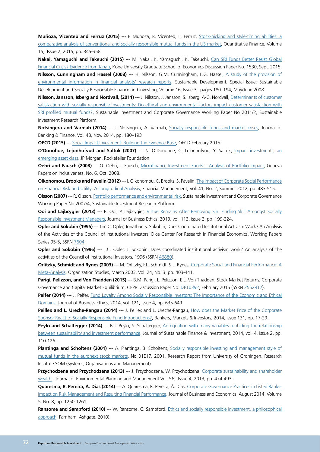**Muñoza, Vicenteb and Ferruz (2015)** --- F. Muñoza, R. Vicenteb, L. Ferruz, Stock-picking and style-timing abilities: a comparative analysis of conventional and socially responsible mutual funds in the US market, Quantitative Finance, Volume 15, Issue 2, 2015, pp. 345-358.

**Nakai, Yamaguchi and Takeuchi (2015)** --- M. Nakai, K. Yamaguchi, K. Takeuchi, [Can SRI Funds Better Resist Global](http://www.econ.kobe-u.ac.jp/RePEc/koe/wpaper/2015/1530.pdf) [Financial Crisis? Evidence from Japan,](http://www.econ.kobe-u.ac.jp/RePEc/koe/wpaper/2015/1530.pdf) Kobe University Graduate School of Economics Discussion Paper No. 1530, Sept. 2015. **Nilsson, Cunningham and Hassel (2008)** --- H. Nilsson, G.M. Cunningham, L.G. Hassel, [A study of the provision of](http://onlinelibrary.wiley.com/doi/10.1002/sd.363/abstract) [environmental information in financial analysts' research reports,](http://onlinelibrary.wiley.com/doi/10.1002/sd.363/abstract) Sustainable Development, Special Issue: Sustainable Development and Socially Responsible Finance and Investing, Volume 16, Issue 3, pages 180–194, May/June 2008.

**Nilsson, Jansson, Isberg and Nordvall, (2011)** --- J. Nilsson, J. Jansson, S. Isberg, A-C. Nordvall, [Determinants of customer](https://6278d446-a-62cb3a1a-s-sites.googlegroups.com/site/climatedeclaration/Home/sirpwp11-02-nilssonetal.pdf?attachauth=ANoY7coaGGoDiWC7nPo4bO_bI39NN7j0EZoSV-qd-Oyg7pvb7Fy-ylY72UxPe4CS-U1rMtcDrlb5XQ9AhWiHEhw3g077pwTjbxsdAgvXhAV659xAIq0IF9YfKpFP3bcYb-QYx9tcsHq9r1omcNj7up53oM51ziulnBEQXQal1vhyXrViV8mjY5FghGhZFEWTsW7Thpm0-gocpkhCIfHes_Wx3BA1YUhe3unwbXkfMW5J0DFVRwwinYsLqQC79NEp79Buv788rLJA&attredirects=0) [satisfaction with socially responsible investments: Do ethical and environmental factors impact customer satisfaction with](https://6278d446-a-62cb3a1a-s-sites.googlegroups.com/site/climatedeclaration/Home/sirpwp11-02-nilssonetal.pdf?attachauth=ANoY7coaGGoDiWC7nPo4bO_bI39NN7j0EZoSV-qd-Oyg7pvb7Fy-ylY72UxPe4CS-U1rMtcDrlb5XQ9AhWiHEhw3g077pwTjbxsdAgvXhAV659xAIq0IF9YfKpFP3bcYb-QYx9tcsHq9r1omcNj7up53oM51ziulnBEQXQal1vhyXrViV8mjY5FghGhZFEWTsW7Thpm0-gocpkhCIfHes_Wx3BA1YUhe3unwbXkfMW5J0DFVRwwinYsLqQC79NEp79Buv788rLJA&attredirects=0) [SRI profiled mutual funds?](https://6278d446-a-62cb3a1a-s-sites.googlegroups.com/site/climatedeclaration/Home/sirpwp11-02-nilssonetal.pdf?attachauth=ANoY7coaGGoDiWC7nPo4bO_bI39NN7j0EZoSV-qd-Oyg7pvb7Fy-ylY72UxPe4CS-U1rMtcDrlb5XQ9AhWiHEhw3g077pwTjbxsdAgvXhAV659xAIq0IF9YfKpFP3bcYb-QYx9tcsHq9r1omcNj7up53oM51ziulnBEQXQal1vhyXrViV8mjY5FghGhZFEWTsW7Thpm0-gocpkhCIfHes_Wx3BA1YUhe3unwbXkfMW5J0DFVRwwinYsLqQC79NEp79Buv788rLJA&attredirects=0), Sustainable Investment and Corporate Governance Working Paper No 2011/2, Sustainable Investment Research Platform.

**Nofsingera and Varmab (2014)** --- J. Nofsingera, A. Varmab, [Socially responsible funds and market crises,](http://www.sciencedirect.com/science/article/pii/S0378426613004883) Journal of Banking & Finance, Vol. 48, Nov. 2014, pp. 180–193

**OECD (2015)** --- [Social Impact Investment: Building the Evidence Base](http://www.oecd.org/sti/ind/social-impact-investment.pdf), OECD February 2015.

**O'Donohoe, Lejonhufvud and Saltuk (2007)** --- N. O'Donohoe, C. Lejonhufvud, Y. Saltuk, [Impact investments, an](https://www.rockefellerfoundation.org/app/uploads/Impact-Investments-An-Emerging-Asset-Class.pdf) [emerging asset class](https://www.rockefellerfoundation.org/app/uploads/Impact-Investments-An-Emerging-Asset-Class.pdf), JP Morgan, Rockefeller Foundation

Oehri and Fausch (2008) --- O. Oehri, J. Fausch, Microfinance Investment Funds - Analysis of Portfolio Impact, Geneva Papers on Inclusiveness, No. 6, Oct. 2008.

**Oikonomou, Brooks and Pavelin (2012)** --- I. Oikonomou, C. Brooks, S. Pavelin, [The Impact of Corporate Social Performance](http://onlinelibrary.wiley.com/doi/10.1111/j.1755-053X.2012.01190.x/abstract;jsessionid=5B591387816C5658B829DB0F6CB8BBC8.f02t01?userIsAuthenticated=false&deniedAccessCustomisedMessage=) [on Financial Risk and Utility: A Longitudinal Analysis](http://onlinelibrary.wiley.com/doi/10.1111/j.1755-053X.2012.01190.x/abstract;jsessionid=5B591387816C5658B829DB0F6CB8BBC8.f02t01?userIsAuthenticated=false&deniedAccessCustomisedMessage=), Financial Management, Vol. 41, No. 2, Summer 2012, pp. 483-515.

**Olsson (2007)** --- R. Olsson, [Portfolio performance and environmental risk,](http://web.abo.fi/fak/esf/fei/redovisa/kurser/Lasse/Mistra%20wp/sirp%20wp%2007-04%20-%20olsson.pdf) Sustainable Investment and Corporate Governance Working Paper No 2007/4, Sustainable Investment Research Platform.

**Ooi and Lajbcygier (2013)** --- E. Ooi, P. Lajbcygier, [Virtue Remains After Removing Sin: Finding Skill Amongst Socially](http://link.springer.com/article/10.1007%2Fs10551-012-1290-x) [Responsible Investment Managers](http://link.springer.com/article/10.1007%2Fs10551-012-1290-x), Journal of Business Ethics, 2013, vol. 113, issue 2, pp. 199-224.

**Opler and Sokobin (1995)** --- Tim C. Opler, Jonathan S. Sokobin, Does Coordinated Institutional Activism Work? An Analysis of the Activities of the Council of Institutional Investors, Dice Center For Research In Financial Economics, Working Papers Series 95-5, SSRN [7604.](http://papers.ssrn.com/sol3/papers.cfm?abstract_id=7604)

**Opler and Sokobin (1996)** --- T.C. Opler, J. Sokobin, Does coordinated institutional activism work? An analysis of the activities of the Council of Institutional Investors, 1996 (SSRN [46880\)](http://papers.ssrn.com/sol3/papers.cfm?abstract_id=46880).

**Orlitzky, Schmidt and Rynes (2003)** --- M. Orlitzky, F.L. Schmidt, S.L. Rynes, [Corporate Social and Financial Performance: A](http://oss.sagepub.com/content/24/3/403.short) [Meta-Analysis](http://oss.sagepub.com/content/24/3/403.short), Organization Studies, March 2003, Vol. 24, No. 3, pp. 403-441.

**Parigi, Pelizzon, and Von Thadden (2015)** --- B.M. Parigi, L. Pelizzon, E.L. Von Thadden, Stock Market Returns, Corporate Governance and Capital Market Equilibrium, CEPR Discussion Paper No. [DP10392](http://www.cepr.org/active/publications/discussion_papers/dp.php?dpno=10392), February 2015 (SSRN [2562917](http://papers.ssrn.com/sol3/papers.cfm?abstract_id=2562917)).

Peifer (2014) --- J. Peifer, [Fund Loyalty Among Socially Responsible Investors: The Importance of the Economic and Ethical](http://link.springer.com/article/10.1007%2Fs10551-013-1746-7) [Domains](http://link.springer.com/article/10.1007%2Fs10551-013-1746-7), Journal of Business Ethics, 2014, vol. 121, issue 4, pp. 635-649.

Peillex and L. Ureche-Rangau (2014) --- J. Peillex and L. Ureche-Rangau, [How does the Market Price of the Corporate](http://www.revue-banque.fr/article/how-does-market-price-corporate-sponsor-react-soci) [Sponsor React to Socially Responsible Fund Introductions?,](http://www.revue-banque.fr/article/how-does-market-price-corporate-sponsor-react-soci) Bankers, Markets & Investors, 2014, issue 131, pp. 17-29.

Peylo and Schaltegger (2014) --- B.T. Peylo, S. Schaltegger, [An equation with many variables: unhiding the relationship](http://www.tandfonline.com/doi/abs/10.1080/20430795.2013.837808) [between sustainability and investment performance](http://www.tandfonline.com/doi/abs/10.1080/20430795.2013.837808), Journal of Sustainable Finance & Investment, 2014, vol. 4, issue 2, pp. 110-126.

Plantinga and Scholtens (2001) --- A. Plantinga, B. Scholtens, [Socially responsible investing and management style of](http://www.rug.nl/research/portal/publications/pub(b9e417d6-1c7d-4043-b107-6ae02167c3cf).html) [mutual funds in the euronext stock markets,](http://www.rug.nl/research/portal/publications/pub(b9e417d6-1c7d-4043-b107-6ae02167c3cf).html) No 01E17, 2001, Research Report from University of Groningen, Research Institute SOM (Systems, Organisations and Management).

**Przychodzena and Przychodzena (2013)** --- J. Przychodzena, W. Przychodzena, Corporate sustainability and shareholder wealth, Journal of Environmental Planning and Management Vol. 56, Issue 4, 2013, pp. 474-493.

**Quaresma, R. Pereira, Á. Dias (2014)** --- A. Quaresma, R. Pereira, Á. Dias, [Corporate Governance Practices in Listed Banks-](http://173.83.167.93/UploadFile/Picture/2015-1/2015116111419529.pdf)[Impact on Risk Management and Resulting Financial Performance](http://173.83.167.93/UploadFile/Picture/2015-1/2015116111419529.pdf), Journal of Business and Economics, August 2014, Volume 5, No. 8, pp. 1250-1261.

**Ransome and Sampford (2010)** --- W. Ransome, C. Sampford, [Ethics and socially responsible investment, a philosophical](http://books.google.nl/books?hl=nl&lr=&id=cW2dS0emBOcC&oi=fnd&pg=PP1&dq=Ethics+and+socially+responsible+investment,+a+philosophical+approach&ots=OhUkP0MqSU&sig=qJbmNP7D1yv10GtXXBVudrYg_I0) [approach](http://books.google.nl/books?hl=nl&lr=&id=cW2dS0emBOcC&oi=fnd&pg=PP1&dq=Ethics+and+socially+responsible+investment,+a+philosophical+approach&ots=OhUkP0MqSU&sig=qJbmNP7D1yv10GtXXBVudrYg_I0), Farnham, Ashgate, 2010).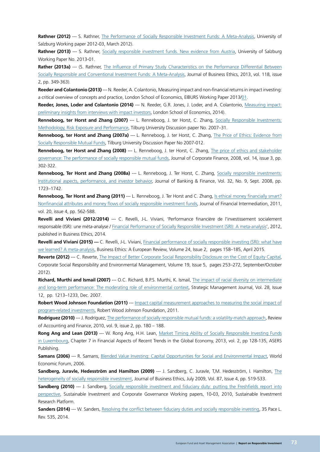Rathner (2012) --- S. Rathner, [The Performance of Socially Responsible Investment Funds: A Meta-Analysis,](http://econpapers.repec.org/scripts/redir.pf?u=http%3A%2F%2Fwww.uni-salzburg.at%2Ffileadmin%2Foracle_file_imports%2F1759214.PDF;h=repec:ris:sbgwpe:2012_003) University of Salzburg Working paper 2012-03, March 2012).

**Rathner (2013)** --- S. Rathner, [Socially responsible investment funds. New evidence from Austria](http://www.uni-salzburg.at/fileadmin/oracle_file_imports/2133616.PDF), University of Salzburg Working Paper No. 2013-01.

Rather (2013a) --- (S. Rathner, [The Influence of Primary Study Characteristics on the Performance Differential Between](http://link.springer.com/article/10.1007%2Fs10551-012-1584-z) [Socially Responsible and Conventional Investment Funds: A Meta-Analysis](http://link.springer.com/article/10.1007%2Fs10551-012-1584-z), Journal of Business Ethics, 2013, vol. 118, issue 2, pp. 349-363).

**Reeder and Colantonio (2013)** --- N. Reeder, A. Colantonio, Measuring impact and non-financial returns in impact investing: a critical overview of concepts and practice, London School of Economics, EIBURS Working Paper 2013/[01](http://eprints.lse.ac.uk/59126/).

**Reeder, Jones, Loder and Colantonio (2014)** --- N. Reeder, G.R. Jones, J. Loder, and A. Colantonio, [Measuring impact:](http://eprints.lse.ac.uk/59124/) [preliminary insights from interviews with impact investors,](http://eprints.lse.ac.uk/59124/) London School of Economics, 2014).

**Renneboog, ter Horst and Zhang (2007)** --- L. Renneboog, J. ter Horst, C. Zhang, [Socially Responsible Investments:](https://pure.uvt.nl/portal/files/840728/dp2007-31.pdf) [Methodology, Risk Exposure and Performance,](https://pure.uvt.nl/portal/files/840728/dp2007-31.pdf) Tilburg University Discussion paper No. 2007–31.

**Renneboog, ter Horst and Zhang (2007a)** --- L. Renneboog, J. ter Horst, C. Zhang, [The Price of Ethics: Evidence from](https://pure.uvt.nl/portal/files/843218/2007-012.pdf) [Socially Responsible Mutual Funds,](https://pure.uvt.nl/portal/files/843218/2007-012.pdf) Tilburg University Discussion Paper No 2007-012.

**Renneboog, ter Horst and Zhang (2008)** --- L. Renneboog, J. ter Horst, C. Zhang, [The price of ethics and stakeholder](http://www.sciencedirect.com/science/article/pii/S0929119908000278) [governance: The performance of socially responsible mutual funds,](http://www.sciencedirect.com/science/article/pii/S0929119908000278) Journal of Corporate Finance, 2008, vol. 14, issue 3, pp. 302-322.

**Renneboog, Ter Horst and Zhang (2008a)** --- L. Renneboog, J. Ter Horst, C. Zhang, [Socially responsible investments:](http://www.sciencedirect.com/science/article/pii/S0378426607004220) [Institutional aspects, performance, and investor behavior,](http://www.sciencedirect.com/science/article/pii/S0378426607004220) Journal of Banking & Finance, Vol. 32, No. 9, Sept. 2008, pp. 1723–1742.

**Renneboog, Ter Horst and Zhang (2011)** --- L. Renneboog, J. Ter Horst and C. Zhang, [Is ethical money financially smart?](http://www.sciencedirect.com/science/article/pii/S1042957310000537) [Nonfinancial attributes and money flows of socially responsible investment funds,](http://www.sciencedirect.com/science/article/pii/S1042957310000537) Journal of Financial Intermediation, 2011, vol. 20, issue 4, pp. 562-588.

**Revelli and Viviani (2012/2014)** --- C. Revelli, J-L. Viviani, 'Performance financière de l'investissement socialement responsable (ISR): une méta-analyse / [Financial Performance of Socially Responsible Investment \(SRI\): A meta-analysis'](http://onlinelibrary.wiley.com/doi/10.1111/beer.12076/abstract), 2012, published in Business Ethics, 2014.

**Revelli and Viviani (2015) ---** C. Revelli, J-L. Viviani, [Financial performance of socially responsible investing \(SRI\): what have](http://onlinelibrary.wiley.com/doi/10.1111/beer.12076/abstract) [we learned? A meta-analysis,](http://onlinelibrary.wiley.com/doi/10.1111/beer.12076/abstract) Business Ethics: A European Review, Volume 24, Issue 2, pages 158–185, April 2015.

**Reverte (2012)** --- C. Reverte, [The Impact of Better Corporate Social Responsibility Disclosure on the Cost of Equity Capital](http://onlinelibrary.wiley.com/doi/10.1002/csr.273/abstract;jsessionid=857C8E1141E47C9DAE5FCEC10D0240C4.f01t02?userIsAuthenticated=false&deniedAccessCustomisedMessage=), Corporate Social Responsibility and Environmental Management, Volume 19, Issue 5, pages 253–272, September/October 2012).

**Richard, Murthi and Ismail (2007)** --- O.C. Richard, B.P.S. Murthi, K. Ismail, [The impact of racial diversity on intermediate](http://onlinelibrary.wiley.com/doi/10.1002/smj.633/abstract) [and long-term performance: The moderating role of environmental context,](http://onlinelibrary.wiley.com/doi/10.1002/smj.633/abstract) Strategic Management Journal, Vol. 28, Issue 12, pp. 1213–1233, Dec. 2007.

**Robert Wood Johnson Foundation (2011)** --- [Impact capital measurement approaches to measuring the social impact of](http://www.rwjf.org/en/library/research/2011/11/robert-wood-johnson-foundation-impact-capital-initiative/impact-capital-measurement.html) [program-related investments](http://www.rwjf.org/en/library/research/2011/11/robert-wood-johnson-foundation-impact-capital-initiative/impact-capital-measurement.html), Robert Wood Johnson Foundation, 2011.

**Rodriguez (2010)** --- J. Rodríguez, [The performance of socially responsible mutual funds: a volatility-match approach](http://www.emeraldinsight.com/doi/abs/10.1108/14757701011044189), Review of Accounting and Finance, 2010, vol. 9, issue 2, pp. 180 – 188.

**Rong Ang and Lean (2013)** --- W. Rong Ang, H.H. Lean, Market Timing Ability of Socially Responsible Investing Funds in Luxembourg, Chapter 7 in Financial Aspects of Recent Trends in the Global Economy, 2013, vol. 2, pp 128-135, ASERS Publishing.

**Samans (2006)** --- R. Samans, [Blended Value Investing: Capital Opportunities for Social and Environmental Impact,](http://www.thegiin.org/cgi-bin/iowa/resources/research/40.html) World Economic Forum, 2006.

**Sandberg, Juravle, Hedesström and Hamilton (2009)** --- J. Sandberg, C. Juravle, T,M. Hedesström, I. Hamilton, [The](http://link.springer.com/article/10.1007/s10551-008-9956-0) [heterogeneity of socially responsible investment](http://link.springer.com/article/10.1007/s10551-008-9956-0), Journal of Business Ethics, July 2009, Vol. 87, Issue 4, pp. 519-533.

**Sandberg (2010)** --- J. Sandberg, [Socially responsible investment and fiduciary duty: putting the Freshfields report into](https://6278d446-a-62cb3a1a-s-sites.googlegroups.com/site/climatedeclaration/Home/sirpwp10-03-Sandberg.pdf?attachauth=ANoY7cojdSUl52g_mCHfSlahGqa7TB14HuuSw1CIcliN5YcrArnttW2nujoVQDYAEGV36hR5sBNx-l0JI3uIgEhE3OuOBsvBptUgH1A1Hxj-hdqDPj7Xmwv2z3o3OhOGOSqWe6XkReavvjiYaZJ0UnTo8Zwcx9T88hu4Gl-6VswJCWyEMzFUA2DtYna04Eh-2uMNHh4o3qLRb9AQocJDTQkKtSWpVibX3q3VGzMEnLqAW4fvrV2LwWEKlImzucfm894JQe9QrJaO&attredirects=0) [perspective,](https://6278d446-a-62cb3a1a-s-sites.googlegroups.com/site/climatedeclaration/Home/sirpwp10-03-Sandberg.pdf?attachauth=ANoY7cojdSUl52g_mCHfSlahGqa7TB14HuuSw1CIcliN5YcrArnttW2nujoVQDYAEGV36hR5sBNx-l0JI3uIgEhE3OuOBsvBptUgH1A1Hxj-hdqDPj7Xmwv2z3o3OhOGOSqWe6XkReavvjiYaZJ0UnTo8Zwcx9T88hu4Gl-6VswJCWyEMzFUA2DtYna04Eh-2uMNHh4o3qLRb9AQocJDTQkKtSWpVibX3q3VGzMEnLqAW4fvrV2LwWEKlImzucfm894JQe9QrJaO&attredirects=0) Sustainable Investment and Corporate Governance Working papers, 10-03, 2010, Sustainable Investment Research Platform.

**Sanders (2014)** --- W. Sanders, [Resolving the conflict between fiduciary duties and socially responsible investing](http://digitalcommons.pace.edu/cgi/viewcontent.cgi?article=1889&context=plr), 35 Pace L. Rev. 535, 2014.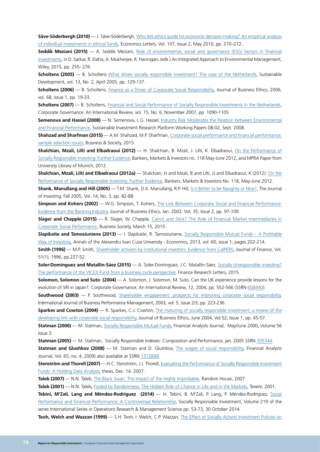**Säve-Söderbergh (2010)** --- J. Säve-Söderbergh, [Who lets ethics guide his economic decision-making? An empirical analysis](http://www.sciencedirect.com/science/article/pii/S0165176510000662) [of individual investments in ethical funds,](http://www.sciencedirect.com/science/article/pii/S0165176510000662) Economics Letters, Vol. 107, Issue 2, May 2010, pp. 270–272.

**Seddik Meziani (2015)** --- A. Seddik Meziani, Role of environmental, social and governance (ESG) factors in financial investments, in D. Sarkar, R. Datta, A. Mukherjee, R. Hannigan, (eds.) An Integrated Approach to Environmental Management, Wiley, 2015, pp. 255- 276.

**Scholtens (2005)** --- B. Scholtens [What drives socially responsible investment? The case of the Netherlands](http://onlinelibrary.wiley.com/doi/10.1002/sd.252/abstract), Sustainable Development, vol. 13, No. 2, April 2005, pp. 129-137.

**Scholtens (2006)** --- B. Scholtens, [Finance as a Driver of Corporate Social Responsibility,](http://link.springer.com/article/10.1007%2Fs10551-006-9037-1) Journal of Business Ethics, 2006, vol. 68, issue 1, pp. 19-33.

**Scholtens (2007)** --- B. Scholtens, [Financial and Social Performance of Socially Responsible Investments in the Netherlands](http://onlinelibrary.wiley.com/doi/10.1111/j.1467-8683.2007.00633.x/abstract?userIsAuthenticated=false&deniedAccessCustomisedMessage=), Corporate Governance: An International Review, vol. 15, No. 6, November 2007, pp. 1090-1105.

**Semenova and Hassel (2008)** --- N. Semenova, L.G. Hassel, [Industry Risk Moderates the Relation between Environmental](https://www.researchgate.net/profile/Lars_Hassel/publication/5093409_Industry_Risk_Moderates_the_Relation_between_Environmental_and_Financial_Performance/links/00b7d52380f3790f63000000.pdf) [and Financial Performance](https://www.researchgate.net/profile/Lars_Hassel/publication/5093409_Industry_Risk_Moderates_the_Relation_between_Environmental_and_Financial_Performance/links/00b7d52380f3790f63000000.pdf), Sustainable Investment Research Platform Working Papers 08-02, Sept. 2008.

**Shahzad and Sharfman (2015)** --- A.M. Shahzad, M.P. Sharfman, [Corporate social performance and financial performance,](http://bas.sagepub.com/content/early/2015/06/10/0007650315590399.abstract) [sample selection issues](http://bas.sagepub.com/content/early/2015/06/10/0007650315590399.abstract), Business & Society, 2015.

**Shalchian, Mzali, Lilti and Elbadraoui (2012)** --- H. Shalchian, B. Mzali, J. Lilti, K. Elbadraoui, [On the Performance of](https://mpra.ub.uni-muenchen.de/42686/2/MPRA_paper_42686.pdf) [Socially Responsible Investing: Further Evidence,](https://mpra.ub.uni-muenchen.de/42686/2/MPRA_paper_42686.pdf) Bankers, Markets & Investors no. 118 May-June 2012, and MPRA Paper from University Library of Munich, 2012.

**Shalchian, Mzali, Lilti and Elbadraoui (2012a)** --- Shalchian, H and Mzali, B and Lilti, JJ and Elbadraoui, K (2012): [On the](https://mpra.ub.uni-muenchen.de/42686/) [Performance of Socially Responsible Investing: Further Evidence,](https://mpra.ub.uni-muenchen.de/42686/) Bankers, Markets & Investors No. 118, May-June 2012.

**Shank, Manullang and Hill (2005)** --- T.M. Shank, D.K. Manullang, R.P. Hill, [Is it Better to be Naughty or Nice?,](http://www.iijournals.com/doi/abs/10.3905/joi.2005.580553) The Journal of Investing, Fall 2005, Vol. 14, No. 3, pp. 82-88.

**Simpson and Kohers (2002)** --- W.G. Simpson, T. Kohers, [The Link Between Corporate Social and Financial Performance:](http://link.springer.com/article/10.1023/A:1013082525900) [Evidence from the Banking Industry,](http://link.springer.com/article/10.1023/A:1013082525900) Journal of Business Ethics, Jan. 2002, Vol. 35, Issue 2, pp. 97-109.

**Slager and Chapple (2015)** --- R. Slager, W. Chapple, [Carrot and Stick? The Role of Financial Market Intermediaries in](http://bas.sagepub.com/content/early/2015/03/13/0007650315575291.abstract) [Corporate Social Performance](http://bas.sagepub.com/content/early/2015/03/13/0007650315575291.abstract), Business Society, March 15, 2015.

**Slapikaite and Tamosiuniene (2013)** --- I. Slapikaite, R. Tamosiuniene, [Socially Responsible Mutual Funds – A Profitable](http://www.degruyter.com/view/j/aicue.2013.60.issue-1/aicue-2013-0017/aicue-2013-0017.xml?format=INT) [Way of Investing,](http://www.degruyter.com/view/j/aicue.2013.60.issue-1/aicue-2013-0017/aicue-2013-0017.xml?format=INT) Annals of the Alexandru Ioan Cuza University - Economics, 2013, vol. 60, issue 1, pages 202-214.

**Smith (1996)** --- M.P. Smith, [Shareholder activism by institutional investors: Evidence from CalPERS](http://onlinelibrary.wiley.com/doi/10.1111/j.1540-6261.1996.tb05208.x/abstract), Journal of Finance, Vol. 51(1), 1996, pp.227-52.

**Soler-Domínguez and Matallín-Sáez (2015)** --- A. Soler-Domínguez, J.C. Matallín-Sáez, [Socially \(ir\)responsible investing?](http://www.sciencedirect.com/science/article/pii/S1544612315001257) [The performance of the VICEX Fund from a business cycle perspective](http://www.sciencedirect.com/science/article/pii/S1544612315001257), Finance Research Letters, 2015.

**Solomon, Solomon and Suto (2004)** --- A. Solomon, J. Solomon, M. Suto, Can the UK experience provide lessons for the evolution of SRI in Japan?, Corporate Governance, An International Review, 12, 2004, pp. 552-566 (SSRN [608440\)](http://papers.ssrn.com/sol3/papers.cfm?abstract_id=608440).

**Southwood (2003)** --- P. Southwood, [Shareholder engagement: prospects for improving corporate social responsibility,](http://www.inderscience.com/offer.php?id=3252) International Journal of Business Performance Management, 2003, vol. 5, issue 2/3, pp. 223-236.

**Sparkes and Cowton (2004)** --- R. Sparkes, C.J. Cowton, [The maturing of socially responsible investment, a review of the](http://link.springer.com/article/10.1023/B:BUSI.0000033106.43260.99) [developing link with corporate social responsibility,](http://link.springer.com/article/10.1023/B:BUSI.0000033106.43260.99) Journal of Business Ethics, June 2004, Vol.52, Issue 1, pp. 45-57.

**Statman (2000)** --- M. Statman, [Socially Responsible Mutual Funds](http://www.cfapubs.org/doi/abs/10.2469/faj.v56.n3.2358), Financial Analysts Journal, May/June 2000, Volume 56 Issue 3.

**Statman (2005)** --- M. Statman, Socially Responsible Indexes: Composition and Performance, jan. 2005 SSRN [705344.](http://papers.ssrn.com/sol3/papers.cfm?abstract_id=705344)

**Statman and Glushkov (2008)** --- M. Statman and D. Glushkov, [The wages of social responsibility,](http://www.cfapubs.org/doi/pdf/10.2469/faj.v65.n4.5) Financial Analysts Journal, Vol. 65, no. 4, 2009) also available at SSRN [1372848.](http://papers.ssrn.com/sol3/papers.cfm?abstract_id=1372848)

**Stenström and Thorell (2007)** --- H.C. Stenström, J.J. Thorell, [Evaluating the Performance of Socially Responsible Investment](https://www.responsible-investor.com/images/uploads/resources/research/21205478981Evaluating_the_performance_of_SRI_funds.pdf) [Funds: A Holding Data Analysis](https://www.responsible-investor.com/images/uploads/resources/research/21205478981Evaluating_the_performance_of_SRI_funds.pdf), thesis, Dec. 14, 2007.

**Taleb (2007)** --- N.N. Taleb, [The Black Swan: The Impact of the Highly Improbable,](http://www.amazon.com/Black-Swan-Improbable-Robustness-Fragility/dp/081297381X/ref=sr_1_1?s=books&ie=UTF8&qid=1441276584&sr=1-1&keywords=the+black+swan&pebp=1441276577206&perid=081RY5PZY6R5JV5ZTE7F) Random House, 2007

**Taleb (2001)** --- N.N. Taleb**,** [Fooled by Randomness: The Hidden Role of Chance in Life and in the Markets,](http://www.amazon.com/Fooled-Randomness-Hidden-Markets-Incerto/dp/0812975219) Texere, 2001.

**Tebini, M'Zali, Lang and Méndez-Rodríguez (2014)** --- H. Tebini, B. M'Zali, P. Lang, P. Méndez-Rodríguez, [Social](http://link.springer.com/chapter/10.1007/978-3-319-11836-9_3) [Performance and Financial Performance: A Controversial Relationship](http://link.springer.com/chapter/10.1007/978-3-319-11836-9_3), Socially Responsible Investment, Volume 219 of the series International Series in Operations Research & Management Science pp. 53-73, 30 October 2014.

**Teoh, Welch and Wazzan (1999)** --- S.H. Teoh, I. Welch, C.P. Wazzan, [The Effect of Socially Activist Investment Policies on](http://www.jstor.org/stable/10.1086/209602)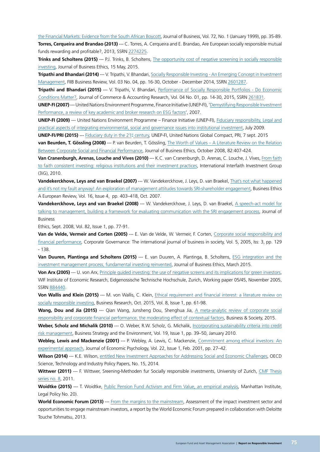[the Financial Markets: Evidence from the South African Boycott](http://www.jstor.org/stable/10.1086/209602), Journal of Business, Vol. 72, No. 1 (January 1999), pp. 35-89. **Torres, Cerqueira and Brandao (2013)** --- C. Torres, A. Cerqueira and E. Brandao, Are European socially responsible mutual funds rewarding and profitable?, 2013, SSRN [2274225.](http://papers.ssrn.com/sol3/papers.cfm?abstract_id=2274225)

**Trinks and Scholtens (2015)** --- P.J. Trinks, B. Scholtens, The opportunity cost of negative screening in socially responsible investing, Journal of Business Ethics, 15 May, 2015.

**Tripathi and Bhandari (2014)** --- V. Tripathi, V. Bhandari, [Socially Responsible Investing - An Emerging Concept in Investment](http://papers.ssrn.com/sol3/papers.cfm?abstract_id=2601287) [Management](http://papers.ssrn.com/sol3/papers.cfm?abstract_id=2601287), FIIB Business Review, Vol. 03 No. 04, pp. 16-30, October - December 2014, SSRN [2601287.](http://papers.ssrn.com/sol3/papers.cfm?abstract_id=2601287)

**Tripathi and Bhandari (2015)** --- V. Tripathi, V. Bhandari, [Performance of Socially Responsible Portfolios - Do Economic](http://papers.ssrn.com/sol3/papers.cfm?abstract_id=2613831) [Conditions Matter?](http://papers.ssrn.com/sol3/papers.cfm?abstract_id=2613831), Journal of Commerce & Accounting Research, Vol. 04 No. 01, pp. 14-30, 2015, SSRN [261831](http://papers.ssrn.com/sol3/papers.cfm?abstract_id=2613831).

**UNEP-FI (2007)** --- United Nations Environment Programme, Finance Initiative (UNEP-FI), '[Demystifying Responsible Investment](http://www.unepfi.org/fileadmin/documents/Demystifying_Responsible_Investment_Performance_01.pdf) [Performance, a review of key academic and broker research on ESG factors](http://www.unepfi.org/fileadmin/documents/Demystifying_Responsible_Investment_Performance_01.pdf)', 2007.

**UNEP-FI (2009)** --- United Nations Environment Programme – Finance Initiative (UNEP-FI), [Fiduciary responsibility, Legal and](http://www.unepfi.org/fileadmin/documents/fiduciaryII.pdf) [practical aspects of integrating environmental, social and governance issues into institutional investment,](http://www.unepfi.org/fileadmin/documents/fiduciaryII.pdf) July 2009.

UNEP-FI/PRI (2015) --- [Fiduciary duty in the 21st century](http://www.unpri.org/press/new-report-aims-to-end-debate-about-esg-and-fiduciary-duty/), UNEP-FI, United Nations Global Compact, PRI, 7 sept. 2015

**van Beurden, T. Gössling (2008)** --- P. van Beurden, T. Gössling, [The Worth of Values – A Literature Review on the Relation](http://link.springer.com/article/10.1007/s10551-008-9894-x) [Between Corporate Social and Financial Performance,](http://link.springer.com/article/10.1007/s10551-008-9894-x) Journal of Business Ethics, October 2008, 82:407-424.

**Van Cranenburgh, Arenas, Louche and Vives (2010)** --- K.C. van Cranenburgh, D. Arenas, C. Louche, J. Vives, [From faith](http://www.esade.edu/itemsweb/content/produccion/4005901.pdf) [to faith consistent investing: religious institutions and their investment practices,](http://www.esade.edu/itemsweb/content/produccion/4005901.pdf) International Interfaith Investment Group (3iG), 2010.

**Vandekerckhove, Leys and van Braekel (2007)** --- W. Vandekerckhove, J. Leys, D. van Braekel, [That's not what happened](http://onlinelibrary.wiley.com/doi/10.1111/j.1467-8608.2007.00512.x/abstract;jsessionid=1F5DF9B73962AD24460CBE15855FA6DE.f04t04?userIsAuthenticated=false&deniedAccessCustomisedMessage=) [and it's not my fault anyway! An exploration of management attitudes towards SRI-shareholder engagement](http://onlinelibrary.wiley.com/doi/10.1111/j.1467-8608.2007.00512.x/abstract;jsessionid=1F5DF9B73962AD24460CBE15855FA6DE.f04t04?userIsAuthenticated=false&deniedAccessCustomisedMessage=), Business Ethics A European Review, Vol. 16, Issue 4, pp. 403–418, Oct. 2007.

**Vandekerckhove, Leys and van Braekel (2008)** --- W. Vandekerckhove, J. Leys, D. van Braekel, A speech-act model for talking to management, building a framework for evaluating communication with the SRI engagement process, Journal of Business

Ethics, Sept. 2008, Vol. 82, Issue 1, pp. 77-91.

**Van de Velde, Vermeir and Corten (2005)** --- E. Van de Velde, W. Vermeir, F. Corten, [Corporate social responsibility and](http://www.emeraldinsight.com/doi/abs/10.1108/14720700510604760) [financial performance](http://www.emeraldinsight.com/doi/abs/10.1108/14720700510604760), Corporate Governance: The international journal of business in society, Vol. 5, 2005, Iss: 3, pp. 129 - 138.

**Van Duuren, Plantinga and Scholtens (2015)** --- E. van Duuren, A. Plantinga, B. Scholtens, ESG integration and the investment management process, fundamental investing reinvented, Journal of Business Ethics, March 2015.

**Von Arx (2005)** --- U. von Arx, [Principle guided investing: the use of negative screens and its implications for green investors](http://www.cer.ethz.ch/content/dam/ethz/special-interest/mtec/cer-eth/cer-eth-dam/documents/working-papers/wp_05_45.pdf), WIF Institute of Economic Research, Eidgenossische Technische Hochschule, Zurich, Working paper 05/45, November 2005, SSRN [884440](http://papers.ssrn.com/sol3/papers.cfm?abstract_id=884440).

**Von Wallis and Klein (2015)** --- M. von Wallis, C. Klein, [Ethical requirement and financial interest: a literature review on](http://link.springer.com/article/10.1007/s40685-014-0015-7) [socially responsible investing,](http://link.springer.com/article/10.1007/s40685-014-0015-7) Business Research, Oct. 2015, Vol. 8, Issue 1, pp. 61-98.

**Wang, Dou and Jia (2015)** --- Qian Wang, Junsheng Dou, Shenghua Jia, [A meta-analytic review of corporate social](http://bas.sagepub.com/content/early/2015/05/02/0007650315584317.abstract) [responsibility and corporate financial performance, the moderating effect of contextual factors,](http://bas.sagepub.com/content/early/2015/05/02/0007650315584317.abstract) Business & Society, 2015.

**Weber, Scholz and Michalik (2010)** --- O. Weber, R.W. Scholz, G. Michalik, [Incorporating sustainability criteria into credit](http://onlinelibrary.wiley.com/doi/10.1002/bse.636/abstract) [risk management,](http://onlinelibrary.wiley.com/doi/10.1002/bse.636/abstract) Business Strategy and the Environment, Vol. 19, Issue 1, pp. 39–50, January 2010.

**Webley, Lewis and Mackenzie (2001)** --- P. Webley, A. Lewis, C. Mackenzie, [Commitment among ethical investors: An](http://www.sciencedirect.com/science/article/pii/S0167487000000350) [experimental approach,](http://www.sciencedirect.com/science/article/pii/S0167487000000350) Journal of Economic Psychology, Vol. 22, Issue 1, Feb. 2001, pp. 27–42.

**Wilson (2014)** --- K.E. Wilson, [entitled New Investment Approaches for Addressing Social and Economic Challenges](http://www.oecd-ilibrary.org/docserver/download/5jz2bz8g00jj.pdf?expires=1447253890&id=id&accname=guest&checksum=9522B3FACE727EF729F71296B44A697E), OECD Science, Technology and Industry Policy Papers, No. 15, 2014.

Wittwer (2011) --- F. Wittwer, Sreening-Methoden fur Socially responsible investments, University of Zurich, [CMF Thesis](http://www.cmf.uzh.ch/publications/Wittwe_Florian.pdf) [series no. 8](http://www.cmf.uzh.ch/publications/Wittwe_Florian.pdf), 2011.

**Woidtke (2015)** --- T. Woidtke, [Public Pension Fund Activism and Firm Value, an empirical analysis,](http://www.manhattan-institute.org/pdf/lpr_20.pdf) Manhattan Institute, Legal Policy No. 20).

**World Economic Forum (2013)** --- [From the margins to the mainstream](http://www3.weforum.org/docs/WEF_II_FromMarginsMainstream_Report_2013.pdf), Assessment of the impact investment sector and opportunities to engage mainstream investors, a report by the World Economic Forum prepared in collaboration with Deloitte Touche Tohmatsu, 2013.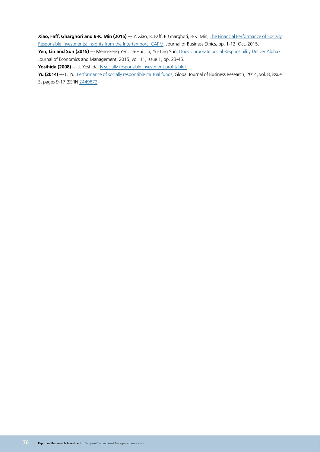**Xiao, Faff, Gharghori and B-K. Min (2015)** --- Y. Xiao, R. Faff, P. Gharghori, B-K. Min, [The Financial Performance of Socially](http://link.springer.com/article/10.1007/s10551-015-2894-8) [Responsible Investments: Insights from the Intertemporal CAPM](http://link.springer.com/article/10.1007/s10551-015-2894-8), Journal of Business Ethics, pp. 1-12, Oct. 2015.

Yen, Lin and Sun (2015) --- Meng-Feng Yen, Jia-Hui Lin, Yu-Ting Sun, [Does Corporate Social Responsibility Deliver Alpha?](http://www.jem.org.tw/content/pdf/Vol.11No.1/02.pdf), Journal of Economics and Management, 2015, vol. 11, issue 1, pp. 23-45.

Yosihida (2008) --- J. Yoshida, [Is socially responsible investment profitable?](http://www.carf.e.u-tokyo.ac.jp/pdf/workingpaper/jseries/56.pdf)

Yu (2014) --- L. Yu, [Performance of socially responsible mutual funds,](http://www.theibfr.com/ARCHIVE/GJBR-V8N3-2014.pdf) Global Journal of Business Research, 2014, vol. 8, issue 3, pages 9-17 (SSRN [2449872](http://papers.ssrn.com/sol3/papers.cfm?abstract_id=2449872).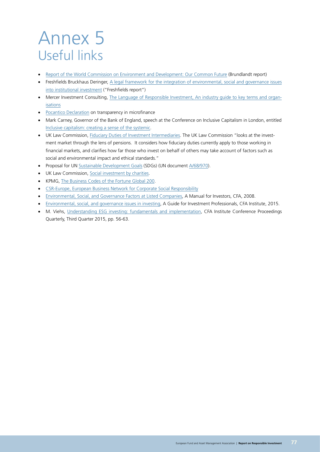## Annex 5 Useful links

- [Report of the World Commission on Environment and Development: Our Common Future](http://www.un-documents.net/wced-ocf.htm) (Brundlandt report)
- Freshfields Bruckhaus Deringer, [A legal framework for the integration of environmental, social and governance issues](http://www.unepfi.org/fileadmin/documents/freshfields_legal_resp_20051123.pdf) [into institutional investment](http://www.unepfi.org/fileadmin/documents/freshfields_legal_resp_20051123.pdf) ("Freshfields report")
- Mercer Investment Consulting, [The Language of Responsible Investment, An industry guide to key terms and organ](http://www.belsif.be/user_docs/MercerInvestmentConsultingSRI.pdf)[isations](http://www.belsif.be/user_docs/MercerInvestmentConsultingSRI.pdf)
- [Pocantico Declaration](http://www.microfinancegateway.org/library/pocantico-declaration) on transparency in microfinance
- • Mark Carney, Governor of the Bank of England, speech at the Conference on Inclusive Capitalism in London, entitled [Inclusive capitalism: creating a sense of the systemic](http://www.bankofengland.co.uk/publications/Documents/speeches/2014/speech731.pdf).
- UK Law Commission, [Fiduciary Duties of Investment Intermediaries.](http://lawcommission.justice.gov.uk/areas/fiduciary_duties.htm) The UK Law Commission "looks at the investment market through the lens of pensions. It considers how fiduciary duties currently apply to those working in financial markets, and clarifies how far those who invest on behalf of others may take account of factors such as social and environmental impact and ethical standards."
- Proposal for UN [Sustainable Development Goals](https://sustainabledevelopment.un.org/sdgsproposal) (SDGs) (UN document [A/68/970](http://www.un.org/ga/search/view_doc.asp?symbol=A/68/970)).
- UK Law Commission, [Social investment by charities.](http://lawcommission.justice.gov.uk/publications/social_investment_charities.htm)
- • KPMG, [The Business Codes of the Fortune Global 200.](http://www.kpmg.com/NL/nl/IssuesAndInsights/ArticlesPublications/Documents/PDF/Forensic/The-Business-codes-of-the-Fortune-Global-200.pdf)
- [CSR-Europe, European Business Network for Corporate Social Responsibility](http://www.csreurope.org)
- • [Environmental, Social, and Governance Factors at Listed Companies,](http://www.cfapubs.org/doi/pdf/10.2469/ccb.v2008.n2.1) A Manual for Investors, CFA, 2008.
- • [Environmental, social, and governance issues in investing](http://www.cfapubs.org/doi/pdf/10.2469/ccb.v2015.n11.1), A Guide for Investment Professionals, CFA Institute, 2015.
- • M. Viehs, [Understanding ESG investing: fundamentals and implementation,](http://www.cfapubs.org/doi/abs/10.2469/cp.v32.n3.7) CFA Institute Conference Proceedings Quarterly, Third Quarter 2015, pp. 56-63.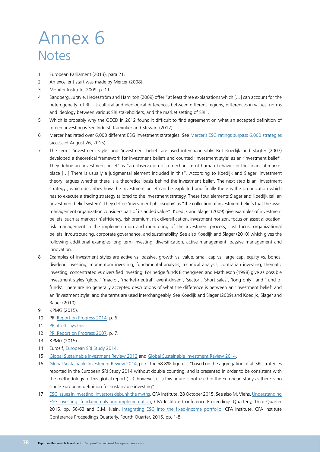## Annex 6 **Notes**

- 1 European Parliament (2013), para 21.
- 2 An excellent start was made by Mercer (2008).
- 3 Monitor Institute, 2009, p. 11.
- 4 Sandberg, Juravle, Hedesström and Hamilton (2009) offer "at least three explanations which […] can account for the heterogeneity [of RI …]: cultural and ideological differences between different regions, differences in values, norms and ideology between various SRI stakeholders, and the market setting of SRI".
- 5 Which is probably why the OECD in 2012 found it difficult to find agreement on what an accepted definition of 'green' investing is See Inderst, Kaminker and Stewart (2012).
- 6 Mercer has rated over 6,000 different ESG investment strategies. See [Mercer's ESG ratings surpass 6,000 strategies](http://www.mercer.com.au/insights/point/2014/mercer-esg-ratings.html) (accessed August 26, 2015).
- 7 The terms 'investment style' and 'investment belief' are used interchangeably. But Koedijk and Slagter (2007) developed a theoretical framework for investment beliefs and counted 'investment style' as an 'investment belief'. They define an 'investment belief' as "an observation of a mechanism of human behavior in the financial market place […] There is usually a judgmental element included in this". According to Koedijk and Slager 'investment theory' argues whether there is a theoretical basis behind the investment belief. The next step is an 'investment strategy', which describes how the investment belief can be exploited and finally there is the organization which has to execute a trading strategy tailored to the investment strategy. These four elements Slager and Koedijk call an 'investment belief system'. They define 'investment philosophy' as "the collection of investment beliefs that the asset management organization considers part of its added value". Koedijk and Slager (2009) give examples of investment beliefs, such as market (in)efficiency, risk premium, risk diversification, investment horizon, focus on asset allocation, risk management in the implementation and monitoring of the investment process, cost focus, organizational beliefs, in/outsourcing, corporate governance, and sustainability. See also Koedijk and Slager (2010) which gives the following additional examples long term investing, diversification, active management, passive management and innovation.
- 8 Examples of investment styles are active vs. passive, growth vs. value, small cap vs. large cap, equity vs. bonds, dividend investing, momentum investing, fundamental analysis, technical analysis, contrarian investing, thematic investing, concentrated vs diversified investing. For hedge funds Eichengreen and Mathieson (1998) give as possible investment styles 'global' 'macro', 'market-neutral', event-driven', 'sector', 'short sales', 'long only', and 'fund of funds'. There are no generally accepted descriptions of what the difference is between an 'investment belief' and an 'investment style' and the terms are used interchangeably. See Koedijk and Slager (2009) and Koedijk, Slager and Bauer (2010).
- 9 KPMG (2015).
- 10 PRI [Report on Progress 2014](https://www.unpri.org/download_report/8622), p. 6.
- 11 [PRI itself says this.](http://www.unpri.org/whatsnew/signatory-base-aum-hits-59-trillion/)
- 12 [PRI Report on Progress 2007](https://www.unpri.org/download_report/4310), p. 7.
- 13 KPMG (2015).
- 14 Eurosif, [European SRI Study 2014](http://www.eurosif.org/our-work/research/sri/european-sri-study-2014/).
- 15 [Global Sustainable Investment Review 2012](http://gsiareview2012.gsi-alliance.org/) and [Global Sustainable Investment Review 2014.](http://www.gsi-alliance.org/wp-content/uploads/2015/02/GSIA_Review_download.pdf)
- 16 [Global Sustainable Investment Review 2014](http://www.gsi-alliance.org/wp-content/uploads/2015/02/GSIA_Review_download.pdf), p. 7. The 58.8% figure is "based on the aggregation of all SRI strategies reported in the European SRI Study 2014 without double counting, and is presented in order to be consistent with the methodology of this global report (…) however, (…) this figure is not used in the European study as there is no single European definition for sustainable investing".
- 17 [ESG issues in investing: investors debunk the myths](https://www.cfainstitute.org/ethics/Documents/issues_esg_investing.pdf), CFA Institute, 28 October 2015. See also M. Viehs, [Understanding](http://www.cfapubs.org/doi/abs/10.2469/cp.v32.n3.7) [ESG investing: fundamentals and implementation,](http://www.cfapubs.org/doi/abs/10.2469/cp.v32.n3.7) CFA Institute Conference Proceedings Quarterly, Third Quarter 2015, pp. 56-63 and C.M. Klein, [Integrating ESG into the fixed-income portfolio,](http://www.cfapubs.org/doi/abs/10.2469/cp.v32.n4.3) CFA Institute, CFA Institute Conference Proceedings Quarterly, Fourth Quarter, 2015, pp. 1-8.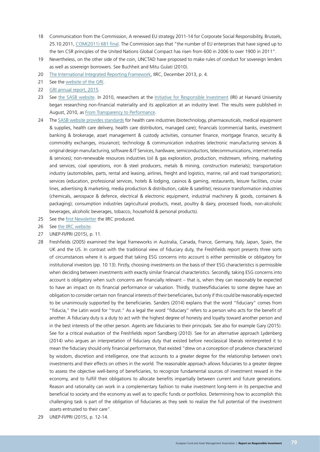- 18 Communication from the Commission, A renewed EU strategy 2011-14 for Corporate Social Responsibility, Brussels, 25.10.2011, [COM\(2011\) 681 final.](http://eur-lex.europa.eu/LexUriServ/LexUriServ.do?uri=COM:2011:0681:FIN:EN:PDF) The Commission says that "the number of EU enterprises that have signed up to the ten CSR principles of the United Nations Global Compact has risen from 600 in 2006 to over 1900 in 2011".
- 19 Nevertheless, on the other side of the coin, UNCTAD have proposed to make rules of conduct for sovereign lenders as well as sovereign borrowers. See Buchheit and Mitu Gulati (2010).
- 20 [The International Integrated Reporting Framework,](http://integratedreporting.org/resource/international-ir-framework/) IIRC, December 2013, p. 4.
- 21 See the [website of the GRI.](https://www.globalreporting.org/information/about-gri/gri-history/Pages/GRI)
- 22 [GRI annual report, 2015.](https://www.globalreporting.org/resourcelibrary/GRIs%20Combined%20Report%202014-2015.pdf)
- 23 See [the SASB website.](http://www.sasb.org/sasb/vision-mission/) In 2010, researchers at the [Initiative for Responsible Investment](http://hausercenter.org/iri/) (IRI) at Harvard University began researching non-financial materiality and its application at an industry level. The results were published in August, 2010, as [From Transparency to Performance.](http://www.sasb.org/wp-content/uploads/2012/03/IRI_Transparency-to-Performance.pdf)
- 24 The [SASB website provides standards](http://www.sasb.org/standards/download/) for health care industries (biotechnology, pharmaceuticals, medical equipment & supplies, health care delivery, health care distributors, managed care); financials (commercial banks, investment banking & brokerage, asset management & custody activities, consumer finance, mortgage finance, security & commodity exchanges, insurance); technology & communication industries (electronic manufacturing services & original design manufacturing, software & IT Services, hardware, semiconductors, telecommunications, internet media & services); non-renewable resources industries (oil & gas exploration, production, midstream, refining, marketing and services, coal operations, iron & steel producers, metals & mining, construction materials); transportation industry (automobiles, parts, rental and leasing, airlines, freight and logistics, marine, rail and road transportation); services (education, professional services, hotels & lodging, casinos & gaming, restaurants, leisure facilities, cruise lines, advertising & marketing, media production & distribution, cable & satellite); resource transformation industries (chemicals, aerospace & defence, electrical & electronic equipment, industrial machinery & goods, containers & packaging); consumption industries (agricultural products, meat, poultry & dairy, processed foods, non-alcoholic beverages, alcoholic beverages, tobacco, household & personal products).
- 25 See the [first Newsletter](http://integratedreporting.org/news/test/) the IIRC produced.
- 26 See [the IIRC website](http://integratedreporting.org/the-iirc-2/).
- 27 UNEP-FI/PRI (2015), p. 11.
- 28 Freshfields (2005) examined the legal frameworks in Australia, Canada, France, Germany, Italy, Japan, Spain, the UK and the US. In contrast with the traditional view of fiduciary duty, the Freshfields report presents three sorts of circumstances where it is argued that taking ESG concerns into account is either permissible or obligatory for institutional investors (pp. 10-13). Firstly, choosing investments on the basis of their ESG characteristics is permissible when deciding between investments with exactly similar financial characteristics. Secondly, taking ESG concerns into account is obligatory when such concerns are financially relevant – that is, when they can reasonably be expected to have an impact on its financial performance or valuation. Thirdly, trustees/fiduciaries to some degree have an obligation to consider certain non financial interests of their beneficiaries, but only if this could be reasonably expected to be unanimously supported by the beneficiaries. Sanders (2014) explains that the word "fiduciary" comes from "fiducia," the Latin word for "trust." As a legal the word "fiduciary" refers to a person who acts for the benefit of another. A fiduciary duty is a duty to act with the highest degree of honesty and loyalty toward another person and in the best interests of the other person. Agents are fiduciaries to their principals. See also for example Gary (2015). See for a critical evaluation of the Freshfields report Sandberg (2010). See for an alternative approach Lydenberg (2014) who argues an interpretation of fiduciary duty that existed before neoclassical liberals reinterpreted it to mean the fiduciary should only financial performance, that existed "drew on a conception of prudence characterized by wisdom, discretion and intelligence, one that accounts to a greater degree for the relationship between one's investments and their effects on others in the world. The reasonable approach allows fiduciaries to a greater degree to assess the objective well-being of beneficiaries, to recognize fundamental sources of investment reward in the economy, and to fulfill their obligations to allocate benefits impartially between current and future generations. Reason and rationality can work in a complementary fashion to make investment long-term in its perspective and beneficial to society and the economy as well as to specific funds or portfolios. Determining how to accomplish this challenging task is part of the obligation of fiduciaries as they seek to realize the full potential of the investment assets entrusted to their care".
- 29 UNEP-FI/PRI (2015), p. 12-14.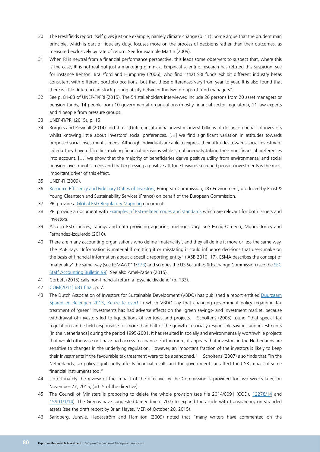- 30 The Freshfields report itself gives just one example, namely climate change (p. 11). Some argue that the prudent man principle, which is part of fiduciary duty, focuses more on the process of decisions rather than their outcomes, as measured exclusively by rate of return. See for example Martin (2009).
- 31 When RI is neutral from a financial performance perspective, this leads some observers to suspect that, where this is the case, RI is not real but just a marketing gimmick. Empirical scientific research has refuted this suspicion, see for instance Benson, Brailsford and Humphrey (2006), who find "that SRI funds exhibit different industry betas consistent with different portfolio positions, but that these differences vary from year to year. It is also found that there is little difference in stock-picking ability between the two groups of fund managers".
- 32 See p. 81-83 of UNEP-FI/PRI (2015). The 54 stakeholders interviewed include 26 persons from 20 asset managers or pension funds, 14 people from 10 governmental organisations (mostly financial sector regulators), 11 law experts and 4 people from pressure groups.
- 33 UNEP-FI/PRI (2015), p. 15.
- 34 Borgers and Pownall (2014) find that "[Dutch] institutional investors invest billions of dollars on behalf of investors whilst knowing little about investors' social preferences. […] we find significant variation in attitudes towards proposed social investment screens. Although individuals are able to express their attitudes towards social investment criteria they have difficulties making financial decisions while simultaneously taking their non-financial preferences into account. […] we show that the majority of beneficiaries derive positive utility from environmental and social pension investment screens and that expressing a positive attitude towards screened pension investments is the most important driver of this effect.
- 35 UNEP-FI (2009).
- 36 [Resource Efficiency and Fiduciary Duties of Investors](http://ec.europa.eu/environment/enveco/resource_efficiency/pdf/FiduciaryDuties.pdf), European Commission, DG Environment, produced by Ernst & Young Cleantech and Sustainability Services (France) on behalf of the European Commission.
- 37 PRI provide a [Global ESG Regulatory Mapping](http://www.unpri.org/areas-of-work/policy-and-research/responsible-investment-standards-codes-and-regulation/) document.
- 38 PRI provide a document with [Examples of ESG-related codes and standards](http://intranet.unpri.org/resources/files/ESG-related_codes_and_standards.pdf) which are relevant for both issuers and investors.
- 39 Also in ESG indices, ratings and data providing agencies, methods vary. See Escrig-Olmedo, Munoz-Torres and Fernandez-Izquierdo (2010).
- 40 There are many accounting organisations who define 'materiality', and they all define it more or less the same way. The IASB says "Information is material if omitting it or misstating it could influence decisions that users make on the basis of financial information about a specific reporting entity" (IASB 2010, 17). ESMA describes the concept of 'materiality' the same way (see ESMA/2011[/373\)](http://www.esma.europa.eu/system/files/2011_373_.pdf) and so does the US Securities & Exchange Commission (see the [SEC](https://www.sec.gov/interps/account/sab99.htm) [Staff Accounting Bulletin 99\)](https://www.sec.gov/interps/account/sab99.htm). See also Amel-Zadeh (2015).
- 41 Corbett (2015) calls non-financial return a 'psychic dividend' (p. 133).
- 42 [COM\(2011\) 681 final](http://eur-lex.europa.eu/LexUriServ/LexUriServ.do?uri=COM:2011:0681:FIN:EN:PDF), p. 7.
- 43 The Dutch Association of Investors for Sustainable Development (VBDO) has published a report entitled [Duurzaam](http://www.vbdo.nl/files/news/VBDODuurzaamsparenenbeleggeninNL2013.pdf) [Sparen en Beleggen 2013, Keuze te over!](http://www.vbdo.nl/files/news/VBDODuurzaamsparenenbeleggeninNL2013.pdf) in which VBDO say that changing government policy regarding tax treatment of 'green' investments has had adverse effects on the green savings- and investment market, because withdrawal of investors led to liquidations of ventures and projects. Scholtens (2005) found "that special tax regulation can be held responsible for more than half of the growth in socially responsible savings and investments [in the Netherlands] during the period 1995-2001. It has resulted in socially and environmentally worthwhile projects that would otherwise not have had access to finance. Furthermore, it appears that investors in the Netherlands are sensitive to changes in the underlying regulation. However, an important fraction of the investors is likely to keep their investments if the favourable tax treatment were to be abandoned." Scholtens (2007) also finds that "in the Netherlands, tax policy significantly affects financial results and the government can affect the CSR impact of some financial instruments too."
- 44 Unfortunately the review of the impact of the directive by the Commission is provided for two weeks later, on November 27, 2015, (art. 5 of the directive).
- 45 The Council of Ministers is proposing to delete the whole provision (see file 2014/0091 (COD), [12278/14](http://data.consilium.europa.eu/doc/document/ST-13278-2014-INIT/en/pdf) and [15901/1/14](http://data.consilium.europa.eu/doc/document/ST-15901-2014-REV-1/en/pdf)). The Greens have suggested (amendment 707) to expand the article with transparency on stranded assets (see the draft report by Brian Hayes, MEP, of October 20, 2015).
- 46 Sandberg, Juravle, Hedesström and Hamilton (2009) noted that "many writers have commented on the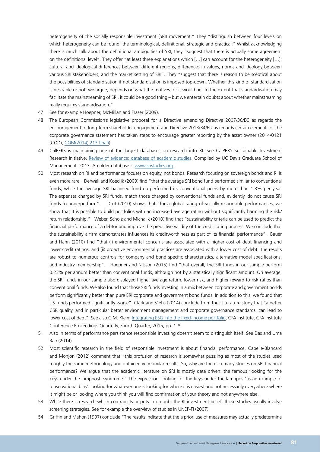heterogeneity of the socially responsible investment (SRI) movement." They "distinguish between four levels on which heterogeneity can be found: the terminological, definitional, strategic and practical." Whilst acknowledging there is much talk about the definitional ambiguities of SRI, they "suggest that there is actually some agreement on the definitional level". They offer "at least three explanations which […] can account for the heterogeneity […]: cultural and ideological differences between different regions, differences in values, norms and ideology between various SRI stakeholders, and the market setting of SRI". They "suggest that there is reason to be sceptical about the possibilities of standardisation if not standardisation is imposed top-down. Whether this kind of standardisation is desirable or not, we argue, depends on what the motives for it would be. To the extent that standardisation may facilitate the mainstreaming of SRI, it could be a good thing – but we entertain doubts about whether mainstreaming really requires standardisation."

- 47 See for example Hoepner, McMillan and Fraser (2009).
- 48 The European Commission's legislative proposal for a Directive amending Directive 2007/36/EC as regards the encouragement of long-term shareholder engagement and Directive 2013/34/EU as regards certain elements of the corporate governance statement has taken steps to encourage greater reporting by the asset owner (2014/0121 (COD), [COM\(2014\) 213 final\)\)](http://eur-lex.europa.eu/legal-content/EN/TXT/?uri=COM:2014:213:FIN).
- 49 CalPERS is maintaining one of the largest databases on research into RI. See CalPERS Sustainable Investment Research Initiative, [Review of evidence: database of academic studies,](https://www.calpers.ca.gov/docs/governance/Archive/investments/siri-database-of-academic-studies.pdf) Compiled by UC Davis Graduate School of Management, 2013. An older database is [www.sristudies.org.](http://www.sristudies.org)
- 50 Most research on RI and performance focuses on equity, not bonds. Research focusing on sovereign bonds and RI is even more rare. Derwall and Koedijk (2009) find "that the average SRI bond fund performed similar to conventional funds, while the average SRI balanced fund outperformed its conventional peers by more than 1.3% per year. The expenses charged by SRI funds, match those charged by conventional funds and, evidently, do not cause SRI funds to underperform". Drut (2010) shows that "for a global rating of socially responsible performances, we show that it is possible to build portfolios with an increased average rating without significantly harming the risk/ return relationship." Weber, Scholz and Michalik (2010) find that "sustainability criteria can be used to predict the financial performance of a debtor and improve the predictive validity of the credit rating process. We conclude that the sustainability a firm demonstrates influences its creditworthiness as part of its financial performance". Bauer and Hahn (2010) find "that (i) environmental concerns are associated with a higher cost of debt financing and lower credit ratings, and (ii) proactive environmental practices are associated with a lower cost of debt. The results are robust to numerous controls for company and bond specific characteristics, alternative model specifications, and industry membership". Hoepner and Nilsson (2015) find "that overall, the SRI funds in our sample perform 0.23% per annum better than conventional funds, although not by a statistically significant amount. On average, the SRI funds in our sample also displayed higher average return, lower risk, and higher reward to risk ratios than conventional funds. We also found that those SRI funds investing in a mix between corporate and government bonds perform significantly better than pure SRI corporate and government bond funds. In addition to this, we found that US funds performed significantly worse". Clark and Viehs (2014) conclude from their literature study that "a better CSR quality, and in particular better environment management and corporate governance standards, can lead to lower cost of debt". See also C.M. Klein, [Integrating ESG into the fixed-income portfolio,](http://www.cfapubs.org/doi/abs/10.2469/cp.v32.n4.3) CFA Institute, CFA Institute Conference Proceedings Quarterly, Fourth Quarter, 2015, pp. 1-8.
- 51 Also in terms of performance persistence responsible investing doesn't seem to distinguish itself. See Das and Uma Rao (2014).
- 52 Most scientific research in the field of responsible investment is about financial performance. Capelle-Blancard and Monjon (2012) comment that "this profusion of research is somewhat puzzling as most of the studies used roughly the same methodology and obtained very similar results. So, why are there so many studies on SRI financial performance? We argue that the academic literature on SRI is mostly data driven: the famous 'looking for the keys under the lamppost' syndrome." The expression 'looking for the keys under the lamppost' is an example of 'observational bias': looking for whatever one is looking for where it is easiest and not necessarily everywhere where it might be or looking where you think you will find confirmation of your theory and not anywhere else.
- 53 While there is research which contradicts or puts into doubt the RI investment belief, those studies usually involve screening strategies. See for example the overview of studies in UNEP-FI (2007).
- 54 Griffin and Mahon (1997) conclude "The results indicate that the a priori use of measures may actually predetermine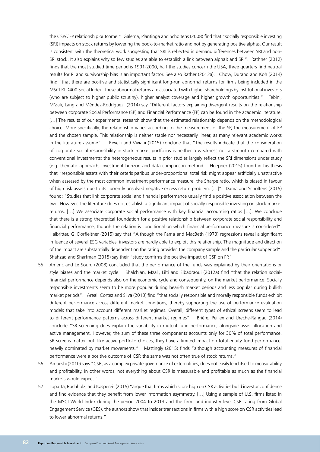the CSP/CFP relationship outcome." Galema, Plantinga and Scholtens (2008) find that "socially responsible investing (SRI) impacts on stock returns by lowering the book-to-market ratio and not by generating positive alphas. Our result is consistent with the theoretical work suggesting that SRI is reflected in demand differences between SRI and non-SRI stock. It also explains why so few studies are able to establish a link between alpha's and SRI". Rathner (2012) finds that the most studied time period is 1991-2000, half the studies concern the USA, three quarters find neutral results for RI and survivorship bias is an important factor. See also Rather (2013a). Chow, Durand and Koh (2014) find "that there are positive and statistically significant long-run abnormal returns for firms being included in the MSCI KLD400 Social Index. These abnormal returns are associated with higher shareholdings by institutional investors (who are subject to higher public scrutiny), higher analyst coverage and higher growth opportunities." Tebini, M'Zali, Lang and Méndez-Rodríguez (2014) say "Different factors explaining divergent results on the relationship between corporate Social Performance (SP) and Financial Performance (FP) can be found in the academic literature. [...] The results of our experimental research show that the estimated relationship depends on the methodological choice. More specifically, the relationship varies according to the measurement of the SP, the measurement of FP and the chosen sample. This relationship is neither stable nor necessarily linear, as many relevant academic works in the literature assume". Revelli and Viviani (2015) conclude that "The results indicate that the consideration of corporate social responsibility in stock market portfolios is neither a weakness nor a strength compared with conventional investments; the heterogeneous results in prior studies largely reflect the SRI dimensions under study (e.g. thematic approach, investment horizon and data comparison method. Hoepner (2015) found in his thesis that "responsible assets with their ceteris paribus under-proportional total risk might appear artificially unattractive when assessed by the most common investment performance measure, the Sharpe ratio, which is biased in favour of high risk assets due to its currently unsolved negative excess return problem. […]" Dama and Scholtens (2015) found: "Studies that link corporate social and financial performance usually find a positive association between the two. However, the literature does not establish a significant impact of socially responsible investing on stock market returns. […] We associate corporate social performance with key financial accounting ratios […]. We conclude that there is a strong theoretical foundation for a positive relationship between corporate social responsibility and financial performance, though the relation is conditional on which financial performance measure is considered". Halbritter, G. Dorfleitner (2015) say that "Although the Fama and MacBeth (1973) regressions reveal a significant influence of several ESG variables, investors are hardly able to exploit this relationship. The magnitude and direction of the impact are substantially dependent on the rating provider, the company sample and the particular subperiod". Shahzad and Sharfman (2015) say their "study confirms the positive impact of CSP on FP."

- 55 Amenc and Le Sourd (2008) concluded that the performance of the funds was explained by their orientations or style biases and the market cycle. Shalchian, Mzali, Lilti and Elbadraoui (2012a) find "that the relation socialfinancial performance depends also on the economic cycle and consequently, on the market performance. Socially responsible investments seem to be more popular during bearish market periods and less popular during bullish market periods". Areal, Cortez and Silva (2013) find "that socially responsible and morally responsible funds exhibit different performance across different market conditions, thereby supporting the use of performance evaluation models that take into account different market regimes. Overall, different types of ethical screens seem to lead to different performance patterns across different market regimes". Brière, Peillex and Ureche-Rangau (2014) conclude "SR screening does explain the variability in mutual fund performance, alongside asset allocation and active management. However, the sum of these three components accounts only for 30% of total performance. SR screens matter but, like active portfolio choices, they have a limited impact on total equity fund performance, heavily dominated by market movements." Mattingly (2015) finds "although accounting measures of financial performance were a positive outcome of CSP, the same was not often true of stock returns."
- 56 Amaeshi (2010) says "CSR, as a complex private governance of externalities, does not easily lend itself to measurability and profitability. In other words, not everything about CSR is measurable and profitable as much as the financial markets would expect."
- 57 Lopatta, Buchholz, and Kaspereit (2015) "argue that firms which score high on CSR activities build investor confidence and find evidence that they benefit from lower information asymmetry. […] Using a sample of U.S. firms listed in the MSCI World Index during the period 2004 to 2013 and the firm- and industry-level CSR rating from Global Engagement Service (GES), the authors show that insider transactions in firms with a high score on CSR activities lead to lower abnormal returns."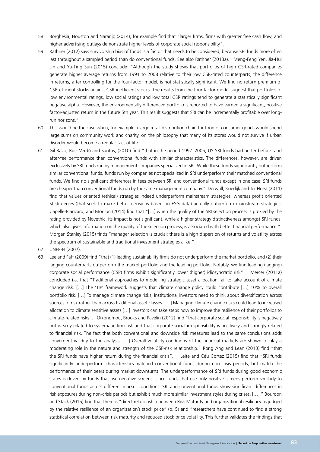- 58 Borghesia, Houston and Naranjo (2014), for example find that "larger firms, firms with greater free cash flow, and higher advertising outlays demonstrate higher levels of corporate social responsibility".
- 59 Rathner (2012) says survivorship bias of funds is a factor that needs to be considered, because SRI funds more often last throughout a sampled period than do conventional funds. See also Rathner (2013a). Meng-Feng Yen, Jia-Hui Lin and Yu-Ting Sun (2015) conclude: "Although the study shows that portfolios of high CSR-rated companies generate higher average returns from 1991 to 2008 relative to their low CSR-rated counterparts, the difference in returns, after controlling for the four-factor model, is not statistically significant. We find no return premium of CSR-efficient stocks against CSR-inefficient stocks. The results from the four-factor model suggest that portfolios of low environmental ratings, low social ratings and low total CSR ratings tend to generate a statistically significant negative alpha. However, the environmentally differenced portfolio is reported to have earned a significant, positive factor-adjusted return in the future 5th year. This result suggests that SRI can be incrementally profitable over longrun horizons."
- 60 This would be the case when, for example a large retail distribution chain for food or consumer goods would spend large sums on community work and charity, on the philosophy that many of its stores would not survive if urban disorder would become a regular fact of life.
- 61 Gil-Bazo, Ruiz-Verdú and Santos, (2010) find "that in the period 1997–2005, US SRI funds had better before- and after-fee performance than conventional funds with similar characteristics. The differences, however, are driven exclusively by SRI funds run by management companies specialized in SRI. While these funds significantly outperform similar conventional funds, funds run by companies not specialized in SRI underperform their matched conventional funds. We find no significant differences in fees between SRI and conventional funds except in one case: SRI funds are cheaper than conventional funds run by the same management company." Derwall, Koedijk and Ter Horst (2011) find that values oriented (ethical) strategies indeed underperform mainstream strategies, whereas profit oriented SI strategies (that seek to make better decisions based on ESG data) actually outperform mainstream strategies. Capelle-Blancard, and Monjon (2014) find that "[…] when the quality of the SRI selection process is proxied by the rating provided by Novethic, its impact is not significant, while a higher strategy distinctiveness amongst SRI funds, which also gives information on the quality of the selection process, is associated with better financial performance.". Morgan Stanley (2015) finds "manager selection is crucial; there is a high dispersion of returns and volatility across the spectrum of sustainable and traditional investment strategies alike."
- 62 UNEP-FI (2007).
- 63 Lee and Faff (2009) find "that (1) leading sustainability firms do not underperform the market portfolio, and (2) their lagging counterparts outperform the market portfolio and the leading portfolio. Notably, we find leading (lagging) corporate social performance (CSP) firms exhibit significantly lower (higher) idiosyncratic risk". Mercer (2011a) concluded i.a. that "Traditional approaches to modelling strategic asset allocation fail to take account of climate change risk. […] The 'TIP' framework suggests that climate change policy could contribute […] 10% to overall portfolio risk. […] To manage climate change risks, institutional investors need to think about diversification across sources of risk rather than across traditional asset classes. […] Managing climate change risks could lead to increased allocation to climate sensitive assets […] Investors can take steps now to improve the resilience of their portfolios to climate-related risks". Oikonomou, Brooks and Pavelin (2012) find "that corporate social responsibility is negatively but weakly related to systematic firm risk and that corporate social irresponsibility is positively and strongly related to financial risk. The fact that both conventional and downside risk measures lead to the same conclusions adds convergent validity to the analysis. […] Overall volatility conditions of the financial markets are shown to play a moderating role in the nature and strength of the CSP-risk relationship." Rong Ang and Lean (2013) find "that the SRI funds have higher return during the financial crisis". Leite and Céu Cortez (2015) find that "SRI funds significantly underperform characteristics-matched conventional funds during non-crisis periods, but match the performance of their peers during market downturns. The underperformance of SRI funds during good economic states is driven by funds that use negative screens, since funds that use only positive screens perform similarly to conventional funds across different market conditions. SRI and conventional funds show significant differences in risk exposures during non-crisis periods but exhibit much more similar investment styles during crises. […]." Bourdon and Stack (2015) find that there is "direct relationship between Risk Maturity and organizational resiliency as judged by the relative resilience of an organization's stock price" (p. 5) and "researchers have continued to find a strong statistical correlation between risk maturity and reduced stock price volatility. This further validates the findings that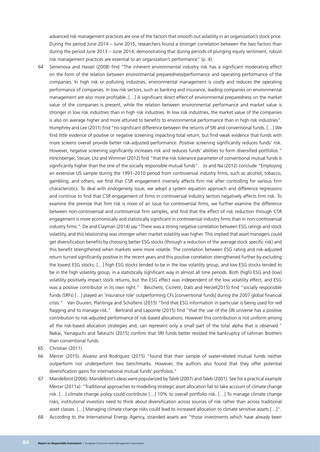advanced risk management practices are one of the factors that smooth out volatility in an organization's stock price. During the period June 2014 – June 2015, researchers found a stronger correlation between the two factors than during the period June 2013 – June 2014, demonstrating that during periods of plunging equity sentiment, robust risk management practices are essential to an organization's performance" (p. 4).

- 64 Semenova and Hassel (2008) find "The inherent environmental industry risk has a significant moderating effect on the form of the relation between environmental preparedness/performance and operating performance of the companies. In high risk or polluting industries, environmental management is costly and reduces the operating performance of companies. In low risk sectors, such as banking and insurance, leading companies on environmental management are also more profitable. […] A significant direct effect of environmental preparedness on the market value of the companies is present, while the relation between environmental performance and market value is stronger in low risk industries than in high risk industries. In low risk industries, the market value of the companies is also on average higher and more attuned to benefits to environmental performance than in high risk industries". Humphrey and Lee (2011) find "no significant difference between the returns of SRI and conventional funds. […] We find little evidence of positive or negative screening impacting total return, but find weak evidence that funds with more screens overall provide better risk-adjusted performance. Positive screening significantly reduces funds' risk. However, negative screening significantly increases risk and reduces funds' abilities to form diversified portfolios." Hirschberger, Steuer, Utz and Wimmer (2012) find "that the risk tolerance parameter of conventional mutual funds is significantly higher than the one of the socially responsible mutual funds". Jo and Na (2012) conclude "Employing an extensive US sample during the 1991–2010 period from controversial industry firms, such as alcohol, tobacco, gambling, and others, we find that CSR engagement inversely affects firm risk after controlling for various firm characteristics. To deal with endogeneity issue, we adopt a system equation approach and difference regressions and continue to find that CSR engagement of firms in controversial industry sectors negatively affects firm risk. To examine the premise that firm risk is more of an issue for controversial firms, we further examine the difference between non-controversial and controversial firm samples, and find that the effect of risk reduction through CSR engagement is more economically and statistically significant in controversial industry firms than in non-controversial industry firms." De and Clayman (2014) say "There was a strong negative correlation between ESG ratings and stock volatility, and this relationship was stronger when market volatility was higher. This implied that asset managers could get diversification benefits by choosing better ESG stocks (through a reduction of the average stock specific risk) and this benefit strengthened when markets were more volatile. The correlation between ESG rating and risk-adjusted return turned significantly positive in the recent years and this positive correlation strengthened further by excluding the lowest ESG stocks. […] high ESG stocks tended to be in the low volatility group, and low ESG stocks tended to be in the high volatility group, in a statistically significant way in almost all time periods. Both (high) ESG and (low) volatility positively impact stock returns, but the ESG effect was independent of the low volatility effect, and ESG was a positive contributor in its own right." Becchetti, Ciciretti, Dalò and Herzel(2015) find "socially responsible funds (SRFs) […] played an 'insurance role' outperforming CFs [conventional funds] during the 2007 global financial crisis." Van Duuren, Plantinga and Scholtens (2015) "find that ESG information in particular is being used for red flagging and to manage risk." Bertrand and Lapointe (2015) find "that the use of the SRI universe has a positive contribution to risk-adjusted performance of risk-based allocations. However this contribution is not uniform among all the risk-based allocation strategies and, can represent only a small part of the total alpha that is observed." Nakai, Yamaguchi and Takeuchi (2015) confirm that SRI funds better resisted the bankruptcy of Lehman Brothers than conventional funds.
- 65 Christian (2011).
- 66 Mercer (2015). Alvarez and Rodríguez (2015) "found that their sample of water-related mutual funds neither outperform nor underperform two benchmarks. However, the authors also found that they offer potential diversification gains for international mutual funds' portfolios."
- 67 Mandelbrot (2006). Mandelbrot's ideas were popularized by Taleb (2007) and Taleb (2001). See for a practical example Mercer (2011a): "Traditional approaches to modelling strategic asset allocation fail to take account of climate change risk. […] climate change policy could contribute […] 10% to overall portfolio risk. […] To manage climate change risks, institutional investors need to think about diversification across sources of risk rather than across traditional asset classes. […] Managing climate change risks could lead to increased allocation to climate sensitive assets […]".
- 68 According to the International Energy Agency, stranded assets are "those investments which have already been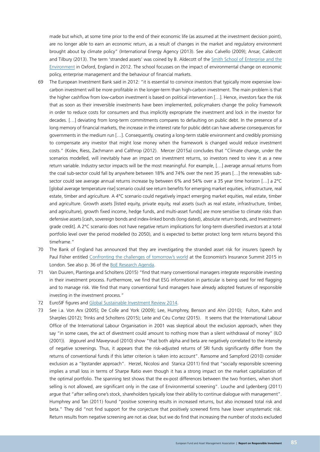made but which, at some time prior to the end of their economic life (as assumed at the investment decision point), are no longer able to earn an economic return, as a result of changes in the market and regulatory environment brought about by climate policy" (International Energy Agency (2013). See also Calvello (2009); Ansar, Caldecott and Tilbury (2013). The term 'stranded assets' was coined by B. Aldecott of the [Smith School of Enterprise and the](http://www.smithschool.ox.ac.uk/index.php) [Environment](http://www.smithschool.ox.ac.uk/index.php) in Oxford, England in 2012. The school focusses on the impact of environmental change on economic policy, enterprise management and the behaviour of financial markets.

- 69 The European Investment Bank said in 2012: "it is essential to convince investors that typically more expensive lowcarbon investment will be more profitable in the longer-term than high-carbon investment. The main problem is that the higher cashflow from low-carbon investment is based on political intervention […]. Hence, investors face the risk that as soon as their irreversible investments have been implemented, policymakers change the policy framework in order to reduce costs for consumers and thus implicitly expropriate the investment and lock in the investor for decades. […] deviating from long-term commitments compares to defaulting on public debt. In the presence of a long memory of financial markets, the increase in the interest rate for public debt can have adverse consequences for governments in the medium run […]. Consequently, creating a long-term stable environment and credibly promising to compensate any investor that might lose money when the framework is changed would reduce investment costs." (Kolev, Riess, Zachmann and Calthrop (2012). Mercer (2015a) concludes that "Climate change, under the scenarios modelled, will inevitably have an impact on investment returns, so investors need to view it as a new return variable. Industry sector impacts will be the most meaningful. For example, […] average annual returns from the coal sub-sector could fall by anywhere between 18% and 74% over the next 35 years […] the renewables subsector could see average annual returns increase by between 6% and 54% over a 35 year time horizon […] a 2°C [global average temperature rise] scenario could see return benefits for emerging market equities, infrastructure, real estate, timber and agriculture. A 4°C scenario could negatively impact emerging market equities, real estate, timber and agriculture. Growth assets [listed equity, private equity, real assets (such as real estate, infrastructure, timber, and agriculture), growth fixed income, hedge funds, and multi-asset funds] are more sensitive to climate risks than defensive assets [cash, sovereign bonds and index-linked bonds (long dated), absolute return bonds, and Investmentgrade credit]. A 2°C scenario does not have negative return implications for long-term diversified investors at a total portfolio level over the period modelled (to 2050), and is expected to better protect long term returns beyond this timeframe."
- 70 The Bank of England has announced that they are investigating the stranded asset risk for insurers (speech by Paul Fisher entitled [Confronting the challenges of tomorrow's world](http://www.bankofengland.co.uk/publications/Pages/speeches/2015/804.aspx) at the Economist's Insurance Summit 2015 in London. See also p. 36 of the [BoE Research Agenda.](http://www.bankofengland.co.uk/research/documents/onebank/discussion.pdf)
- 71 Van Duuren, Plantinga and Scholtens (2015) "find that many conventional managers integrate responsible investing in their investment process. Furthermore, we find that ESG information in particular is being used for red flagging and to manage risk. We find that many conventional fund managers have already adopted features of responsible investing in the investment process."
- 72 EuroSIF figures and [Global Sustainable Investment Review 2014.](http://www.gsi-alliance.org/wp-content/uploads/2015/02/GSIA_Review_download.pdf)
- 73 See i.a. Von Arx (2005); De Colle and York (2009); Lee, Humphrey, Benson and Ahn (2010); Fulton, Kahn and Sharples (2012); Trinks and Scholtens (2015); Leite and Céu Cortez (2015). It seems that the International Labour Office of the International Labour Organisation in 2001 was skeptical about the exclusion approach, when they say "in some cases, the act of divestment could amount to nothing more than a silent withdrawal of money" (ILO (2001)). Jégourel and Maveyraud (2010) show "that both alpha and beta are negatively correlated to the intensity of negative screenings. Thus, it appears that the risk-adjusted returns of SRI funds significantly differ from the returns of conventional funds if this latter criterion is taken into account". Ransome and Sampford (2010) consider exclusion as a "bystander approach". Herzel, Nicolosi and Starica (2011) find that "socially responsible screening implies a small loss in terms of Sharpe Ratio even though it has a strong impact on the market capitalization of the optimal portfolio. The spanning test shows that the ex-post differences between the two frontiers, when short selling is not allowed, are significant only in the case of Environmental screening". Louche and Lydenberg (2011) argue that "after selling one's stock, shareholders typically lose their ability to continue dialogue with management". Humphrey and Tan (2011) found "positive screening results in increased returns, but also increased total risk and beta." They did "not find support for the conjecture that positively screened firms have lower unsystematic risk. Return results from negative screening are not as clear, but we do find that increasing the number of stocks excluded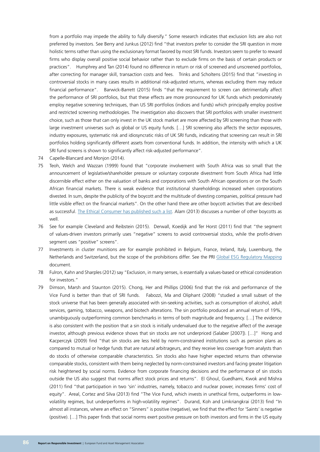from a portfolio may impede the ability to fully diversify." Some research indicates that exclusion lists are also not preferred by investors. See Berry and Junkus (2012) find "that investors prefer to consider the SRI question in more holistic terms rather than using the exclusionary format favored by most SRI funds. Investors seem to prefer to reward firms who display overall positive social behavior rather than to exclude firms on the basis of certain products or practices". Humphrey and Tan (2014) found no difference in return or risk of screened and unscreened portfolios, after correcting for manager skill, transaction costs and fees. Trinks and Scholtens (2015) find that "investing in controversial stocks in many cases results in additional risk-adjusted returns, whereas excluding them may reduce financial performance". Barwick-Barrett (2015) finds "that the requirement to screen can detrimentally affect the performance of SRI portfolios, but that these effects are more pronounced for UK funds which predominately employ negative screening techniques, than US SRI portfolios (indices and funds) which principally employ positive and restricted screening methodologies. The investigation also discovers that SRI portfolios with smaller investment choice, such as those that can only invest in the UK stock market are more affected by SRI screening than those with large investment universes such as global or US equity funds. […] SRI screening also affects the sector exposures, industry exposures, systematic risk and idiosyncratic risks of UK SRI funds, indicating that screening can result in SRI portfolios holding significantly different assets from conventional funds. In addition, the intensity with which a UK SRI fund screens is shown to significantly affect risk-adjusted performance".

- 74 Capelle-Blancard and Monjon (2014).
- 75 Teoh, Welch and Wazzan (1999) found that "corporate involvement with South Africa was so small that the announcement of legislative/shareholder pressure or voluntary corporate divestment from South Africa had little discernible effect either on the valuation of banks and corporations with South African operations or on the South African financial markets. There is weak evidence that institutional shareholdings increased when corporations divested. In sum, despite the publicity of the boycott and the multitude of divesting companies, political pressure had little visible effect on the financial markets". On the other hand there are other boycott activities that are described as successful. [The Ethical Consumer has published such a list](http://www.ethicalconsumer.org/portals/0/downloads/successful%20boycotts.pdf). Alam (2013) discusses a number of other boycotts as well.
- 76 See for example Cleveland and Reibstein (2015). Derwall, Koedijk and Ter Horst (2011) find that "the segment of values-driven investors primarily uses "negative" screens to avoid controversial stocks, while the profit-driven segment uses "positive" screens".
- 77 Investments in cluster munitions are for example prohibited in Belgium, France, Ireland, Italy, Luxemburg, the Netherlands and Switzerland, but the scope of the prohibitions differ. See the PRI [Global ESG Regulatory Mapping](http://www.unpri.org/areas-of-work/policy-and-research/responsible-investment-standards-codes-and-regulation/) document.
- 78 Fulron, Kahn and Sharples (2012) say "Exclusion, in many senses, is essentially a values-based or ethical consideration for investors."
- 79 Dimson, Marsh and Staunton (2015). Chong, Her and Phillips (2006) find that the risk and performance of the Vice Fund is better than that of SRI funds. Fabozzi, Ma and Oliphant (2008) "studied a small subset of the stock universe that has been generally associated with sin-seeking activities, such as consumption of alcohol, adult services, gaming, tobacco, weapons, and biotech alterations. The sin portfolio produced an annual return of 19%, unambiguously outperforming common benchmarks in terms of both magnitude and frequency. […] The evidence is also consistent with the position that a sin stock is initially undervalued due to the negative affect of the average investor, although previous evidence shows that sin stocks are not underpriced (Salaber [2007]). […]" Hong and Kacperczyk (2009) find "that sin stocks are less held by norm-constrained institutions such as pension plans as compared to mutual or hedge funds that are natural arbitrageurs, and they receive less coverage from analysts than do stocks of otherwise comparable characteristics. Sin stocks also have higher expected returns than otherwise comparable stocks, consistent with them being neglected by norm-constrained investors and facing greater litigation risk heightened by social norms. Evidence from corporate financing decisions and the performance of sin stocks outside the US also suggest that norms affect stock prices and returns". El Ghoul, Guedhami, Kwok and Mishra (2011) find "that participation in two 'sin' industries, namely, tobacco and nuclear power, increases firms' cost of equity". Areal, Cortez and Silva (2013) find "The Vice Fund, which invests in unethical firms, outperforms in lowvolatility regimes, but underperforms in high-volatility regimes". Durand, Koh and Limkriangkrai (2013) find "In almost all instances, where an effect on "Sinners" is positive (negative), we find that the effect for 'Saints' is negative (positive). […] This paper finds that social norms exert positive pressure on both investors and firms in the US equity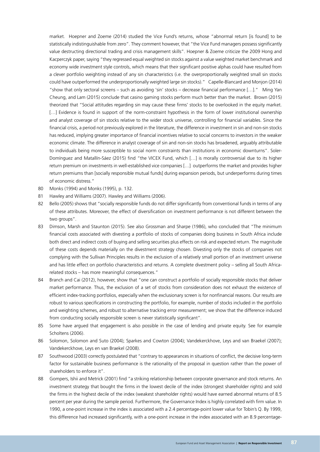market. Hoepner and Zoeme (2014) studied the Vice Fund's returns, whose "abnormal return [is found] to be statistically indistinguishable from zero". They comment however, that "the Vice Fund managers possess significantly value destructing directional trading and crisis management skills". Hoepner & Zoeme criticize the 2009 Hong and Kacperczyk paper, saying "they regressed equal weighted sin stocks against a value weighted market benchmark and economy wide investment style controls, which means that their significant positive alphas could have resulted from a clever portfolio weighting instead of any sin characteristics (i.e. the overproportionally weighted small sin stocks could have outperformed the underproportionally weighted large sin stocks)." Capelle-Blancard and Monjon (2014) "show that only sectoral screens – such as avoiding 'sin' stocks – decrease financial performance […]." Ming Yan Cheung, and Lam (2015) conclude that casino gaming stocks perform much better than the market. Brown (2015) theorized that "Social attitudes regarding sin may cause these firms' stocks to be overlooked in the equity market. [...] Evidence is found in support of the norm-constraint hypothesis in the form of lower institutional ownership and analyst coverage of sin stocks relative to the wider stock universe, controlling for financial variables. Since the financial crisis, a period not previously explored in the literature, the difference in investment in sin and non-sin stocks has reduced, implying greater importance of financial incentives relative to social concerns to investors in the weaker economic climate. The difference in analyst coverage of sin and non-sin stocks has broadened, arguably attributable to individuals being more susceptible to social norm constraints than institutions in economic downturns". Soler-Domínguez and Matallín-Sáez (2015) find "the VICEX Fund, which […] is morally controversial due to its higher return premium on investments in well-established vice companies […] outperforms the market and provides higher return premiums than [socially responsible mutual funds] during expansion periods, but underperforms during times of economic distress."

- 80 Monks (1994) and Monks (1995), p. 132.
- 81 Hawley and Williams (2007). Hawley and Williams (2006).
- 82 Bello (2005) shows that "socially responsible funds do not differ significantly from conventional funds in terms of any of these attributes. Moreover, the effect of diversification on investment performance is not different between the two groups".
- 83 Dimson, Marsh and Staunton (2015). See also Grossman and Sharpe (1986), who concluded that "The minimum financial costs associated with divesting a portfolio of stocks of companies doing business in South Africa include both direct and indirect costs of buying and selling securities plus effects on risk and expected return. The magnitude of these costs depends materially on the divestment strategy chosen. Divesting only the stocks of companies not complying with the Sullivan Principles results in the exclusion of a relatively small portion of an investment universe and has little effect on portfolio characteristics and returns. A complete divestment policy – selling all South Africarelated stocks – has more meaningful consequences."
- 84 Branch and Cai (2012), however, show that "one can construct a portfolio of socially responsible stocks that deliver market performance. Thus, the exclusion of a set of stocks from consideration does not exhaust the existence of efficient index-tracking portfolios, especially when the exclusionary screen is for nonfinancial reasons. Our results are robust to various specifications in constructing the portfolio, for example, number of stocks included in the portfolio and weighting schemes, and robust to alternative tracking error measurement; we show that the difference induced from conducting socially responsible screen is never statistically significant".
- 85 Some have argued that engagement is also possible in the case of lending and private equity. See for example Scholtens (2006).
- 86 Solomon, Solomon and Suto (2004); Sparkes and Cowton (2004); Vandekerckhove, Leys and van Braekel (2007); Vandekerckhove, Leys en van Braekel (2008).
- 87 Southwood (2003) correctly postulated that "contrary to appearances in situations of conflict, the decisive long-term factor for sustainable business performance is the rationality of the proposal in question rather than the power of shareholders to enforce it".
- 88 Gompers, Ishii and Metrick (2001) find "a striking relationship between corporate governance and stock returns. An investment strategy that bought the firms in the lowest decile of the index (strongest shareholder rights) and sold the firms in the highest decile of the index (weakest shareholder rights) would have earned abnormal returns of 8.5 percent per year during the sample period. Furthermore, the Governance Index is highly correlated with firm value. In 1990, a one-point increase in the index is associated with a 2.4 percentage-point lower value for Tobin's Q. By 1999, this difference had increased significantly, with a one-point increase in the index associated with an 8.9 percentage-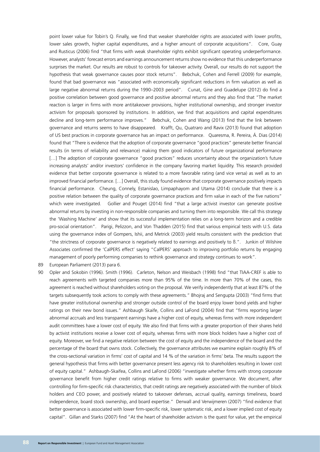point lower value for Tobin's Q. Finally, we find that weaker shareholder rights are associated with lower profits, lower sales growth, higher capital expenditures, and a higher amount of corporate acquisitions". Core, Guay and Rusticus (2006) find "that firms with weak shareholder rights exhibit significant operating underperformance. However, analysts' forecast errors and earnings announcement returns show no evidence that this underperformance surprises the market. Our results are robust to controls for takeover activity. Overall, our results do not support the hypothesis that weak governance causes poor stock returns". Bebchuk, Cohen and Ferrell (2009) for example, found that bad governance was "associated with economically significant reductions in firm valuation as well as large negative abnormal returns during the 1990–2003 period". Cunat, Gine and Guadelupe (2012) do find a positive correlation between good governance and positive abnormal returns and they also find that "The market reaction is larger in firms with more antitakeover provisions, higher institutional ownership, and stronger investor activism for proposals sponsored by institutions. In addition, we find that acquisitions and capital expenditures decline and long-term performance improves." Bebchuk, Cohen and Wang (2013) find that the link between governance and returns seems to have disappeared. Krafft, Qu, Quatraro and Ravix (2013) found that adoption of US best practices in corporate governance has an impact on performance. Quaresma, R. Pereira, Á. Dias (2014) found that "There is evidence that the adoption of corporate governance "good practices" generate better financial results (in terms of reliability and relevance) making them good indicators of future organizational performance [...] The adoption of corporate governance "good practices" reduces uncertainty about the organization's future increasing analysts' and/or investors' confidence in the company favoring market liquidity. This research provided evidence that better corporate governance is related to a more favorable rating (and vice versa) as well as to an improved financial performance. […] Overall, this study found evidence that corporate governance positively impacts financial performance. Cheung, Connely, Estanislao, Limpaphayom and Utama (2014) conclude that there is a positive relation between the quality of corporate governance practices and firm value in each of the five nations" which were investigated. Gollier and Pouget (2014) find "that a large activist investor can generate positive abnormal returns by investing in non-responsible companies and turning them into responsible. We call this strategy the 'Washing Machine' and show that its successful implementation relies on a long-term horizon and a credible pro-social orientation". Parigi, Pelizzon, and Von Thadden (2015) find that various empirical tests with U.S. data using the governance index of Gompers, Ishii, and Metrick (2003) yield results consistent with the prediction that "the strictness of corporate governance is negatively related to earnings and positively to ß.". Junkin of Wilshire Associates confirmed the 'CalPERS effect' saying "CalPERS' approach to improving portfolio returns by engaging management of poorly performing companies to rethink governance and strategy continues to work".

89 European Parliament (2013) para 6.

90 Opler and Sokobin (1996). Smith (1996). Carleton, Nelson and Weisbach (1998) find "that TIAA-CREF is able to reach agreements with targeted companies more than 95% of the time. In more than 70% of the cases, this agreement is reached without shareholders voting on the proposal. We verify independently that at least 87% of the targets subsequently took actions to comply with these agreements." Bhojraj and Sengupta (2003) "find firms that have greater institutional ownership and stronger outside control of the board enjoy lower bond yields and higher ratings on their new bond issues." Ashbaugh Skaife, Collins and LaFond (2004) find that "firms reporting larger abnormal accruals and less transparent earnings have a higher cost of equity, whereas firms with more independent audit committees have a lower cost of equity. We also find that firms with a greater proportion of their shares held by activist institutions receive a lower cost of equity, whereas firms with more block holders have a higher cost of equity. Moreover, we find a negative relation between the cost of equity and the independence of the board and the percentage of the board that owns stock. Collectively, the governance attributes we examine explain roughly 8% of the cross-sectional variation in firms' cost of capital and 14 % of the variation in firms' beta. The results support the general hypothesis that firms with better governance present less agency risk to shareholders resulting in lower cost of equity capital." Ashbaugh-Skaifea, Collins and LaFond (2006) "investigate whether firms with strong corporate governance benefit from higher credit ratings relative to firms with weaker governance. We document, after controlling for firm-specific risk characteristics, that credit ratings are negatively associated with the number of block holders and CEO power, and positively related to takeover defenses, accrual quality, earnings timeliness, board independence, board stock ownership, and board expertise." Derwall and Verwijmeren (2007) "find evidence that better governance is associated with lower firm-specific risk, lower systematic risk, and a lower implied cost of equity capital". Gillan and Starks (2007) find "At the heart of shareholder activism is the quest for value, yet the empirical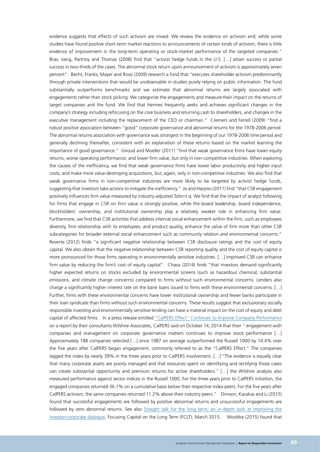evidence suggests that effects of such activism are mixed. We review the evidence on activism and, while some studies have found positive short-term market reactions to announcements of certain kinds of activism, there is little evidence of improvement in the long-term operating or stock-market performance of the targeted companies." Brav, Jiang, Partnoy and Thomas (2008) find that "activist hedge funds in the U.S. […] attain success or partial success in two-thirds of the cases. The abnormal stock return upon announcement of activism is approximately seven percent". Becht, Franks, Mayer and Rossi (2009) research a fund that "executes shareholder activism predominantly through private interventions that would be unobservable in studies purely relying on public information. The fund substantially outperforms benchmarks and we estimate that abnormal returns are largely associated with engagements rather than stock picking. We categorize the engagements and measure their impact on the returns of target companies and the fund. We find that Hermes frequently seeks and achieves significant changes in the company's strategy including refocusing on the core business and returning cash to shareholders, and changes in the executive management including the replacement of the CEO or chairman." Cremers and Ferrell (2009) "find a robust positive association between "good" corporate governance and abnormal returns for the 1978-2006 period. The abnormal returns association with governance was strongest in the beginning of our 1978-2006 time period and generally declining thereafter, consistent with an explanation of these returns based on the market learning the importance of good governance." Giroud and Mueller (2011) "find that weak governance firms have lower equity returns, worse operating performance, and lower firm value, but only in non-competitive industries. When exploring the causes of the inefficiency, we find that weak governance firms have lower labor productivity and higher input costs, and make more value-destroying acquisitions, but, again, only in non-competitive industries. We also find that weak governance firms in non-competitive industries are more likely to be targeted by activist hedge funds, suggesting that investors take actions to mitigate the inefficiency." Jo and Harjoto (2011) find "that CSR engagement positively influences firm value measured by industry-adjusted Tobin's q. We find that the impact of analyst following for firms that engage in CSR on firm value is strongly positive, while the board leadership, board independence, blockholders' ownership, and institutional ownership play a relatively weaker role in enhancing firm value. Furthermore, we find that CSR activities that address internal social enhancement within the firm, such as employees diversity, firm relationship with its employees, and product quality, enhance the value of firm more than other CSR subcategories for broader external social enhancement such as community relation and environmental concerns." Reverte (2012) finds "a significant negative relationship between CSR disclosure ratings and the cost of equity capital. We also obtain that the negative relationship between CSR reporting quality and the cost of equity capital is more pronounced for those firms operating in environmentally sensitive industries. […] improved CSR can enhance firm value by reducing the firm's cost of equity capital". Chava (2014) finds "that investors demand significantly higher expected returns on stocks excluded by environmental screens (such as hazardous chemical, substantial emissions, and climate change concerns) compared to firms without such environmental concerns. Lenders also charge a significantly higher interest rate on the bank loans issued to firms with these environmental concerns. […] Further, firms with these environmental concerns have lower institutional ownership and fewer banks participate in their loan syndicate than firms without such environmental concerns. These results suggest that exclusionary socially responsible investing and environmentally sensitive lending can have a material impact on the cost of equity and debt capital of affected firms. In a press release entitled ["CalPERS Effect" Continues to Improve Company Performance](https://www.calpers.ca.gov/page/newsroom/calpers-news/2014/company-performance) on a report by their consultants Wilshire Associates, CalPERS said on October 14, 2014 that their " engagement with companies and management on corporate governance matters continues to improve stock performance […] Approximately 188 companies selected […] since 1987 on average outperformed the Russell 1000 by 14.4% over the five years after CalPERS began engagement, commonly referred to as the "CalPERS Effect." The companies lagged the index by nearly 39% in the three years prior to CalPERS involvement. […] "The evidence is equally clear that many corporate assets are poorly managed and that resources spent on identifying and rectifying those cases can create substantial opportunity and premium returns for active shareholders." […] the Wilshire analysis also measured performance against sector indices in the Russell 1000. For the three years prior to CalPERS initiation, the engaged companies returned 36.1% on a cumulative basis below their respective index peers. For the five years after CalPERS activism, the same companies returned 11.2% above their industry peers." Dimson, Karakas and Li (2015) found that successful engagements are followed by positive abnormal returns and unsuccessful engagements are followed by zero abnormal returns. See also [Straight talk for the long term, an in-depth look at improving the](http://www.fclt.org/content/dam/fclt/en/ourthinking/Straight%20Talk%20for%20the%20long%20term_In%20Depth.pdf) [investor-corporate dialogue](http://www.fclt.org/content/dam/fclt/en/ourthinking/Straight%20Talk%20for%20the%20long%20term_In%20Depth.pdf), Focusing Capital on the Long Term (FCLT), March 2015. Woidtke (2015) found that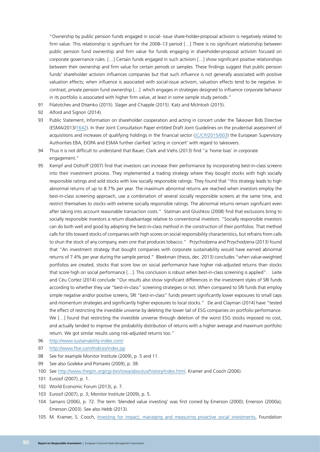"Ownership by public pension funds engaged in social- issue share-holder-proposal activism is negatively related to firm value. This relationship is significant for the 2008–13 period [...] There is no significant relationship between public pension fund ownership and firm value for funds engaging in shareholder-proposal activism focused on corporate governance rules. […] Certain funds engaged in such activism […] show significant positive relationships between their ownership and firm value for certain periods or samples. These findings suggest that public pension funds' shareholder activism influences companies but that such influence is not generally associated with positive valuation effects; when influence is associated with social-issue activism, valuation effects tend to be negative. In contrast, private pension fund ownership […] which engages in strategies designed to influence corporate behavior in its portfolio is associated with higher firm value, at least in some sample study periods."

- 91 Filatotchev and Dtsenko (2015). Slager and Chapple (2015). Katz and McIntosh (2015).
- 92 Alford and Signori (2014).
- 93 Public Statement, Information on shareholder cooperation and acting in concert under the Takeover Bids Directive (ESMA/2013/[1642](https://www.esma.europa.eu/sites/default/files/library/2015/11/2013-1642_esma_public_statement_-_information_on_shareholder_cooperation_and_acting_in_concert_under_the_takeover_bids_directive.pdf)). In their Joint Consultation Paper entitled Draft Joint Guidelines on the prudential assessment of acquisitions and increases of qualifying holdings in the financial sector ([JC/CP/2015/003](http://www.eba.europa.eu/documents/10180/1131999/JC+CP+2015+003+%28CP+on+Joint+Guidelines+on+Qualifying+Holdings%29.pdf)) the European Supervisory Authorities EBA, EIOPA and ESMA further clarified 'acting in concert' with regard to takeovers.
- 94 Thus it is not difficult to understand that Bauer, Clark and Viehs (2013) find "a 'home bias' in corporate engagement."
- 95 Kempf and Osthoff (2007) find that investors can increase their performance by incorporating best-in-class screens into their investment process. They implemented a trading strategy where they bought stocks with high socially responsible ratings and sold stocks with low socially responsible ratings. They found that "this strategy leads to high abnormal returns of up to 8.7% per year. The maximum abnormal returns are reached when investors employ the best-in-class screening approach, use a combination of several socially responsible screens at the same time, and restrict themselves to stocks with extreme socially responsible ratings. The abnormal returns remain significant even after taking into account reasonable transaction costs." Statman and Glushkov (2008) find that exclusions bring to socially responsible investors a return disadvantage relative to conventional investors. "Socially responsible investors can do both well and good by adopting the best-in-class method in the construction of their portfolios. That method calls for tilts toward stocks of companies with high scores on social responsibility characteristics, but refrains from calls to shun the stock of any company, even one that produces tobacco." Przychodzena and Przychodzena (2013) found that "An investment strategy that bought companies with corporate sustainability would have earned abnormal returns of 7.4% per year during the sample period." Bleekman (thesis, dec. 2013) concludes "when value-weighted portfolios are created, stocks that score low on social performance have higher risk-adjusted returns than stocks that score high on social performance […]. This conclusion is robust when best-in-class screening is applied". Leite and Céu Cortez (2014) conclude "Our results also show significant differences in the investment styles of SRI funds according to whether they use "best-in-class" screening strategies or not. When compared to SRI funds that employ simple negative and/or positive screens, SRI "best-in-class" funds present significantly lower exposures to small caps and momentum strategies and significantly higher exposures to local stocks." De and Clayman (2014) have "tested the effect of restricting the investible universe by deleting the lower tail of ESG companies on portfolio performance. We […] found that restricting the investible universe through deletion of the worst ESG stocks imposed no cost, and actually tended to improve the probability distribution of returns with a higher average and maximum portfolio return. We got similar results using risk-adjusted returns too."
- 96 <http://www.sustainability-index.com/>
- 97 <http://www.ftse.com/Indices/index.jsp>
- 98 See for example Monitor Institute (2009), p. 5 and 11.
- 99 See also Godeke and Pomares (2009), p. 38.
- 100 See [http://www.thegiin.org/cgi-bin/iowa/aboutus/history/index.html.](http://www.thegiin.org/cgi-bin/iowa/aboutus/history/index.html) Kramer and Cooch (2006).
- 101 Eurosif (2007), p. 1.
- 102 World Economic Forum (2013), p. 7.
- 103 Eurosif (2007), p. 3; Monitor Institute (2009), p. 5.
- 104 Samans (2006), p. 72. The term 'blended value investing' was first coined by Emerson (2000); Emerson (2000a); Emerson (2003). See also Hebb (2013).
- 105 M. Kramer, S. Cooch, [Investing for impact, managing and measuring proactive social investments](http://www.google.com/url?sa=t&rct=j&q=&esrc=s&source=web&cd=3&cad=rja&uact=8&ved=0CCcQFjACahUKEwjkz4XM7MbHAhVBnRQKHTkDAsY&url=http%3A%2F%2Fwww.issuelab.org%2Fclick%2Fkc_download1%2Finvesting_for_impact_managing_and_measuring_proactive_social_investments%2Fgife&ei=Vb7dVaTRE8G6UrmGiLAM&usg=AFQjCNFTeFbQtKz9NQVLaPg_R998OlcQsw), Foundation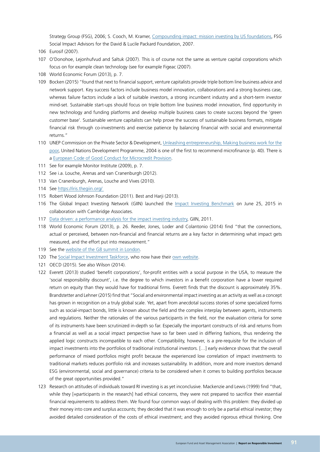Strategy Group (FSG), 2006; S. Cooch, M. Kramer, [Compounding impact: mission investing by US foundations,](https://www.missioninvestors.org/tools/compounding-impact-mission-investing-us-foundations) FSG Social Impact Advisors for the David & Lucile Packard Foundation, 2007.

- 106 Eurosif (2007).
- 107 O'Donohoe, Lejonhufvud and Saltuk (2007). This is of course not the same as venture capital corporations which focus on for example clean technology (see for example Figeac (2007).
- 108 World Economic Forum (2013), p. 7.
- 109 Bocken (2015) "found that next to financial support, venture capitalists provide triple bottom line business advice and network support. Key success factors include business model innovation, collaborations and a strong business case, whereas failure factors include a lack of suitable investors, a strong incumbent industry and a short-term investor mind-set. Sustainable start-ups should focus on triple bottom line business model innovation, find opportunity in new technology and funding platforms and develop multiple business cases to create success beyond the 'green customer base'. Sustainable venture capitalists can help prove the success of sustainable business formats, mitigate financial risk through co-investments and exercise patience by balancing financial with social and environmental returns."
- 110 UNEP Commission on the Private Sector & Development, [Unleashing entrepreneurship, Making business work for the](http://web.undp.org/cpsd/documents/report/english/fullreport.pdf) [poor,](http://web.undp.org/cpsd/documents/report/english/fullreport.pdf) United Nations Development Programme, 2004 is one of the first to recommend microfinance (p. 40). There is a [European Code of Good Conduct for Microcredit Provision.](http://www.google.com/url?sa=t&rct=j&q=&esrc=s&source=web&cd=1&cad=rja&uact=8&ved=0CB8QFjAAahUKEwiL57Gfp9jHAhWLbhQKHYI8CdU&url=http%3A%2F%2Fec.europa.eu%2Fenterprise%2Fnewsroom%2Fcf%2F_getdocument.cfm%3Fdoc_id%3D6978&usg=AFQjCNElvu4dK5WatVCeQ8KJJYH2xLsWNw)
- 111 See for example Monitor Institute (2009), p. 7.
- 112 See i.a. Louche, Arenas and van Cranenburgh (2012).
- 113 Van Cranenburgh, Arenas, Louche and Vives (2010).
- 114 See <https://iris.thegiin.org/>
- 115 Robert Wood Johnson Foundation (2011). Best and Harji (2013).
- 116 The Global Impact Investing Network (GIIN) launched the *Impact Investing Benchmark* on June 25, 2015 in collaboration with Cambridge Associates.
- 117 [Data driven: a performance analysis for the impact investing industry,](http://www.thegiin.org/binary-data/Data_Driven_IRIS_report_final.pdf) GIIN, 2011.
- 118 World Economic Forum (2013), p. 26. Reeder, Jones, Loder and Colantonio (2014) find "that the connections, actual or perceived, between non-financial and financial returns are a key factor in determining what impact gets measured, and the effort put into measurement."
- 119 See the [website of the G8 summit in London](https://www.gov.uk/government/topical-events/g8-2013).
- 120 The [Social Impact Investment Taskforce](https://www.gov.uk/government/groups/social-impact-investment-taskforce), who now have their [own website.](http://www.socialimpactinvestment.org/)
- 121 OECD (2015). See also Wilson (2014).
- 122 Everett (2013) studied 'benefit corporations', for-profit entities with a social purpose in the USA, to measure the 'social responsibility discount', i.e. the degree to which investors in a benefit corporation have a lower required return on equity than they would have for traditional firms. Everett finds that the discount is approximately 35%. Brandstetter and Lehner (2015) find that "Social and environmental impact investing as an activity as well as a concept has grown in recognition on a truly global scale. Yet, apart from anecdotal success stories of some specialized forms such as social-impact bonds, little is known about the field and the complex interplay between agents, instruments and regulations. Neither the rationales of the various participants in the field, nor the evaluation criteria for some of its instruments have been scrutinized in-depth so far. Especially the important constructs of risk and returns from a financial as well as a social impact perspective have so far been used in differing fashions, thus rendering the applied logic constructs incompatible to each other. Compatibility, however, is a pre-requisite for the inclusion of impact investments into the portfolios of traditional institutional investors. […] early evidence shows that the overall performance of mixed portfolios might profit because the experienced low correlation of impact investments to traditional markets reduces portfolio risk and increases sustainability. In addition, more and more investors demand ESG (environmental, social and governance) criteria to be considered when it comes to building portfolios because of the great opportunities provided."
- 123 Research on attitudes of individuals toward RI investing is as yet inconclusive. Mackenzie and Lewis (1999) find "that, while they [=participants in the research] had ethical concerns, they were not prepared to sacrifice their essential financial requirements to address them. We found four common ways of dealing with this problem: they divided up their money into core and surplus accounts; they decided that it was enough to only be a partial ethical investor; they avoided detailed consideration of the costs of ethical investment; and they avoided rigorous ethical thinking. One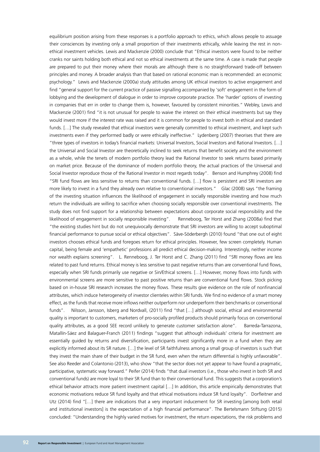equilibrium position arising from these responses is a portfolio approach to ethics, which allows people to assuage their consciences by investing only a small proportion of their investments ethically, while leaving the rest in nonethical investment vehicles. Lewis and Mackenzie (2000) conclude that "Ethical investors were found to be neither cranks nor saints holding both ethical and not so ethical investments at the same time. A case is made that people are prepared to put their money where their morals are although there is no straightforward trade-off between principles and money. A broader analysis than that based on rational economic man is recommended: an economic psychology." Lewis and Mackenzie (2000a) study attitudes among UK ethical investors to active engagement and find "general support for the current practice of passive signalling accompanied by 'soft' engagement in the form of lobbying and the development of dialogue in order to improve corporate practice. The 'harder' options of investing in companies that err in order to change them is, however, favoured by consistent minorities." Webley, Lewis and Mackenzie (2001) find "it is not unusual for people to waive the interest on their ethical investments but say they would invest more if the interest rate was raised and it is common for people to invest both in ethical and standard funds. […] The study revealed that ethical investors were generally committed to ethical investment, and kept such investments even if they performed badly or were ethically ineffective." Lydenberg (2007) theorises that there are "three types of investors in today's financial markets: Universal Investors, Social Investors and Rational Investors. […] the Universal and Social Investor are theoretically inclined to seek returns that benefit society and the environment as a whole, while the tenets of modern portfolio theory lead the Rational Investor to seek returns based primarily on market price. Because of the dominance of modern portfolio theory, the actual practices of the Universal and Social Investor reproduce those of the Rational Investor in most regards today". Benson and Humphrey (2008) find "SRI fund flows are less sensitive to returns than conventional funds. […] flow is persistent and SRI investors are more likely to invest in a fund they already own relative to conventional investors." Glac (2008) says "the framing of the investing situation influences the likelihood of engagement in socially responsible investing and how much return the individuals are willing to sacrifice when choosing socially responsible over conventional investments. The study does not find support for a relationship between expectations about corporate social responsibility and the likelihood of engagement in socially responsible investing". Renneboog, Ter Horst and Zhang (2008a) find that "the existing studies hint but do not unequivocally demonstrate that SRI investors are willing to accept suboptimal financial performance to pursue social or ethical objectives". Säve-Söderbergh (2010) found "that one out of eight investors chooses ethical funds and foregoes return for ethical principles. However, few screen completely. Human capital, being female and 'empathetic' professions all predict ethical decision-making. Interestingly, neither income nor wealth explains screening". L. Renneboog, J. Ter Horst and C. Zhang (2011) find "SRI money flows are less related to past fund returns. Ethical money is less sensitive to past negative returns than are conventional fund flows, especially when SRI funds primarily use negative or Sin/Ethical screens. [...] However, money flows into funds with environmental screens are more sensitive to past positive returns than are conventional fund flows. Stock picking based on in-house SRI research increases the money flows. These results give evidence on the role of nonfinancial attributes, which induce heterogeneity of investor clienteles within SRI funds. We find no evidence of a smart money effect, as the funds that receive more inflows neither outperform nor underperform their benchmarks or conventional funds". Nilsson, Jansson, Isberg and Nordvall, (2011) find "that […] although social, ethical and environmental quality is important to customers, marketers of pro-socially profiled products should primarily focus on conventional quality attributes, as a good SEE record unlikely to generate customer satisfaction alone". Barreda-Tarrazona, Matallín-Sáez and Balaguer-Franch (2011) findings "suggest that although individuals' criteria for investment are essentially guided by returns and diversification, participants invest significantly more in a fund when they are explicitly informed about its SR nature. […] the level of SR faithfulness among a small group of investors is such that they invest the main share of their budget in the SR fund, even when the return differential is highly unfavorable". See also Reeder and Colantonio (2013), who show "that the sector does not yet appear to have found a pragmatic, participative, systematic way forward." Peifer (2014) finds "that dual investors (i.e., those who invest in both SR and conventional funds) are more loyal to their SR fund than to their conventional fund. This suggests that a corporation's ethical behavior attracts more patient investment capital […] In addition, this article empirically demonstrates that economic motivations reduce SR fund loyalty and that ethical motivations induce SR fund loyalty". Dorfleitner and Utz (2014) find "[…] there are indications that a very important inducement for SR investing [among both retail and institutional investors] is the expectation of a high financial performance". The Bertelsmann Stiftung (2015) concluded: "Understanding the highly varied motives for investment, the return expectations, the risk problems and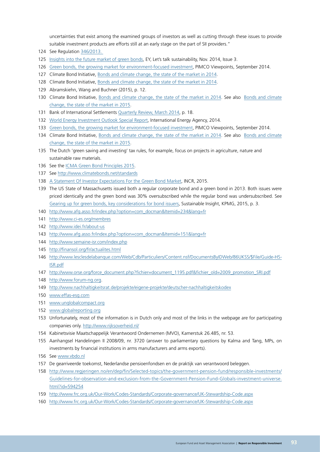uncertainties that exist among the examined groups of investors as well as cutting through these issues to provide suitable investment products are efforts still at an early stage on the part of SII providers."

- See Regulation [346/2013](http://eur-lex.europa.eu/legal-content/EN/TXT/?uri=CELEX:32013R0346).
- [Insights into the future market of green bonds,](http://www.google.com/url?sa=t&rct=j&q=&esrc=s&source=web&cd=1&cad=rja&uact=8&ved=0CB4QFjAAahUKEwiEo4PzoNHIAhUJVRoKHdV0Al8&url=http%3A%2F%2Fwww.ey.com%2FPublication%2FvwLUAssets%2Fey-lets-talk-sustainability-issue3%2F%24FILE%2Fey-lets-talk-sustainability-issue-3.pdf&usg=AFQjCNH6zMAUNLRgyU381W4pukSGnwMkgw) EY, Let's talk sustainability, Nov. 2014, Issue 3.
- [Green bonds, the growing market for environment-focused investment,](http://europe.pimco.com/EN/Insights/Pages/Green-Bonds-The-Growing-Market-for-Environment-Focused-Investment.aspx) PIMCO Viewpoints, September 2014.
- Climate Bond Initiative, [Bonds and climate change, the state of the market in 2014](https://www.climatebonds.net/files/files/-CB-HSBC-15July2014-A4-final.pdf).
- Climate Bond Initiative, [Bonds and climate change, the state of the market in 2014](https://www.climatebonds.net/files/files/-CB-HSBC-15July2014-A4-final.pdf).
- Abramskiehn, Wang and Buchner (2015), p. 12.
- 130 Climate Bond Initiative, [Bonds and climate change, the state of the market in 2014.](https://www.climatebonds.net/files/files/-CB-HSBC-15July2014-A4-final.pdf) See also [Bonds and climate](http://www.climatebonds.net/files/files/CBI-HSBC%20report%207July%20JG01.pdf) [change, the state of the market in 2015](http://www.climatebonds.net/files/files/CBI-HSBC%20report%207July%20JG01.pdf).
- Bank of International Settlements [Quarterly Review, March 2014,](http://www.bis.org/publ/qtrpdf/r_qt1403.pdf) p. 18.
- [World Energy Investment Outlook Special Report,](https://www.iea.org/publications/freepublications/publication/world-energy-investment-outlook---special-report---.html) International Energy Agency, 2014.
- [Green bonds, the growing market for environment-focused investment,](http://europe.pimco.com/EN/Insights/Pages/Green-Bonds-The-Growing-Market-for-Environment-Focused-Investment.aspx) PIMCO Viewpoints, September 2014.
- Climate Bond Initiative, [Bonds and climate change, the state of the market in 2014.](https://www.climatebonds.net/files/files/-CB-HSBC-15July2014-A4-final.pdf) See also [Bonds and climate](http://www.climatebonds.net/files/files/CBI-HSBC%20report%207July%20JG01.pdf) [change, the state of the market in 2015](http://www.climatebonds.net/files/files/CBI-HSBC%20report%207July%20JG01.pdf).
- The Dutch 'green saving and investing' tax rules, for example, focus on projects in agriculture, nature and sustainable raw materials.
- See the [ICMA Green Bond Principles 2015](http://www.icmagroup.org/Regulatory-Policy-and-Market-Practice/green-bonds/green-bond-principles/).
- See <http://www.climatebonds.net/standards>
- [A Statement Of Investor Expectations For the Green Bond Market](http://www.ceres.org/files/investor-files/statement-of-investor-expectations-for-green-bonds), INCR, 2015.
- The US State of Massachusetts issued both a regular corporate bond and a green bond in 2013. Both issues were priced identically and the green bond was 30% oversubscribed while the regular bond was undersubscribed. See [Gearing up for green bonds, key considerations for bond issuers,](https://www.google.com/url?sa=t&rct=j&q=&esrc=s&source=web&cd=1&cad=rja&uact=8&ved=0CB4QFjAAahUKEwi84qHeqdHIAhXLfhoKHZNOADo&url=https%3A%2F%2Fwww.kpmg.com%2FGlobal%2Fen%2FIssuesAndInsights%2FArticlesPublications%2Fsustainable-insight%2FDocuments%2Fgearing-up-for-green-bonds-v2.pdf&usg=AFQjCNGZed_JLdvDW61Lt9b1zk7lV0qt4Q) Sustainable Insight, KPMG, 2015, p. 3.
- [http://www.afg.asso.fr/index.php?option=com\\_docman&Itemid=234&lang=fr](http://www.afg.asso.fr/index.php?option=com_docman&Itemid=234&lang=fr)
- <http://www.ci-es.org/membres>
- <http://www.idei.fr/about-us>
- [http://www.afg.asso.fr/index.php?option=com\\_docman&Itemid=151&lang=fr](http://www.afg.asso.fr/index.php?option=com_docman&Itemid=151&lang=fr)
- <http://www.semaine-isr.com/index.php>
- http://finansol.org/fr/actualites.html
- [http://www.lesclesdelabanque.com/Web/Cdb/Particuliers/Content.nsf/DocumentsByIDWeb/86UKSS/\\$File/Guide-HS-](http://www.lesclesdelabanque.com/Web/Cdb/Particuliers/Content.nsf/DocumentsByIDWeb/86UKSS/$File/Guide-HS-ISR.pdf)[ISR.pdf](http://www.lesclesdelabanque.com/Web/Cdb/Particuliers/Content.nsf/DocumentsByIDWeb/86UKSS/$File/Guide-HS-ISR.pdf)
- [http://www.orse.org/force\\_document.php?fichier=document\\_1195.pdf&fichier\\_old=2009\\_promotion\\_SRI.pdf](http://www.orse.org/force_document.php?fichier=document_1195.pdf&fichier_old=2009_promotion_SRI.pdf)
- <http://www.forum-ng.org>.
- <http://www.nachhaltigkeitsrat.de/projekte/eigene-projekte/deutscher-nachhaltigkeitskodex>
- [www.effas-esg.com](http://www.effas-esg.com)
- [www.unglobalcompact.org](http://www.unglobalcompact.org)
- [www.globalreporting.org](http://www.globalreporting.org)
- Unfortunately, most of the information is in Dutch only and most of the links in the webpage are for participating companies only.<http://www.rijksoverheid.nl/>
- Kabinetsvisie Maatschappelijk Verantwoord Ondernemen (MVO), Kamerstuk 26.485, nr. 53.
- Aanhangsel Handelingen II 2008/09, nr. 3720 (answer to parliamentary questions by Kalma and Tang, MPs, on investments by financial institutions in arms manufacturers and arms exports).
- See [www.vbdo.nl](http://www.vbdo.nl)
- De gearriveerde toekomst, Nederlandse pensioenfondsen en de praktijk van verantwoord beleggen.
- [http://www.regjeringen.no/en/dep/fin/Selected-topics/the-government-pension-fund/responsible-investments/](http://www.regjeringen.no/en/dep/fin/Selected-topics/the-government-pension-fund/responsible-investments/Guidelines-for-observation-and-exclusion-from-the-Government-Pension-Fund-Globals-investment-universe.html?id=594254) [Guidelines-for-observation-and-exclusion-from-the-Government-Pension-Fund-Globals-investment-universe.](http://www.regjeringen.no/en/dep/fin/Selected-topics/the-government-pension-fund/responsible-investments/Guidelines-for-observation-and-exclusion-from-the-Government-Pension-Fund-Globals-investment-universe.html?id=594254) [html?id=594254](http://www.regjeringen.no/en/dep/fin/Selected-topics/the-government-pension-fund/responsible-investments/Guidelines-for-observation-and-exclusion-from-the-Government-Pension-Fund-Globals-investment-universe.html?id=594254)
- <http://www.frc.org.uk/Our-Work/Codes-Standards/Corporate-governance/UK-Stewardship-Code.aspx>
- <http://www.frc.org.uk/Our-Work/Codes-Standards/Corporate-governance/UK-Stewardship-Code.aspx>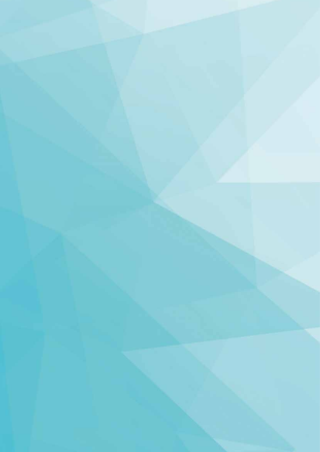